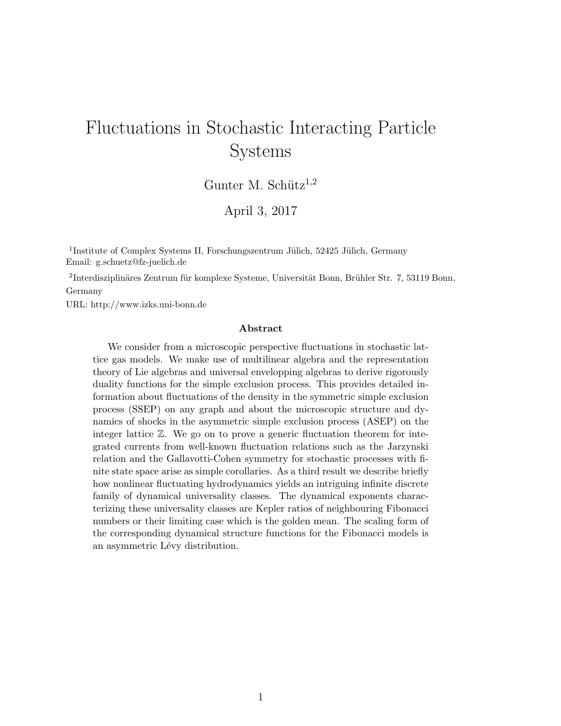# Fluctuations in Stochastic Interacting Particle Systems

Gunter M. Schütz<sup>1,2</sup>

April 3, 2017

<sup>1</sup>Institute of Complex Systems II, Forschungszentrum Jülich, 52425 Jülich, Germany Email: g.schuetz@fz-juelich.de

 ${}^{2}$ Interdisziplinäres Zentrum für komplexe Systeme, Universität Bonn, Brühler Str. 7, 53119 Bonn, Germany

URL: http://www.izks.uni-bonn.de

#### Abstract

We consider from a microscopic perspective fluctuations in stochastic lattice gas models. We make use of multilinear algebra and the representation theory of Lie algebras and universal envelopping algebras to derive rigorously duality functions for the simple exclusion process. This provides detailed information about fluctuations of the density in the symmetric simple exclusion process (SSEP) on any graph and about the microscopic structure and dynamics of shocks in the asymmetric simple exclusion process (ASEP) on the integer lattice Z. We go on to prove a generic fluctuation theorem for integrated currents from well-known fluctuation relations such as the Jarzynski relation and the Gallavotti-Cohen symmetry for stochastic processes with finite state space arise as simple corollaries. As a third result we describe briefly how nonlinear fluctuating hydrodynamics yields an intriguing infinite discrete family of dynamical universality classes. The dynamical exponents characterizing these universality classes are Kepler ratios of neighbouring Fibonacci numbers or their limiting case which is the golden mean. The scaling form of the corresponding dynamical structure functions for the Fibonacci models is an asymmetric Lévy distribution.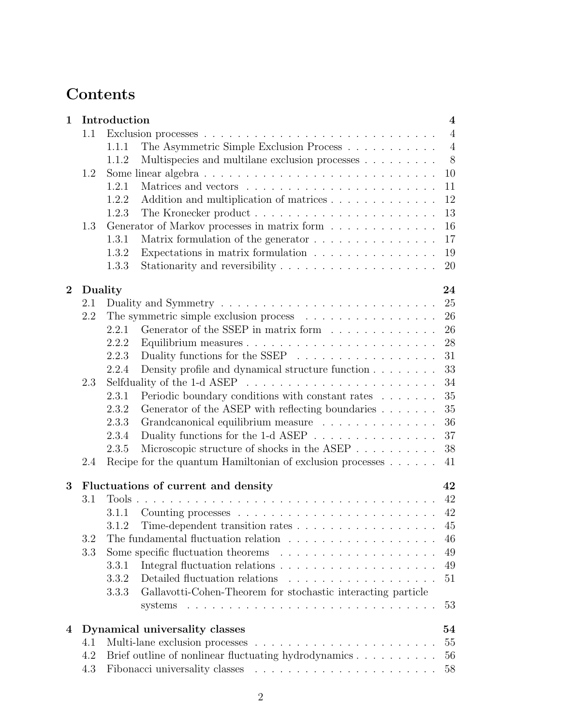# Contents

| 1        |     | Introduction                                                                                | $\overline{\mathbf{4}}$ |
|----------|-----|---------------------------------------------------------------------------------------------|-------------------------|
|          | 1.1 |                                                                                             | $\overline{4}$          |
|          |     | The Asymmetric Simple Exclusion Process<br>1.1.1                                            | $\overline{4}$          |
|          |     | Multispecies and multilane exclusion processes<br>1.1.2                                     | 8                       |
|          | 1.2 | Some linear algebra $\ldots \ldots \ldots \ldots \ldots \ldots \ldots \ldots \ldots \ldots$ | 10                      |
|          |     | 1.2.1                                                                                       | 11                      |
|          |     | Addition and multiplication of matrices<br>1.2.2                                            | 12                      |
|          |     | 1.2.3                                                                                       | 13                      |
|          | 1.3 | Generator of Markov processes in matrix form $\ldots \ldots \ldots \ldots$                  | 16                      |
|          |     | 1.3.1                                                                                       | 17                      |
|          |     | Expectations in matrix formulation $\ldots \ldots \ldots \ldots \ldots$<br>1.3.2            | 19                      |
|          |     | 1.3.3                                                                                       | 20                      |
| $\bf{2}$ |     | Duality                                                                                     | 24                      |
|          | 2.1 |                                                                                             | 25                      |
|          | 2.2 | The symmetric simple exclusion process $\ldots \ldots \ldots \ldots \ldots$                 | 26                      |
|          |     | Generator of the SSEP in matrix form $\ldots \ldots \ldots \ldots$<br>2.2.1                 | 26                      |
|          |     | 2.2.2                                                                                       | 28                      |
|          |     | Duality functions for the SSEP $\ldots \ldots \ldots \ldots \ldots \ldots$<br>2.2.3         | 31                      |
|          |     | Density profile and dynamical structure function $\ldots \ldots$<br>2.2.4                   | 33                      |
|          | 2.3 |                                                                                             | 34                      |
|          |     | Periodic boundary conditions with constant rates<br>2.3.1                                   | 35                      |
|          |     | Generator of the ASEP with reflecting boundaries<br>2.3.2                                   | 35                      |
|          |     | Grandcanonical equilibrium measure<br>2.3.3                                                 | 36                      |
|          |     | Duality functions for the 1-d ASEP $\dots \dots \dots \dots \dots$<br>2.3.4                 | 37                      |
|          |     | Microscopic structure of shocks in the ASEP<br>2.3.5                                        | 38                      |
|          | 2.4 | Recipe for the quantum Hamiltonian of exclusion processes $\dots \dots$                     | 41                      |
| 3        |     | Fluctuations of current and density                                                         | 42                      |
|          | 3.1 | Tools                                                                                       | 42                      |
|          |     | 3.1.1                                                                                       | 42                      |
|          |     |                                                                                             | $45\,$                  |
|          | 3.2 | The fundamental fluctuation relation                                                        | 46                      |
|          | 3.3 |                                                                                             | 49                      |
|          |     | 3.3.1                                                                                       | 49                      |
|          |     | Detailed fluctuation relations<br>3.3.2<br>.                                                | 51                      |
|          |     | Gallavotti-Cohen-Theorem for stochastic interacting particle<br>3.3.3                       |                         |
|          |     | systems $\ldots \ldots \ldots \ldots \ldots \ldots \ldots \ldots \ldots \ldots \ldots$      | 53                      |
| 4        |     | Dynamical universality classes                                                              | 54                      |
|          | 4.1 |                                                                                             | 55                      |
|          | 4.2 | Brief outline of nonlinear fluctuating hydrodynamics                                        | 56                      |
|          | 4.3 |                                                                                             | 58                      |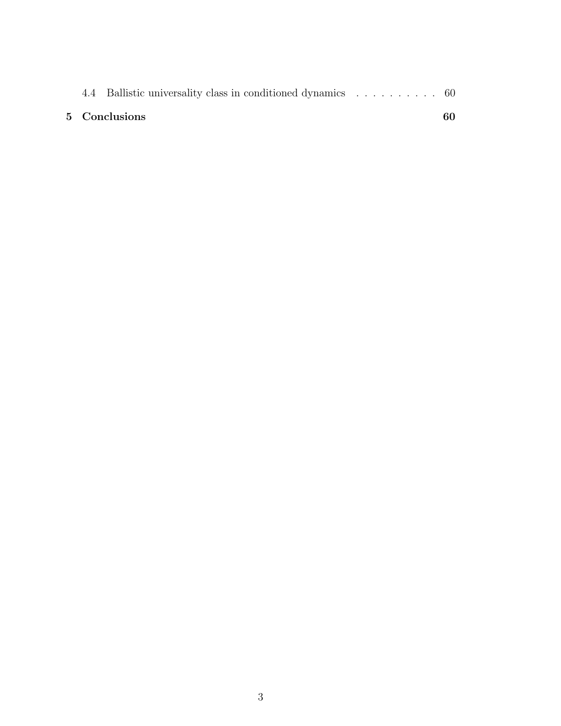|  |  | 5 Conclusions<br>60 |  |  |  |
|--|--|---------------------|--|--|--|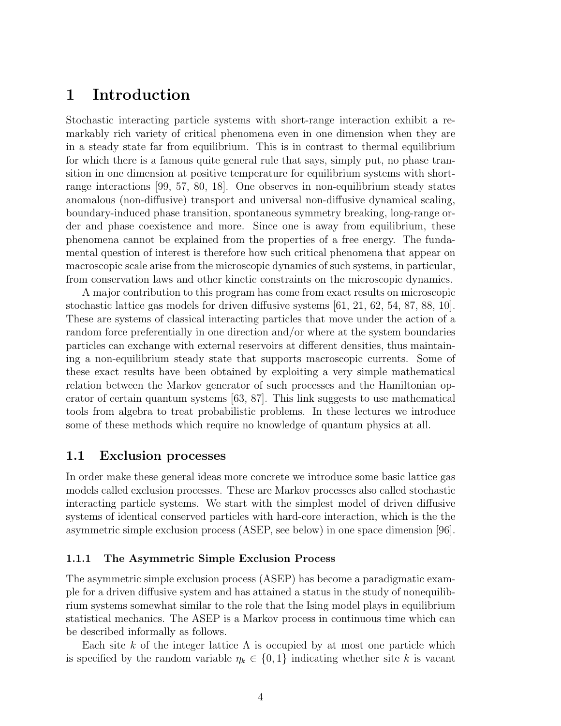# 1 Introduction

Stochastic interacting particle systems with short-range interaction exhibit a remarkably rich variety of critical phenomena even in one dimension when they are in a steady state far from equilibrium. This is in contrast to thermal equilibrium for which there is a famous quite general rule that says, simply put, no phase transition in one dimension at positive temperature for equilibrium systems with shortrange interactions [99, 57, 80, 18]. One observes in non-equilibrium steady states anomalous (non-diffusive) transport and universal non-diffusive dynamical scaling, boundary-induced phase transition, spontaneous symmetry breaking, long-range order and phase coexistence and more. Since one is away from equilibrium, these phenomena cannot be explained from the properties of a free energy. The fundamental question of interest is therefore how such critical phenomena that appear on macroscopic scale arise from the microscopic dynamics of such systems, in particular, from conservation laws and other kinetic constraints on the microscopic dynamics.

A major contribution to this program has come from exact results on microscopic stochastic lattice gas models for driven diffusive systems [61, 21, 62, 54, 87, 88, 10]. These are systems of classical interacting particles that move under the action of a random force preferentially in one direction and/or where at the system boundaries particles can exchange with external reservoirs at different densities, thus maintaining a non-equilibrium steady state that supports macroscopic currents. Some of these exact results have been obtained by exploiting a very simple mathematical relation between the Markov generator of such processes and the Hamiltonian operator of certain quantum systems [63, 87]. This link suggests to use mathematical tools from algebra to treat probabilistic problems. In these lectures we introduce some of these methods which require no knowledge of quantum physics at all.

# 1.1 Exclusion processes

In order make these general ideas more concrete we introduce some basic lattice gas models called exclusion processes. These are Markov processes also called stochastic interacting particle systems. We start with the simplest model of driven diffusive systems of identical conserved particles with hard-core interaction, which is the the asymmetric simple exclusion process (ASEP, see below) in one space dimension [96].

#### 1.1.1 The Asymmetric Simple Exclusion Process

The asymmetric simple exclusion process (ASEP) has become a paradigmatic example for a driven diffusive system and has attained a status in the study of nonequilibrium systems somewhat similar to the role that the Ising model plays in equilibrium statistical mechanics. The ASEP is a Markov process in continuous time which can be described informally as follows.

Each site k of the integer lattice  $\Lambda$  is occupied by at most one particle which is specified by the random variable  $\eta_k \in \{0,1\}$  indicating whether site k is vacant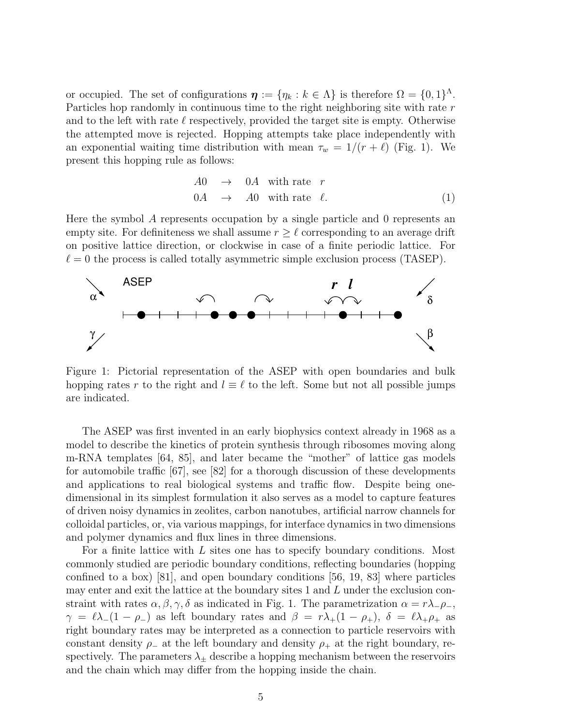or occupied. The set of configurations  $\boldsymbol{\eta} := \{\eta_k : k \in \Lambda\}$  is therefore  $\Omega = \{0,1\}^{\Lambda}$ . Particles hop randomly in continuous time to the right neighboring site with rate r and to the left with rate  $\ell$  respectively, provided the target site is empty. Otherwise the attempted move is rejected. Hopping attempts take place independently with an exponential waiting time distribution with mean  $\tau_w = 1/(r + \ell)$  (Fig. 1). We present this hopping rule as follows:

$$
A0 \rightarrow 0A \text{ with rate } r
$$
  
0A \rightarrow A0 with rate  $\ell$ . (1)

Here the symbol A represents occupation by a single particle and 0 represents an empty site. For definiteness we shall assume  $r \geq \ell$  corresponding to an average drift on positive lattice direction, or clockwise in case of a finite periodic lattice. For  $\ell = 0$  the process is called totally asymmetric simple exclusion process (TASEP).



Figure 1: Pictorial representation of the ASEP with open boundaries and bulk hopping rates r to the right and  $l \equiv \ell$  to the left. Some but not all possible jumps are indicated.

The ASEP was first invented in an early biophysics context already in 1968 as a model to describe the kinetics of protein synthesis through ribosomes moving along m-RNA templates [64, 85], and later became the "mother" of lattice gas models for automobile traffic [67], see [82] for a thorough discussion of these developments and applications to real biological systems and traffic flow. Despite being onedimensional in its simplest formulation it also serves as a model to capture features of driven noisy dynamics in zeolites, carbon nanotubes, artificial narrow channels for colloidal particles, or, via various mappings, for interface dynamics in two dimensions and polymer dynamics and flux lines in three dimensions.

For a finite lattice with L sites one has to specify boundary conditions. Most commonly studied are periodic boundary conditions, reflecting boundaries (hopping confined to a box) [81], and open boundary conditions [56, 19, 83] where particles may enter and exit the lattice at the boundary sites 1 and L under the exclusion constraint with rates  $\alpha, \beta, \gamma, \delta$  as indicated in Fig. 1. The parametrization  $\alpha = r\lambda_{\alpha} - \rho_{\alpha}$ ,  $\gamma = \ell \lambda_-(1 - \rho_-)$  as left boundary rates and  $\beta = r\lambda_+(1 - \rho_+), \delta = \ell \lambda_+\rho_+$  as right boundary rates may be interpreted as a connection to particle reservoirs with constant density  $\rho_-\$  at the left boundary and density  $\rho_+\$  at the right boundary, respectively. The parameters  $\lambda_{\pm}$  describe a hopping mechanism between the reservoirs and the chain which may differ from the hopping inside the chain.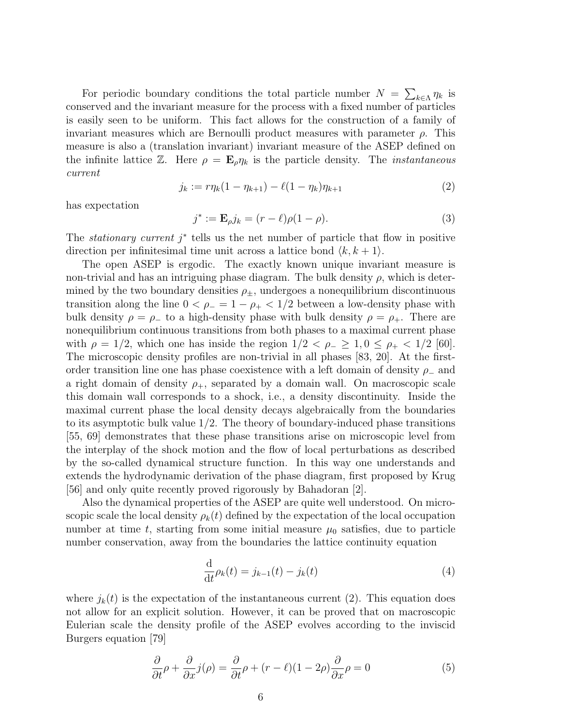For periodic boundary conditions the total particle number  $N = \sum_{k \in \Lambda} \eta_k$  is conserved and the invariant measure for the process with a fixed number of particles is easily seen to be uniform. This fact allows for the construction of a family of invariant measures which are Bernoulli product measures with parameter  $\rho$ . This measure is also a (translation invariant) invariant measure of the ASEP defined on the infinite lattice  $\mathbb{Z}$ . Here  $\rho = \mathbf{E}_{\rho} \eta_k$  is the particle density. The *instantaneous* current

$$
j_k := r\eta_k(1 - \eta_{k+1}) - \ell(1 - \eta_k)\eta_{k+1}
$$
\n(2)

has expectation

$$
j^* := \mathbf{E}_{\rho} j_k = (r - \ell)\rho(1 - \rho).
$$
 (3)

The *stationary current*  $j^*$  tells us the net number of particle that flow in positive direction per infinitesimal time unit across a lattice bond  $\langle k, k + 1 \rangle$ .

The open ASEP is ergodic. The exactly known unique invariant measure is non-trivial and has an intriguing phase diagram. The bulk density  $\rho$ , which is determined by the two boundary densities  $\rho_{\pm}$ , undergoes a nonequilibrium discontinuous transition along the line  $0 < \rho_- = 1 - \rho_+ < 1/2$  between a low-density phase with bulk density  $\rho = \rho_-$  to a high-density phase with bulk density  $\rho = \rho_+$ . There are nonequilibrium continuous transitions from both phases to a maximal current phase with  $\rho = 1/2$ , which one has inside the region  $1/2 < \rho_- \geq 1, 0 \leq \rho_+ < 1/2$  [60]. The microscopic density profiles are non-trivial in all phases [83, 20]. At the firstorder transition line one has phase coexistence with a left domain of density  $\rho_-\$  and a right domain of density  $\rho_{+}$ , separated by a domain wall. On macroscopic scale this domain wall corresponds to a shock, i.e., a density discontinuity. Inside the maximal current phase the local density decays algebraically from the boundaries to its asymptotic bulk value  $1/2$ . The theory of boundary-induced phase transitions [55, 69] demonstrates that these phase transitions arise on microscopic level from the interplay of the shock motion and the flow of local perturbations as described by the so-called dynamical structure function. In this way one understands and extends the hydrodynamic derivation of the phase diagram, first proposed by Krug [56] and only quite recently proved rigorously by Bahadoran [2].

Also the dynamical properties of the ASEP are quite well understood. On microscopic scale the local density  $\rho_k(t)$  defined by the expectation of the local occupation number at time t, starting from some initial measure  $\mu_0$  satisfies, due to particle number conservation, away from the boundaries the lattice continuity equation

$$
\frac{\mathrm{d}}{\mathrm{d}t}\rho_k(t) = j_{k-1}(t) - j_k(t) \tag{4}
$$

where  $j_k(t)$  is the expectation of the instantaneous current (2). This equation does not allow for an explicit solution. However, it can be proved that on macroscopic Eulerian scale the density profile of the ASEP evolves according to the inviscid Burgers equation [79]

$$
\frac{\partial}{\partial t}\rho + \frac{\partial}{\partial x}j(\rho) = \frac{\partial}{\partial t}\rho + (r - \ell)(1 - 2\rho)\frac{\partial}{\partial x}\rho = 0
$$
\n(5)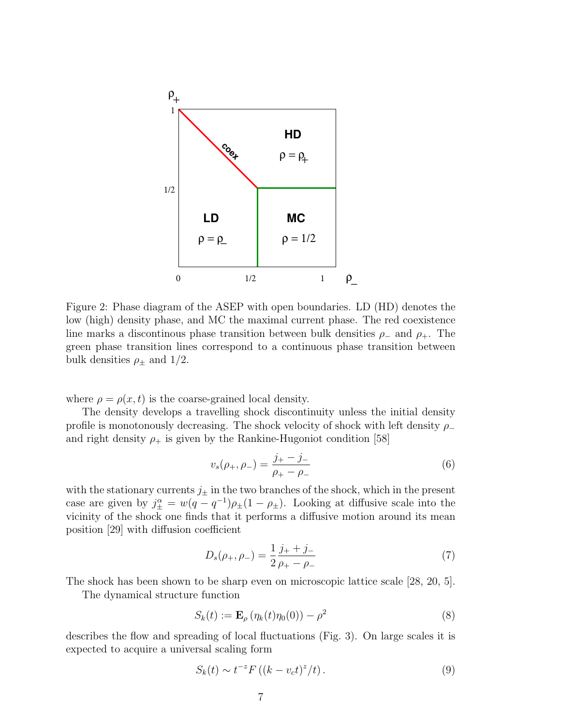

Figure 2: Phase diagram of the ASEP with open boundaries. LD (HD) denotes the low (high) density phase, and MC the maximal current phase. The red coexistence line marks a discontinous phase transition between bulk densities  $\rho_-\$  and  $\rho_+\$ . The green phase transition lines correspond to a continuous phase transition between bulk densities  $\rho_{\pm}$  and 1/2.

where  $\rho = \rho(x, t)$  is the coarse-grained local density.

The density develops a travelling shock discontinuity unless the initial density profile is monotonously decreasing. The shock velocity of shock with left density  $\rho_-\$ and right density  $\rho_+$  is given by the Rankine-Hugoniot condition [58]

$$
v_s(\rho_+,\rho_-) = \frac{j_+ - j_-}{\rho_+ - \rho_-} \tag{6}
$$

with the stationary currents  $j_{\pm}$  in the two branches of the shock, which in the present case are given by  $j_{\pm}^{\alpha} = w(q - q^{-1})\rho_{\pm}(1 - \rho_{\pm})$ . Looking at diffusive scale into the vicinity of the shock one finds that it performs a diffusive motion around its mean position [29] with diffusion coefficient

$$
D_s(\rho_+,\rho_-) = \frac{1}{2} \frac{j_+ + j_-}{\rho_+ - \rho_-} \tag{7}
$$

The shock has been shown to be sharp even on microscopic lattice scale [28, 20, 5].

The dynamical structure function

$$
S_k(t) := \mathbf{E}_{\rho} \left( \eta_k(t) \eta_0(0) \right) - \rho^2 \tag{8}
$$

describes the flow and spreading of local fluctuations (Fig. 3). On large scales it is expected to acquire a universal scaling form

$$
S_k(t) \sim t^{-z} F\left( (k - v_c t)^z / t \right). \tag{9}
$$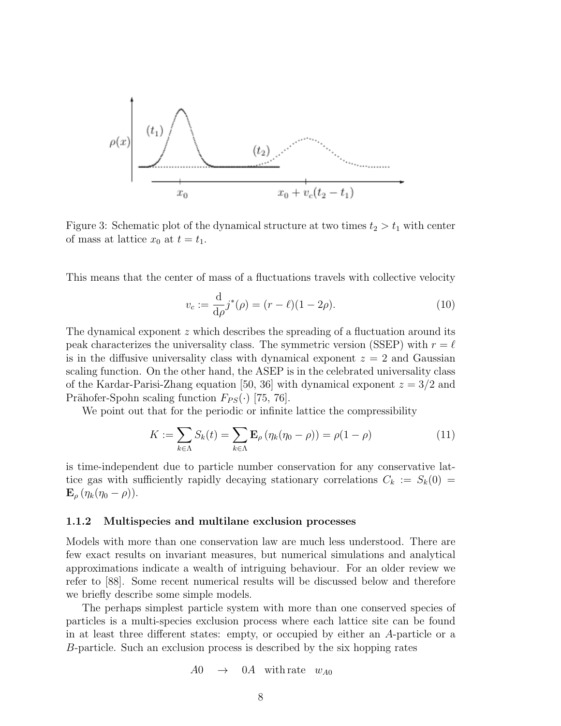

Figure 3: Schematic plot of the dynamical structure at two times  $t_2 > t_1$  with center of mass at lattice  $x_0$  at  $t = t_1$ .

This means that the center of mass of a fluctuations travels with collective velocity

$$
v_c := \frac{\mathrm{d}}{\mathrm{d}\rho} j^*(\rho) = (r - \ell)(1 - 2\rho). \tag{10}
$$

The dynamical exponent z which describes the spreading of a fluctuation around its peak characterizes the universality class. The symmetric version (SSEP) with  $r = \ell$ is in the diffusive universality class with dynamical exponent  $z = 2$  and Gaussian scaling function. On the other hand, the ASEP is in the celebrated universality class of the Kardar-Parisi-Zhang equation [50, 36] with dynamical exponent  $z = 3/2$  and Prähofer-Spohn scaling function  $F_{PS}(\cdot)$  [75, 76].

We point out that for the periodic or infinite lattice the compressibility

$$
K := \sum_{k \in \Lambda} S_k(t) = \sum_{k \in \Lambda} \mathbf{E}_{\rho} \left( \eta_k(\eta_0 - \rho) \right) = \rho(1 - \rho) \tag{11}
$$

is time-independent due to particle number conservation for any conservative lattice gas with sufficiently rapidly decaying stationary correlations  $C_k := S_k(0) =$  $\mathbf{E}_{\rho} \left( \eta_k(\eta_0 - \rho) \right).$ 

#### 1.1.2 Multispecies and multilane exclusion processes

Models with more than one conservation law are much less understood. There are few exact results on invariant measures, but numerical simulations and analytical approximations indicate a wealth of intriguing behaviour. For an older review we refer to [88]. Some recent numerical results will be discussed below and therefore we briefly describe some simple models.

The perhaps simplest particle system with more than one conserved species of particles is a multi-species exclusion process where each lattice site can be found in at least three different states: empty, or occupied by either an A-particle or a B-particle. Such an exclusion process is described by the six hopping rates

$$
A0 \quad \rightarrow \quad 0A \quad \text{with rate} \quad w_{A0}
$$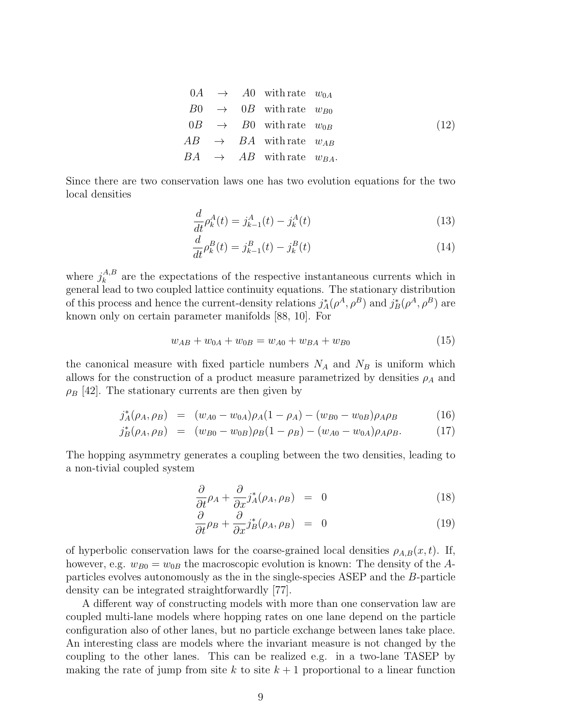$$
0A \rightarrow A0 \text{ with rate } w_{0A}
$$
  
\n
$$
B0 \rightarrow 0B \text{ with rate } w_{B0}
$$
  
\n
$$
0B \rightarrow B0 \text{ with rate } w_{0B}
$$
  
\n
$$
AB \rightarrow BA \text{ with rate } w_{AB}
$$
  
\n
$$
BA \rightarrow AB \text{ with rate } w_{BA}.
$$
  
\n(12)

Since there are two conservation laws one has two evolution equations for the two local densities

$$
\frac{d}{dt}\rho_k^A(t) = j_{k-1}^A(t) - j_k^A(t)
$$
\n(13)

$$
\frac{d}{dt}\rho_k^B(t) = j_{k-1}^B(t) - j_k^B(t)
$$
\n(14)

where  $j_k^{A,B}$  $k_k^{A,B}$  are the expectations of the respective instantaneous currents which in general lead to two coupled lattice continuity equations. The stationary distribution of this process and hence the current-density relations  $j_A^*(\rho^A, \rho^B)$  and  $j_B^*(\rho^A, \rho^B)$  are known only on certain parameter manifolds [88, 10]. For

$$
w_{AB} + w_{0A} + w_{0B} = w_{A0} + w_{BA} + w_{B0}
$$
\n<sup>(15)</sup>

the canonical measure with fixed particle numbers  $N_A$  and  $N_B$  is uniform which allows for the construction of a product measure parametrized by densities  $\rho_A$  and  $\rho_B$  [42]. The stationary currents are then given by

$$
j_A^*(\rho_A, \rho_B) = (w_{A0} - w_{0A})\rho_A(1 - \rho_A) - (w_{B0} - w_{0B})\rho_A \rho_B \qquad (16)
$$

$$
j_B^*(\rho_A, \rho_B) = (w_{B0} - w_{0B})\rho_B(1 - \rho_B) - (w_{A0} - w_{0A})\rho_A \rho_B.
$$
 (17)

The hopping asymmetry generates a coupling between the two densities, leading to a non-tivial coupled system

$$
\frac{\partial}{\partial t}\rho_A + \frac{\partial}{\partial x}j_A^*(\rho_A, \rho_B) = 0 \tag{18}
$$

$$
\frac{\partial}{\partial t}\rho_B + \frac{\partial}{\partial x}j_B^*(\rho_A, \rho_B) = 0 \tag{19}
$$

of hyperbolic conservation laws for the coarse-grained local densities  $\rho_{A,B}(x, t)$ . If, however, e.g.  $w_{B0} = w_{0B}$  the macroscopic evolution is known: The density of the Aparticles evolves autonomously as the in the single-species ASEP and the B-particle density can be integrated straightforwardly [77].

A different way of constructing models with more than one conservation law are coupled multi-lane models where hopping rates on one lane depend on the particle configuration also of other lanes, but no particle exchange between lanes take place. An interesting class are models where the invariant measure is not changed by the coupling to the other lanes. This can be realized e.g. in a two-lane TASEP by making the rate of jump from site k to site  $k+1$  proportional to a linear function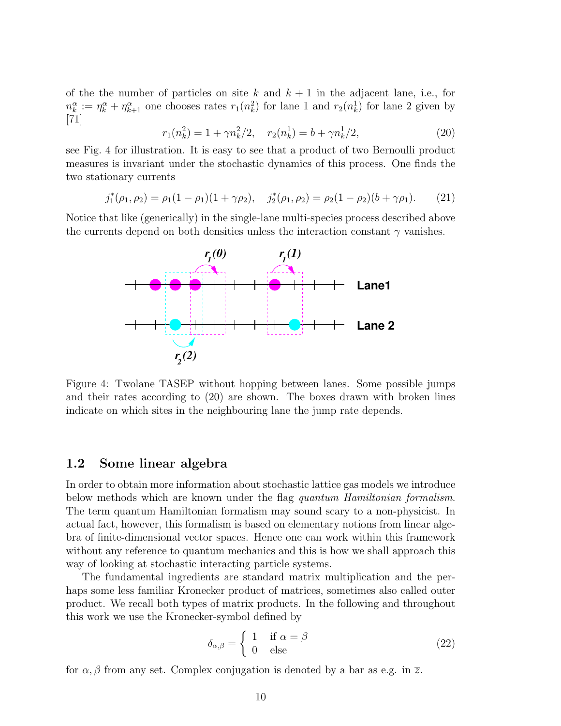of the the number of particles on site k and  $k + 1$  in the adjacent lane, i.e., for  $n_k^{\alpha} := \eta_k^{\alpha} + \eta_{k+1}^{\alpha}$  one chooses rates  $r_1(n_k^2)$  for lane 1 and  $r_2(n_k^1)$  for lane 2 given by [71]

$$
r_1(n_k^2) = 1 + \gamma n_k^2/2, \quad r_2(n_k^1) = b + \gamma n_k^1/2,
$$
\n(20)

see Fig. 4 for illustration. It is easy to see that a product of two Bernoulli product measures is invariant under the stochastic dynamics of this process. One finds the two stationary currents

$$
j_1^*(\rho_1, \rho_2) = \rho_1(1 - \rho_1)(1 + \gamma \rho_2), \quad j_2^*(\rho_1, \rho_2) = \rho_2(1 - \rho_2)(b + \gamma \rho_1). \tag{21}
$$

Notice that like (generically) in the single-lane multi-species process described above the currents depend on both densities unless the interaction constant  $\gamma$  vanishes.



Figure 4: Twolane TASEP without hopping between lanes. Some possible jumps and their rates according to (20) are shown. The boxes drawn with broken lines indicate on which sites in the neighbouring lane the jump rate depends.

# 1.2 Some linear algebra

In order to obtain more information about stochastic lattice gas models we introduce below methods which are known under the flag quantum Hamiltonian formalism. The term quantum Hamiltonian formalism may sound scary to a non-physicist. In actual fact, however, this formalism is based on elementary notions from linear algebra of finite-dimensional vector spaces. Hence one can work within this framework without any reference to quantum mechanics and this is how we shall approach this way of looking at stochastic interacting particle systems.

The fundamental ingredients are standard matrix multiplication and the perhaps some less familiar Kronecker product of matrices, sometimes also called outer product. We recall both types of matrix products. In the following and throughout this work we use the Kronecker-symbol defined by

$$
\delta_{\alpha,\beta} = \begin{cases} 1 & \text{if } \alpha = \beta \\ 0 & \text{else} \end{cases}
$$
 (22)

for  $\alpha$ ,  $\beta$  from any set. Complex conjugation is denoted by a bar as e.g. in  $\overline{z}$ .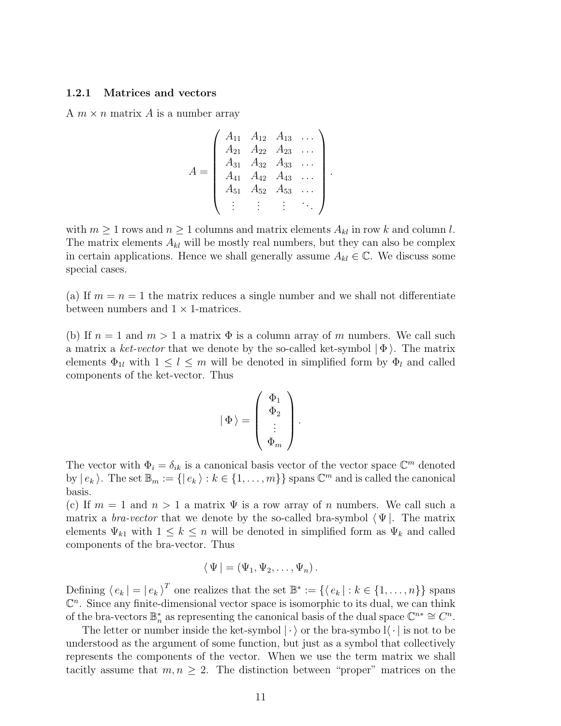#### 1.2.1 Matrices and vectors

A  $m \times n$  matrix A is a number array

$$
A = \begin{pmatrix} A_{11} & A_{12} & A_{13} & \dots \\ A_{21} & A_{22} & A_{23} & \dots \\ A_{31} & A_{32} & A_{33} & \dots \\ A_{41} & A_{42} & A_{43} & \dots \\ A_{51} & A_{52} & A_{53} & \dots \\ \vdots & \vdots & \vdots & \ddots \end{pmatrix}.
$$

with  $m \geq 1$  rows and  $n \geq 1$  columns and matrix elements  $A_{kl}$  in row k and column l. The matrix elements  $A_{kl}$  will be mostly real numbers, but they can also be complex in certain applications. Hence we shall generally assume  $A_{kl} \in \mathbb{C}$ . We discuss some special cases.

(a) If  $m = n = 1$  the matrix reduces a single number and we shall not differentiate between numbers and  $1 \times 1$ -matrices.

(b) If  $n = 1$  and  $m > 1$  a matrix  $\Phi$  is a column array of m numbers. We call such a matrix a ket-vector that we denote by the so-called ket-symbol  $|\Phi\rangle$ . The matrix elements  $\Phi_{1l}$  with  $1 \leq l \leq m$  will be denoted in simplified form by  $\Phi_l$  and called components of the ket-vector. Thus

$$
\left|\,\Phi\,\right\rangle=\left(\begin{array}{c}\Phi_1\\\Phi_2\\\vdots\\\Phi_m\end{array}\right).
$$

The vector with  $\Phi_i = \delta_{ik}$  is a canonical basis vector of the vector space  $\mathbb{C}^m$  denoted by  $|e_k\rangle$ . The set  $\mathbb{B}_m := \{|e_k\rangle : k \in \{1, \ldots, m\}\}\$  spans  $\mathbb{C}^m$  and is called the canonical basis.

(c) If  $m = 1$  and  $n > 1$  a matrix  $\Psi$  is a row array of n numbers. We call such a matrix a *bra-vector* that we denote by the so-called bra-symbol  $\Psi$ . The matrix elements  $\Psi_{k1}$  with  $1 \leq k \leq n$  will be denoted in simplified form as  $\Psi_k$  and called components of the bra-vector. Thus

$$
\langle \Psi | = (\Psi_1, \Psi_2, \dots, \Psi_n).
$$

Defining  $\langle e_k | = | e_k \rangle^T$  one realizes that the set  $\mathbb{B}^* := \{ \langle e_k | : k \in \{1, \ldots, n\} \}$  spans  $\mathbb{C}^n$ . Since any finite-dimensional vector space is isomorphic to its dual, we can think of the bra-vectors  $\mathbb{B}_n^*$  as representing the canonical basis of the dual space  $\mathbb{C}^{n*} \cong C^n$ .

The letter or number inside the ket-symbol  $\langle \cdot \rangle$  or the bra-symbol  $\langle \cdot \rangle$  is not to be understood as the argument of some function, but just as a symbol that collectively represents the components of the vector. When we use the term matrix we shall tacitly assume that  $m, n \geq 2$ . The distinction between "proper" matrices on the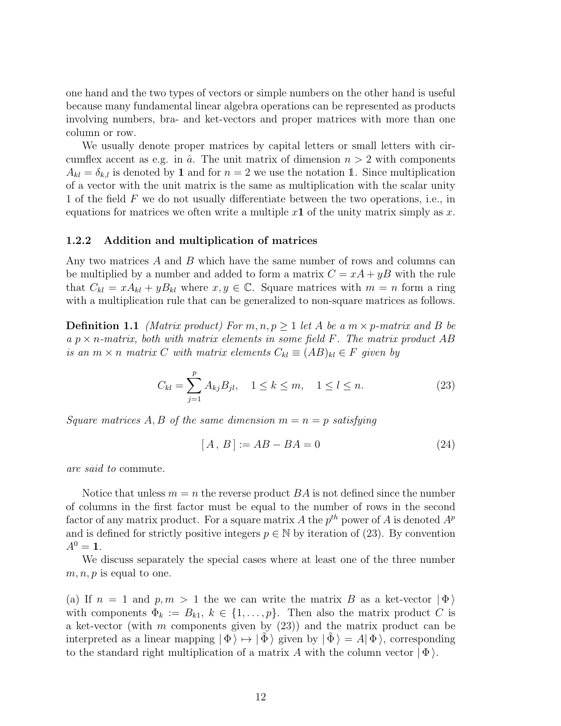one hand and the two types of vectors or simple numbers on the other hand is useful because many fundamental linear algebra operations can be represented as products involving numbers, bra- and ket-vectors and proper matrices with more than one column or row.

We usually denote proper matrices by capital letters or small letters with circumflex accent as e.g. in  $\hat{a}$ . The unit matrix of dimension  $n > 2$  with components  $A_{kl} = \delta_{kl}$  is denoted by 1 and for  $n = 2$  we use the notation 1. Since multiplication of a vector with the unit matrix is the same as multiplication with the scalar unity 1 of the field F we do not usually differentiate between the two operations, i.e., in equations for matrices we often write a multiple  $x1$  of the unity matrix simply as  $x$ .

#### 1.2.2 Addition and multiplication of matrices

Any two matrices  $A$  and  $B$  which have the same number of rows and columns can be multiplied by a number and added to form a matrix  $C = xA + yB$  with the rule that  $C_{kl} = xA_{kl} + yB_{kl}$  where  $x, y \in \mathbb{C}$ . Square matrices with  $m = n$  form a ring with a multiplication rule that can be generalized to non-square matrices as follows.

**Definition 1.1** (Matrix product) For  $m, n, p \ge 1$  let A be a  $m \times p$ -matrix and B be a  $p \times n$ -matrix, both with matrix elements in some field F. The matrix product AB is an  $m \times n$  matrix C with matrix elements  $C_{kl} \equiv (AB)_{kl} \in F$  given by

$$
C_{kl} = \sum_{j=1}^{p} A_{kj} B_{jl}, \quad 1 \le k \le m, \quad 1 \le l \le n.
$$
 (23)

Square matrices A, B of the same dimension  $m = n = p$  satisfying

$$
[A, B] := AB - BA = 0 \tag{24}
$$

are said to commute.

Notice that unless  $m = n$  the reverse product  $BA$  is not defined since the number of columns in the first factor must be equal to the number of rows in the second factor of any matrix product. For a square matrix A the  $p^{th}$  power of A is denoted  $A^p$ and is defined for strictly positive integers  $p \in \mathbb{N}$  by iteration of (23). By convention  $A^0 = 1$ .

We discuss separately the special cases where at least one of the three number  $m, n, p$  is equal to one.

(a) If  $n = 1$  and  $p, m > 1$  the we can write the matrix B as a ket-vector  $|\Phi\rangle$ with components  $\Phi_k := B_{k1}, k \in \{1, \ldots, p\}$ . Then also the matrix product C is a ket-vector (with m components given by  $(23)$ ) and the matrix product can be interpreted as a linear mapping  $|\Phi\rangle \mapsto |\Phi\rangle$  given by  $|\Phi\rangle = A|\Phi\rangle$ , corresponding to the standard right multiplication of a matrix A with the column vector  $|\Phi\rangle$ .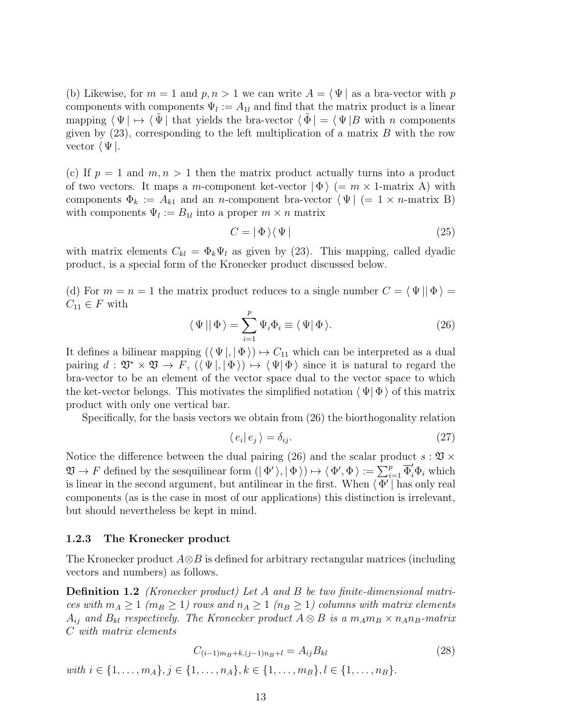(b) Likewise, for  $m = 1$  and  $p, n > 1$  we can write  $A = \langle \Psi |$  as a bra-vector with p components with components  $\Psi_l := A_{1l}$  and find that the matrix product is a linear mapping  $\langle \Psi | \mapsto \langle \Psi |$  that yields the bra-vector  $\langle \Phi | = \langle \Psi | B \Psi \rangle$  with n components given by  $(23)$ , corresponding to the left multiplication of a matrix B with the row vector  $\langle \Psi |$ .

(c) If  $p = 1$  and  $m, n > 1$  then the matrix product actually turns into a product of two vectors. It maps a m-component ket-vector  $|\Phi\rangle$  (= m × 1-matrix A) with components  $\Phi_k := A_{k1}$  and an *n*-component bra-vector  $\Psi \mid (= 1 \times n$ -matrix B) with components  $\Psi_l := B_{1l}$  into a proper  $m \times n$  matrix

$$
C = |\Phi\rangle\langle\Psi| \tag{25}
$$

with matrix elements  $C_{kl} = \Phi_k \Psi_l$  as given by (23). This mapping, called dyadic product, is a special form of the Kronecker product discussed below.

(d) For  $m = n = 1$  the matrix product reduces to a single number  $C = \langle \Psi | | \Phi \rangle =$  $C_{11} \in F$  with

$$
\langle \Psi | | \Phi \rangle = \sum_{i=1}^{p} \Psi_i \Phi_i \equiv \langle \Psi | \Phi \rangle.
$$
 (26)

It defines a bilinear mapping  $({\langle \Psi |, |\Phi \rangle}) \mapsto C_{11}$  which can be interpreted as a dual pairing  $d: \mathfrak{V}^* \times \mathfrak{V} \to F$ ,  $(\langle \Psi |, |\Phi \rangle) \mapsto \langle \Psi | \Phi \rangle$  since it is natural to regard the bra-vector to be an element of the vector space dual to the vector space to which the ket-vector belongs. This motivates the simplified notation  $\langle \Psi | \Phi \rangle$  of this matrix product with only one vertical bar.

Specifically, for the basis vectors we obtain from (26) the biorthogonality relation

$$
\langle e_i | e_j \rangle = \delta_{ij}.\tag{27}
$$

Notice the difference between the dual pairing (26) and the scalar product  $s : \mathfrak{V} \times$  $\mathfrak{V} \to F$  defined by the sesquilinear form  $(|\Phi \rangle, |\Phi \rangle) \mapsto \langle \Phi', \Phi \rangle := \sum_{i=1}^p \overline{\Phi}'_i \Phi_i$  which is linear in the second argument, but antilinear in the first. When  $\langle \Phi' |$  has only real components (as is the case in most of our applications) this distinction is irrelevant, but should nevertheless be kept in mind.

#### 1.2.3 The Kronecker product

The Kronecker product  $A\otimes B$  is defined for arbitrary rectangular matrices (including vectors and numbers) as follows.

**Definition 1.2** (Kronecker product) Let A and B be two finite-dimensional matrices with  $m_A \ge 1$  ( $m_B \ge 1$ ) rows and  $n_A \ge 1$  ( $n_B \ge 1$ ) columns with matrix elements  $A_{ij}$  and  $B_{kl}$  respectively. The Kronecker product  $A \otimes B$  is a  $m_A m_B \times n_A n_B$ -matrix C with matrix elements

$$
C_{(i-1)m_B+k,(j-1)n_B+l} = A_{ij}B_{kl}
$$
\n
$$
with i \in \{1, ..., m_A\}, j \in \{1, ..., n_A\}, k \in \{1, ..., m_B\}, l \in \{1, ..., n_B\}.
$$
\n
$$
(28)
$$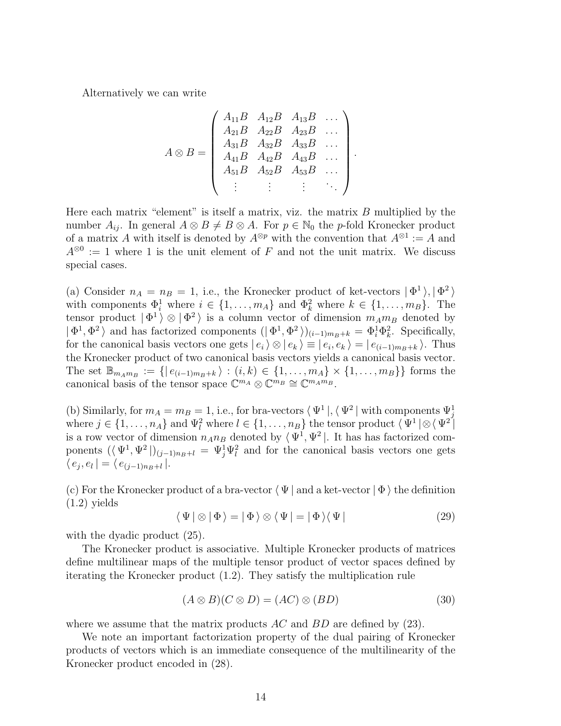Alternatively we can write

$$
A \otimes B = \begin{pmatrix} A_{11}B & A_{12}B & A_{13}B & \dots \\ A_{21}B & A_{22}B & A_{23}B & \dots \\ A_{31}B & A_{32}B & A_{33}B & \dots \\ A_{41}B & A_{42}B & A_{43}B & \dots \\ A_{51}B & A_{52}B & A_{53}B & \dots \\ \vdots & \vdots & \vdots & \ddots \end{pmatrix}.
$$

Here each matrix "element" is itself a matrix, viz. the matrix  $B$  multiplied by the number  $A_{ij}$ . In general  $A \otimes B \neq B \otimes A$ . For  $p \in \mathbb{N}_0$  the p-fold Kronecker product of a matrix A with itself is denoted by  $A^{\otimes p}$  with the convention that  $A^{\otimes 1} := A$  and  $A^{\otimes 0} := 1$  where 1 is the unit element of F and not the unit matrix. We discuss special cases.

(a) Consider  $n_A = n_B = 1$ , i.e., the Kronecker product of ket-vectors  $|\Phi^1\rangle, |\Phi^2\rangle$ with components  $\Phi_i^1$  where  $i \in \{1, \ldots, m_A\}$  and  $\Phi_k^2$  where  $k \in \{1, \ldots, m_B\}$ . The tensor product  $|\Phi^1\rangle \otimes |\Phi^2\rangle$  is a column vector of dimension  $m_A m_B$  denoted by  $|\Phi^1, \Phi^2\rangle$  and has factorized components  $(|\Phi^1, \Phi^2\rangle)_{(i-1)m_B+k} = \Phi_i^1 \Phi_k^2$ . Specifically, for the canonical basis vectors one gets  $|e_i\rangle \otimes |e_k\rangle \equiv |e_i, e_k\rangle = |e_{(i-1)m_B+k}\rangle$ . Thus the Kronecker product of two canonical basis vectors yields a canonical basis vector. The set  $\mathbb{B}_{m_A m_B} := \{ | e_{(i-1)m_B + k} \rangle : (i,k) \in \{1, ..., m_A\} \times \{1, ..., m_B\} \}$  forms the canonical basis of the tensor space  $\mathbb{C}^{m_A} \otimes \mathbb{C}^{m_B} \cong \mathbb{C}^{m_A m_B}$ .

(b) Similarly, for  $m_A = m_B = 1$ , i.e., for bra-vectors  $\langle \Psi^1 |, \langle \Psi^2 |$  with components  $\Psi_j^1$ where  $j \in \{1, \ldots, n_A\}$  and  $\Psi_l^2$  where  $l \in \{1, \ldots, n_B\}$  the tensor product  $\langle \Psi^1 | \otimes \langle \Psi^2 |$ is a row vector of dimension  $n_A n_B$  denoted by  $\langle \Psi^1, \Psi^2 |$ . It has has factorized components  $(\langle \Psi^1, \Psi^2 \rangle)_{(j-1)n_B+l} = \Psi_j^1 \Psi_l^2$  and for the canonical basis vectors one gets  $\langle e_j, e_l | = \langle e_{(j-1)n_B + l} |.$ 

(c) For the Kronecker product of a bra-vector  $\langle \Psi |$  and a ket-vector  $|\Phi \rangle$  the definition (1.2) yields

$$
\langle \Psi | \otimes | \Phi \rangle = | \Phi \rangle \otimes \langle \Psi | = | \Phi \rangle \langle \Psi |
$$
 (29)

with the dyadic product  $(25)$ .

The Kronecker product is associative. Multiple Kronecker products of matrices define multilinear maps of the multiple tensor product of vector spaces defined by iterating the Kronecker product (1.2). They satisfy the multiplication rule

$$
(A \otimes B)(C \otimes D) = (AC) \otimes (BD) \tag{30}
$$

where we assume that the matrix products  $AC$  and  $BD$  are defined by (23).

We note an important factorization property of the dual pairing of Kronecker products of vectors which is an immediate consequence of the multilinearity of the Kronecker product encoded in (28).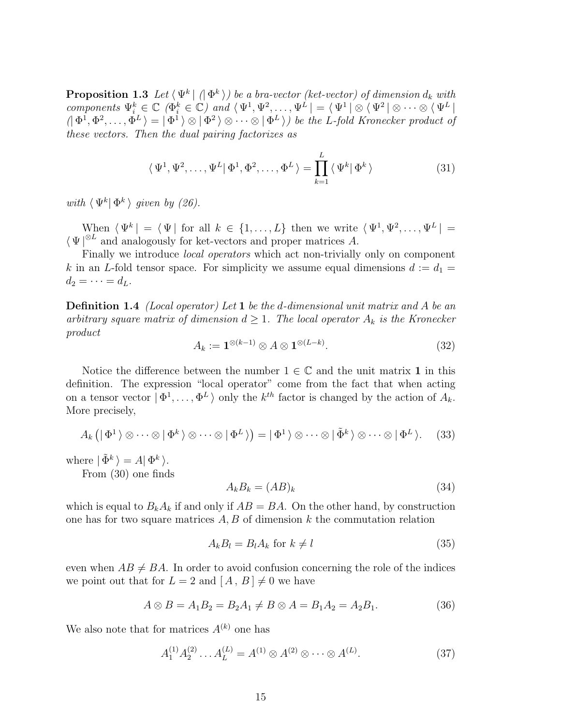**Proposition 1.3** Let  $\langle \Psi^k | \phi \rangle$  be a bra-vector (ket-vector) of dimension  $d_k$  with components  $\Psi_i^k \in \mathbb{C}$  ( $\Phi_i^k \in \mathbb{C}$ ) and  $\langle \Psi^1, \Psi^2, \ldots, \Psi^L \rangle = \langle \Psi^1 \rangle \otimes \langle \Psi^2 \rangle \otimes \cdots \otimes \langle \Psi^L \rangle$  $(|\Phi^1, \Phi^2, \dots, \Phi^L| = |\Phi^1 \rangle \otimes |\Phi^2 \rangle \otimes \dots \otimes |\Phi^L \rangle)$  be the L-fold Kronecker product of these vectors. Then the dual pairing factorizes as

$$
\langle \Psi^1, \Psi^2, \dots, \Psi^L | \Phi^1, \Phi^2, \dots, \Phi^L \rangle = \prod_{k=1}^L \langle \Psi^k | \Phi^k \rangle \tag{31}
$$

with  $\langle \Psi^k | \Phi^k \rangle$  given by (26).

When  $\langle \Psi^k | = \langle \Psi |$  for all  $k \in \{1, ..., L\}$  then we write  $\langle \Psi^1, \Psi^2, ..., \Psi^L | =$  $\langle \Psi |^{\otimes L}$  and analogously for ket-vectors and proper matrices A.

Finally we introduce *local operators* which act non-trivially only on component k in an L-fold tensor space. For simplicity we assume equal dimensions  $d := d_1 =$  $d_2 = \cdots = d_L.$ 

**Definition 1.4** *(Local operator)* Let 1 be the d-dimensional unit matrix and A be an arbitrary square matrix of dimension  $d \geq 1$ . The local operator  $A_k$  is the Kronecker product

$$
A_k := \mathbf{1}^{\otimes (k-1)} \otimes A \otimes \mathbf{1}^{\otimes (L-k)}.\tag{32}
$$

Notice the difference between the number  $1 \in \mathbb{C}$  and the unit matrix 1 in this definition. The expression "local operator" come from the fact that when acting on a tensor vector  $|\Phi^1,\ldots,\Phi^L\rangle$  only the  $k^{th}$  factor is changed by the action of  $A_k$ . More precisely,

$$
A_k(\vert \Phi^1 \rangle \otimes \cdots \otimes \vert \Phi^k \rangle \otimes \cdots \otimes \vert \Phi^L \rangle) = \vert \Phi^1 \rangle \otimes \cdots \otimes \vert \tilde{\Phi}^k \rangle \otimes \cdots \otimes \vert \Phi^L \rangle. \tag{33}
$$

where  $| \tilde{\Phi}^k \rangle = A | \Phi^k \rangle$ .

From (30) one finds

$$
A_k B_k = (AB)_k \tag{34}
$$

which is equal to  $B_k A_k$  if and only if  $AB = BA$ . On the other hand, by construction one has for two square matrices  $A, B$  of dimension k the commutation relation

$$
A_k B_l = B_l A_k \text{ for } k \neq l \tag{35}
$$

even when  $AB \neq BA$ . In order to avoid confusion concerning the role of the indices we point out that for  $L = 2$  and  $[A, B] \neq 0$  we have

$$
A \otimes B = A_1 B_2 = B_2 A_1 \neq B \otimes A = B_1 A_2 = A_2 B_1. \tag{36}
$$

We also note that for matrices  $A^{(k)}$  one has

$$
A_1^{(1)} A_2^{(2)} \dots A_L^{(L)} = A^{(1)} \otimes A^{(2)} \otimes \dots \otimes A^{(L)}.
$$
 (37)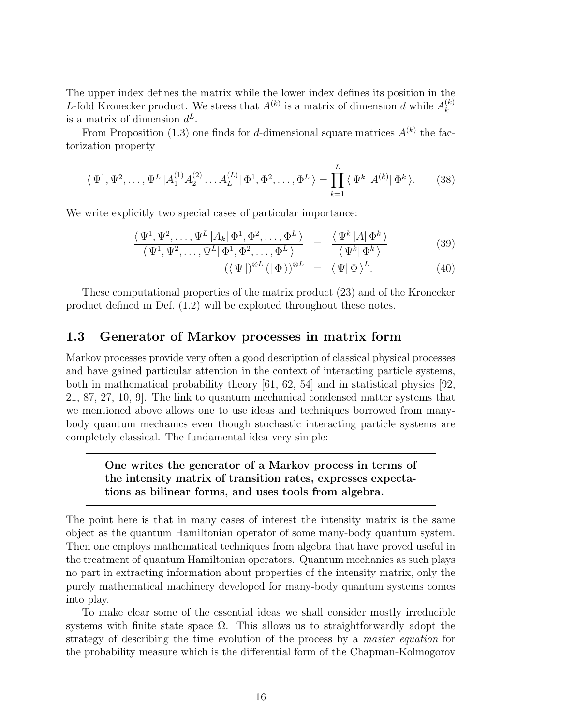The upper index defines the matrix while the lower index defines its position in the L-fold Kronecker product. We stress that  $A^{(k)}$  is a matrix of dimension d while  $A_k^{(k)}$ k is a matrix of dimension  $d^L$ .

From Proposition (1.3) one finds for d-dimensional square matrices  $A^{(k)}$  the factorization property

$$
\langle \Psi^1, \Psi^2, \dots, \Psi^L | A_1^{(1)} A_2^{(2)} \dots A_L^{(L)} | \Phi^1, \Phi^2, \dots, \Phi^L \rangle = \prod_{k=1}^L \langle \Psi^k | A^{(k)} | \Phi^k \rangle.
$$
 (38)

We write explicitly two special cases of particular importance:

$$
\frac{\langle \Psi^1, \Psi^2, \dots, \Psi^L | A_k | \Phi^1, \Phi^2, \dots, \Phi^L \rangle}{\langle \Psi^1, \Psi^2, \dots, \Psi^L | \Phi^1, \Phi^2, \dots, \Phi^L \rangle} = \frac{\langle \Psi^k | A | \Phi^k \rangle}{\langle \Psi^k | \Phi^k \rangle}
$$
(39)

$$
(\langle \Psi |)^{\otimes L} (|\Phi \rangle)^{\otimes L} = \langle \Psi | \Phi \rangle^{L}.
$$
 (40)

These computational properties of the matrix product (23) and of the Kronecker product defined in Def. (1.2) will be exploited throughout these notes.

# 1.3 Generator of Markov processes in matrix form

Markov processes provide very often a good description of classical physical processes and have gained particular attention in the context of interacting particle systems, both in mathematical probability theory [61, 62, 54] and in statistical physics [92, 21, 87, 27, 10, 9]. The link to quantum mechanical condensed matter systems that we mentioned above allows one to use ideas and techniques borrowed from manybody quantum mechanics even though stochastic interacting particle systems are completely classical. The fundamental idea very simple:

# One writes the generator of a Markov process in terms of the intensity matrix of transition rates, expresses expectations as bilinear forms, and uses tools from algebra.

The point here is that in many cases of interest the intensity matrix is the same object as the quantum Hamiltonian operator of some many-body quantum system. Then one employs mathematical techniques from algebra that have proved useful in the treatment of quantum Hamiltonian operators. Quantum mechanics as such plays no part in extracting information about properties of the intensity matrix, only the purely mathematical machinery developed for many-body quantum systems comes into play.

To make clear some of the essential ideas we shall consider mostly irreducible systems with finite state space  $\Omega$ . This allows us to straightforwardly adopt the strategy of describing the time evolution of the process by a master equation for the probability measure which is the differential form of the Chapman-Kolmogorov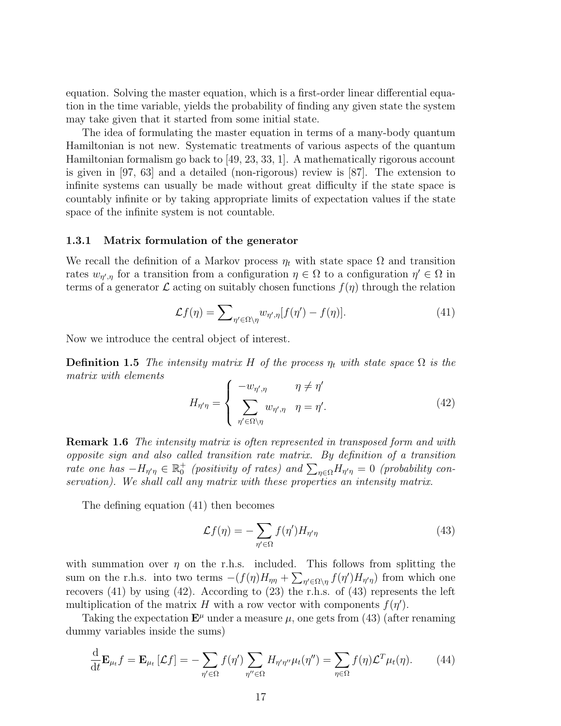equation. Solving the master equation, which is a first-order linear differential equation in the time variable, yields the probability of finding any given state the system may take given that it started from some initial state.

The idea of formulating the master equation in terms of a many-body quantum Hamiltonian is not new. Systematic treatments of various aspects of the quantum Hamiltonian formalism go back to [49, 23, 33, 1]. A mathematically rigorous account is given in [97, 63] and a detailed (non-rigorous) review is [87]. The extension to infinite systems can usually be made without great difficulty if the state space is countably infinite or by taking appropriate limits of expectation values if the state space of the infinite system is not countable.

#### 1.3.1 Matrix formulation of the generator

We recall the definition of a Markov process  $\eta_t$  with state space  $\Omega$  and transition rates  $w_{\eta',\eta}$  for a transition from a configuration  $\eta \in \Omega$  to a configuration  $\eta' \in \Omega$  in terms of a generator  $\mathcal L$  acting on suitably chosen functions  $f(\eta)$  through the relation

$$
\mathcal{L}f(\eta) = \sum_{\eta' \in \Omega \setminus \eta} w_{\eta',\eta} [f(\eta') - f(\eta)]. \tag{41}
$$

Now we introduce the central object of interest.

**Definition 1.5** The intensity matrix H of the process  $\eta_t$  with state space  $\Omega$  is the matrix with elements

$$
H_{\eta'\eta} = \begin{cases} -w_{\eta',\eta} & \eta \neq \eta' \\ \sum_{\eta' \in \Omega \setminus \eta} w_{\eta',\eta} & \eta = \eta'. \end{cases} \tag{42}
$$

**Remark 1.6** The intensity matrix is often represented in transposed form and with opposite sign and also called transition rate matrix. By definition of a transition rate one has  $-H_{\eta'\eta} \in \mathbb{R}_0^+$  (positivity of rates) and  $\sum_{\eta \in \Omega} H_{\eta'\eta} = 0$  (probability conservation). We shall call any matrix with these properties an intensity matrix.

The defining equation (41) then becomes

$$
\mathcal{L}f(\eta) = -\sum_{\eta' \in \Omega} f(\eta') H_{\eta'\eta} \tag{43}
$$

with summation over  $\eta$  on the r.h.s. included. This follows from splitting the sum on the r.h.s. into two terms  $-(f(\eta)H_{\eta\eta} + \sum_{\eta' \in \Omega \setminus \eta} f(\eta')H_{\eta'\eta})$  from which one recovers (41) by using (42). According to (23) the r.h.s. of (43) represents the left multiplication of the matrix H with a row vector with components  $f(\eta')$ .

Taking the expectation  $\mathbf{E}^{\mu}$  under a measure  $\mu$ , one gets from (43) (after renaming dummy variables inside the sums)

$$
\frac{\mathrm{d}}{\mathrm{d}t} \mathbf{E}_{\mu_t} f = \mathbf{E}_{\mu_t} \left[ \mathcal{L} f \right] = - \sum_{\eta' \in \Omega} f(\eta') \sum_{\eta'' \in \Omega} H_{\eta'\eta''} \mu_t(\eta'') = \sum_{\eta \in \Omega} f(\eta) \mathcal{L}^T \mu_t(\eta). \tag{44}
$$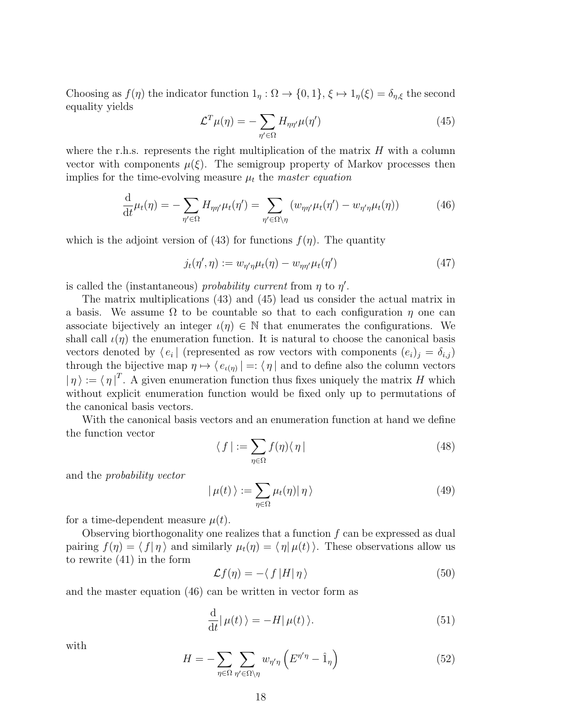Choosing as  $f(\eta)$  the indicator function  $1_{\eta}: \Omega \to \{0,1\}, \xi \mapsto 1_{\eta}(\xi) = \delta_{\eta,\xi}$  the second equality yields

$$
\mathcal{L}^T \mu(\eta) = -\sum_{\eta' \in \Omega} H_{\eta \eta'} \mu(\eta') \tag{45}
$$

where the r.h.s. represents the right multiplication of the matrix  $H$  with a column vector with components  $\mu(\xi)$ . The semigroup property of Markov processes then implies for the time-evolving measure  $\mu_t$  the master equation

$$
\frac{\mathrm{d}}{\mathrm{d}t}\mu_t(\eta) = -\sum_{\eta' \in \Omega} H_{\eta\eta'}\mu_t(\eta') = \sum_{\eta' \in \Omega \setminus \eta} (w_{\eta\eta'}\mu_t(\eta') - w_{\eta'\eta}\mu_t(\eta)) \tag{46}
$$

which is the adjoint version of (43) for functions  $f(\eta)$ . The quantity

$$
j_t(\eta', \eta) := w_{\eta'\eta}\mu_t(\eta) - w_{\eta\eta'}\mu_t(\eta') \tag{47}
$$

is called the (instantaneous) probability current from  $\eta$  to  $\eta'$ .

The matrix multiplications (43) and (45) lead us consider the actual matrix in a basis. We assume  $\Omega$  to be countable so that to each configuration  $\eta$  one can associate bijectively an integer  $\iota(\eta) \in \mathbb{N}$  that enumerates the configurations. We shall call  $\iota(\eta)$  the enumeration function. It is natural to choose the canonical basis vectors denoted by  $\langle e_i |$  (represented as row vectors with components  $(e_i)_j = \delta_{i,j}$ ) through the bijective map  $\eta \mapsto \langle e_{\iota(\eta)}| =: \langle \eta |$  and to define also the column vectors  $|\eta\rangle := \langle \eta |^T$ . A given enumeration function thus fixes uniquely the matrix H which without explicit enumeration function would be fixed only up to permutations of the canonical basis vectors.

With the canonical basis vectors and an enumeration function at hand we define the function vector

$$
\langle f \mid := \sum_{\eta \in \Omega} f(\eta) \langle \eta \mid \tag{48}
$$

and the probability vector

$$
|\mu(t)\rangle := \sum_{\eta \in \Omega} \mu_t(\eta) |\eta\rangle \tag{49}
$$

for a time-dependent measure  $\mu(t)$ .

Observing biorthogonality one realizes that a function  $f$  can be expressed as dual pairing  $f(\eta) = \langle f | \eta \rangle$  and similarly  $\mu_t(\eta) = \langle \eta | \mu(t) \rangle$ . These observations allow us to rewrite (41) in the form

$$
\mathcal{L}f(\eta) = -\langle f|H|\eta\rangle \tag{50}
$$

and the master equation (46) can be written in vector form as

$$
\frac{\mathrm{d}}{\mathrm{d}t}|\,\mu(t)\,\rangle = -H|\,\mu(t)\,\rangle. \tag{51}
$$

with

$$
H = -\sum_{\eta \in \Omega} \sum_{\eta' \in \Omega \setminus \eta} w_{\eta'\eta} \left( E^{\eta'\eta} - \hat{1}_{\eta} \right) \tag{52}
$$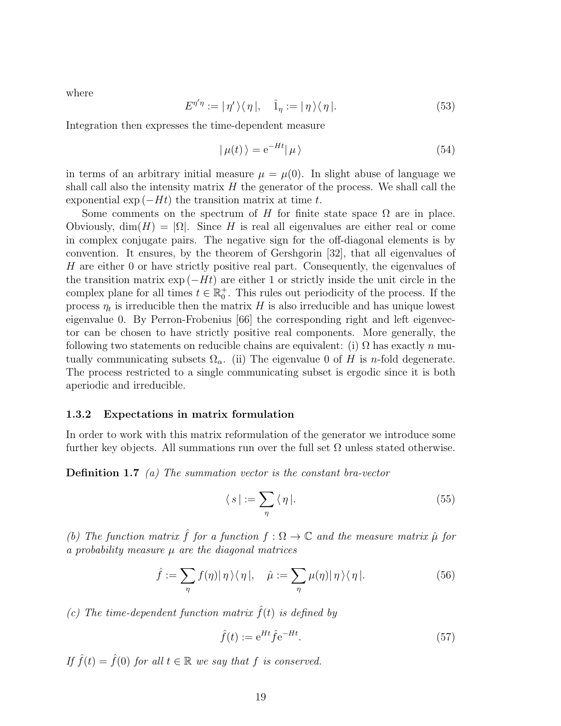where

$$
E^{\eta'\eta} := |\eta'\rangle\langle\eta|, \quad \hat{1}_{\eta} := |\eta\rangle\langle\eta|.
$$
 (53)

Integration then expresses the time-dependent measure

$$
|\mu(t)\rangle = e^{-Ht}|\mu\rangle \tag{54}
$$

in terms of an arbitrary initial measure  $\mu = \mu(0)$ . In slight abuse of language we shall call also the intensity matrix  $H$  the generator of the process. We shall call the exponential exp  $(-Ht)$  the transition matrix at time t.

Some comments on the spectrum of H for finite state space  $\Omega$  are in place. Obviously,  $\dim(H) = |\Omega|$ . Since H is real all eigenvalues are either real or come in complex conjugate pairs. The negative sign for the off-diagonal elements is by convention. It ensures, by the theorem of Gershgorin [32], that all eigenvalues of H are either 0 or have strictly positive real part. Consequently, the eigenvalues of the transition matrix  $\exp(-Ht)$  are either 1 or strictly inside the unit circle in the complex plane for all times  $t \in \mathbb{R}_0^+$ . This rules out periodicity of the process. If the process  $\eta_t$  is irreducible then the matrix H is also irreducible and has unique lowest eigenvalue 0. By Perron-Frobenius [66] the corresponding right and left eigenvector can be chosen to have strictly positive real components. More generally, the following two statements on reducible chains are equivalent: (i)  $\Omega$  has exactly n mutually communicating subsets  $\Omega_{\alpha}$ . (ii) The eigenvalue 0 of H is n-fold degenerate. The process restricted to a single communicating subset is ergodic since it is both aperiodic and irreducible.

#### 1.3.2 Expectations in matrix formulation

In order to work with this matrix reformulation of the generator we introduce some further key objects. All summations run over the full set  $\Omega$  unless stated otherwise.

**Definition 1.7** (a) The summation vector is the constant bra-vector

$$
\langle s \mid := \sum_{\eta} \langle \eta \mid. \tag{55}
$$

(b) The function matrix  $\hat{f}$  for a function  $f : \Omega \to \mathbb{C}$  and the measure matrix  $\hat{\mu}$  for a probability measure  $\mu$  are the diagonal matrices

$$
\hat{f} := \sum_{\eta} f(\eta) |\eta\rangle\langle\eta|, \quad \hat{\mu} := \sum_{\eta} \mu(\eta) |\eta\rangle\langle\eta|.
$$
 (56)

(c) The time-dependent function matrix  $\hat{f}(t)$  is defined by

$$
\hat{f}(t) := e^{Ht} \hat{f} e^{-Ht}.
$$
\n(57)

If  $\hat{f}(t) = \hat{f}(0)$  for all  $t \in \mathbb{R}$  we say that f is conserved.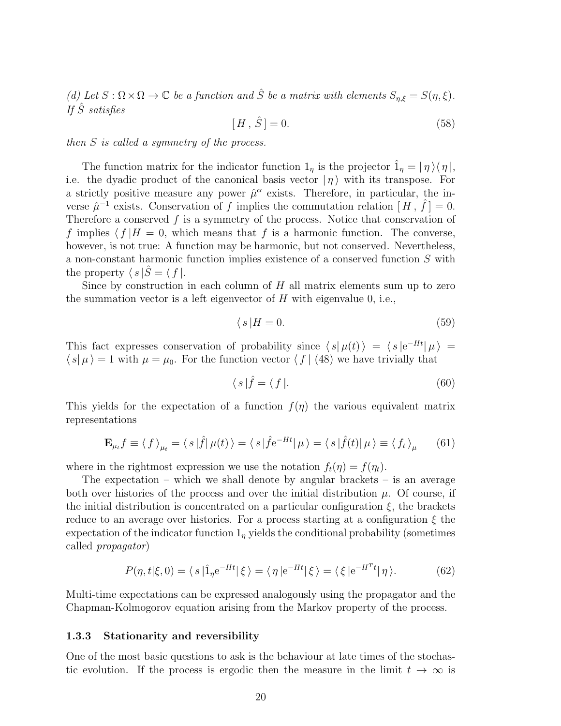(d) Let  $S : \Omega \times \Omega \to \mathbb{C}$  be a function and  $\hat{S}$  be a matrix with elements  $S_{n,\xi} = S(\eta,\xi)$ . If  $\hat{S}$  satisfies

$$
[H, \hat{S}] = 0. \tag{58}
$$

then S is called a symmetry of the process.

The function matrix for the indicator function  $1_n$  is the projector  $\hat{1}_n = |\eta\rangle\langle\eta|,$ i.e. the dyadic product of the canonical basis vector  $|\eta\rangle$  with its transpose. For a strictly positive measure any power  $\hat{\mu}^{\alpha}$  exists. Therefore, in particular, the inverse  $\hat{\mu}^{-1}$  exists. Conservation of f implies the commutation relation  $[H, \hat{f}] = 0$ . Therefore a conserved  $f$  is a symmetry of the process. Notice that conservation of f implies  $\langle f | H = 0$ , which means that f is a harmonic function. The converse, however, is not true: A function may be harmonic, but not conserved. Nevertheless, a non-constant harmonic function implies existence of a conserved function S with the property  $\langle s | \hat{S} = \langle f |$ .

Since by construction in each column of  $H$  all matrix elements sum up to zero the summation vector is a left eigenvector of  $H$  with eigenvalue 0, i.e.,

$$
\langle s|H=0.\tag{59}
$$

This fact expresses conservation of probability since  $\langle s | \mu(t) \rangle = \langle s | e^{-Ht} | \mu \rangle =$  $\langle s | \mu \rangle = 1$  with  $\mu = \mu_0$ . For the function vector  $\langle f | (48)$  we have trivially that

$$
\langle s|\hat{f} = \langle f|.\tag{60}
$$

This yields for the expectation of a function  $f(\eta)$  the various equivalent matrix representations

$$
\mathbf{E}_{\mu_t} f \equiv \langle f \rangle_{\mu_t} = \langle s | \hat{f} | \mu(t) \rangle = \langle s | \hat{f} e^{-Ht} | \mu \rangle = \langle s | \hat{f}(t) | \mu \rangle \equiv \langle f_t \rangle_{\mu} \qquad (61)
$$

where in the rightmost expression we use the notation  $f_t(\eta) = f(\eta_t)$ .

The expectation – which we shall denote by angular brackets – is an average both over histories of the process and over the initial distribution  $\mu$ . Of course, if the initial distribution is concentrated on a particular configuration  $\xi$ , the brackets reduce to an average over histories. For a process starting at a configuration  $\xi$  the expectation of the indicator function  $1<sub>\eta</sub>$  yields the conditional probability (sometimes called propagator)

$$
P(\eta, t|\xi, 0) = \langle s | \hat{1}_\eta e^{-Ht} | \xi \rangle = \langle \eta | e^{-Ht} | \xi \rangle = \langle \xi | e^{-H^Tt} | \eta \rangle. \tag{62}
$$

Multi-time expectations can be expressed analogously using the propagator and the Chapman-Kolmogorov equation arising from the Markov property of the process.

#### 1.3.3 Stationarity and reversibility

One of the most basic questions to ask is the behaviour at late times of the stochastic evolution. If the process is ergodic then the measure in the limit  $t \to \infty$  is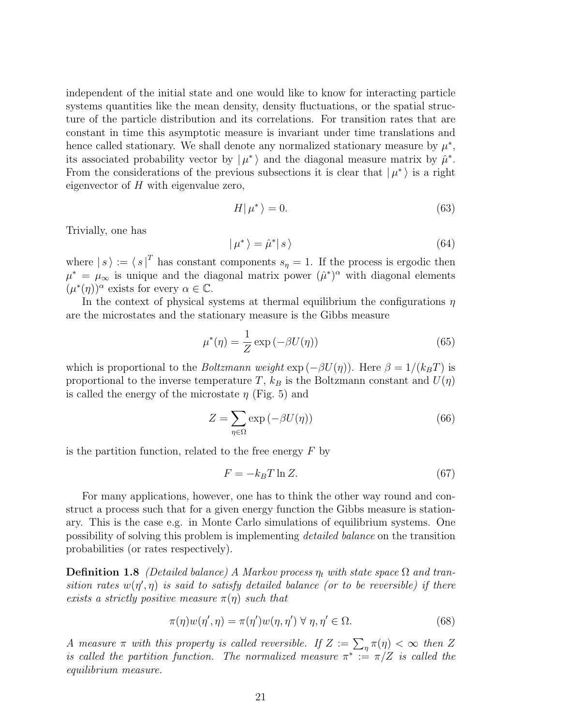independent of the initial state and one would like to know for interacting particle systems quantities like the mean density, density fluctuations, or the spatial structure of the particle distribution and its correlations. For transition rates that are constant in time this asymptotic measure is invariant under time translations and hence called stationary. We shall denote any normalized stationary measure by  $\mu^*$ , its associated probability vector by  $\vert \mu^* \rangle$  and the diagonal measure matrix by  $\hat{\mu}^*$ . From the considerations of the previous subsections it is clear that  $|\mu^*\rangle$  is a right eigenvector of  $H$  with eigenvalue zero,

$$
H|\mu^*\rangle = 0.\tag{63}
$$

Trivially, one has

$$
|\mu^*\rangle = \hat{\mu}^*|s\rangle\tag{64}
$$

where  $|s\rangle := \langle s |^{T}$  has constant components  $s_{\eta} = 1$ . If the process is ergodic then  $\mu^* = \mu_\infty$  is unique and the diagonal matrix power  $(\hat{\mu}^*)^\alpha$  with diagonal elements  $(\mu^*(\eta))^{\alpha}$  exists for every  $\alpha \in \mathbb{C}$ .

In the context of physical systems at thermal equilibrium the configurations  $\eta$ are the microstates and the stationary measure is the Gibbs measure

$$
\mu^*(\eta) = \frac{1}{Z} \exp(-\beta U(\eta))
$$
\n(65)

which is proportional to the *Boltzmann weight*  $\exp(-\beta U(\eta))$ . Here  $\beta = 1/(k_BT)$  is proportional to the inverse temperature T,  $k_B$  is the Boltzmann constant and  $U(\eta)$ is called the energy of the microstate  $\eta$  (Fig. 5) and

$$
Z = \sum_{\eta \in \Omega} \exp(-\beta U(\eta))
$$
\n(66)

is the partition function, related to the free energy  $F$  by

$$
F = -k_B T \ln Z. \tag{67}
$$

For many applications, however, one has to think the other way round and construct a process such that for a given energy function the Gibbs measure is stationary. This is the case e.g. in Monte Carlo simulations of equilibrium systems. One possibility of solving this problem is implementing detailed balance on the transition probabilities (or rates respectively).

**Definition 1.8** (Detailed balance) A Markov process  $\eta_t$  with state space  $\Omega$  and transition rates  $w(\eta', \eta)$  is said to satisfy detailed balance (or to be reversible) if there exists a strictly positive measure  $\pi(\eta)$  such that

$$
\pi(\eta)w(\eta',\eta) = \pi(\eta')w(\eta,\eta') \,\forall \,\eta,\eta' \in \Omega. \tag{68}
$$

A measure  $\pi$  with this property is called reversible. If  $Z := \sum_{\eta} \pi(\eta) < \infty$  then Z is called the partition function. The normalized measure  $\pi^* := \pi/Z$  is called the equilibrium measure.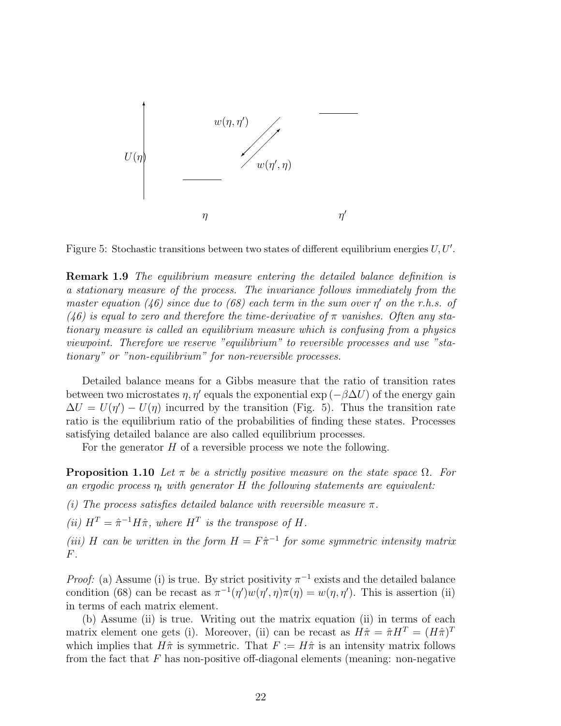

Figure 5: Stochastic transitions between two states of different equilibrium energies  $U, U'$ .

**Remark 1.9** The equilibrium measure entering the detailed balance definition is a stationary measure of the process. The invariance follows immediately from the master equation (46) since due to (68) each term in the sum over  $\eta'$  on the r.h.s. of (46) is equal to zero and therefore the time-derivative of  $\pi$  vanishes. Often any stationary measure is called an equilibrium measure which is confusing from a physics viewpoint. Therefore we reserve "equilibrium" to reversible processes and use "stationary" or "non-equilibrium" for non-reversible processes.

Detailed balance means for a Gibbs measure that the ratio of transition rates between two microstates  $\eta$ ,  $\eta'$  equals the exponential exp ( $-\beta \Delta U$ ) of the energy gain  $\Delta U = U(\eta') - U(\eta)$  incurred by the transition (Fig. 5). Thus the transition rate ratio is the equilibrium ratio of the probabilities of finding these states. Processes satisfying detailed balance are also called equilibrium processes.

For the generator  $H$  of a reversible process we note the following.

**Proposition 1.10** Let  $\pi$  be a strictly positive measure on the state space  $\Omega$ . For an ergodic process  $\eta_t$  with generator H the following statements are equivalent:

(i) The process satisfies detailed balance with reversible measure  $\pi$ .

(ii)  $H^T = \hat{\pi}^{-1} H \hat{\pi}$ , where  $H^T$  is the transpose of H.

(iii) H can be written in the form  $H = F\hat{\pi}^{-1}$  for some symmetric intensity matrix F.

*Proof:* (a) Assume (i) is true. By strict positivity  $\pi^{-1}$  exists and the detailed balance condition (68) can be recast as  $\pi^{-1}(\eta')w(\eta',\eta)\pi(\eta) = w(\eta,\eta')$ . This is assertion (ii) in terms of each matrix element.

(b) Assume (ii) is true. Writing out the matrix equation (ii) in terms of each matrix element one gets (i). Moreover, (ii) can be recast as  $H\hat{\pi} = \hat{\pi}H^T = (H\hat{\pi})^T$ which implies that  $H\hat{\pi}$  is symmetric. That  $F := H\hat{\pi}$  is an intensity matrix follows from the fact that  $F$  has non-positive off-diagonal elements (meaning: non-negative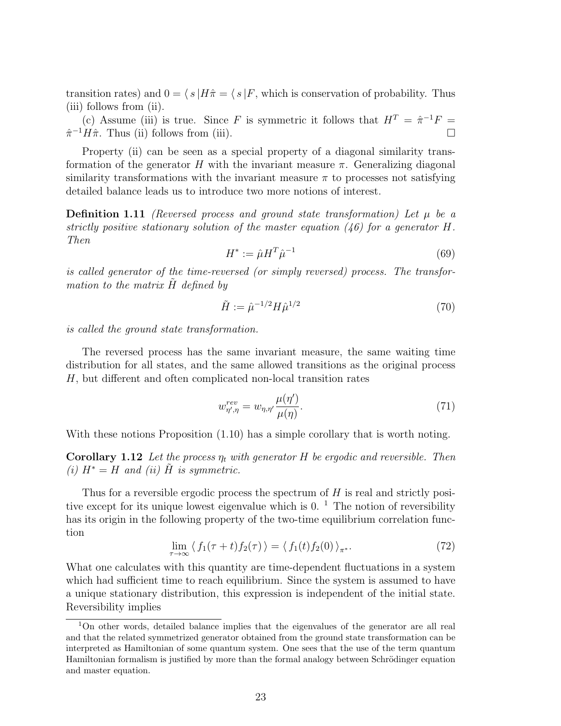transition rates) and  $0 = \langle s | H \hat{\pi} = \langle s | F$ , which is conservation of probability. Thus (iii) follows from (ii).

(c) Assume (iii) is true. Since F is symmetric it follows that  $H^T = \hat{\pi}^{-1}F =$  $\hat{\pi}^{-1}H\hat{\pi}$ . Thus (ii) follows from (iii).

Property (ii) can be seen as a special property of a diagonal similarity transformation of the generator H with the invariant measure  $\pi$ . Generalizing diagonal similarity transformations with the invariant measure  $\pi$  to processes not satisfying detailed balance leads us to introduce two more notions of interest.

**Definition 1.11** (Reversed process and ground state transformation) Let  $\mu$  be a strictly positive stationary solution of the master equation  $(46)$  for a generator H. Then

$$
H^* := \hat{\mu} H^T \hat{\mu}^{-1} \tag{69}
$$

is called generator of the time-reversed (or simply reversed) process. The transformation to the matrix  $H$  defined by

$$
\tilde{H} := \hat{\mu}^{-1/2} H \hat{\mu}^{1/2} \tag{70}
$$

is called the ground state transformation.

The reversed process has the same invariant measure, the same waiting time distribution for all states, and the same allowed transitions as the original process H, but different and often complicated non-local transition rates

$$
w_{\eta',\eta}^{rev} = w_{\eta,\eta'} \frac{\mu(\eta')}{\mu(\eta)}.\tag{71}
$$

With these notions Proposition (1.10) has a simple corollary that is worth noting.

**Corollary 1.12** Let the process  $\eta_t$  with generator H be ergodic and reversible. Then (i)  $H^* = H$  and (ii)  $\tilde{H}$  is symmetric.

Thus for a reversible ergodic process the spectrum of  $H$  is real and strictly positive except for its unique lowest eigenvalue which is  $0<sup>1</sup>$ . The notion of reversibility has its origin in the following property of the two-time equilibrium correlation function

$$
\lim_{\tau \to \infty} \langle f_1(\tau + t) f_2(\tau) \rangle = \langle f_1(t) f_2(0) \rangle_{\pi^*}.
$$
\n(72)

What one calculates with this quantity are time-dependent fluctuations in a system which had sufficient time to reach equilibrium. Since the system is assumed to have a unique stationary distribution, this expression is independent of the initial state. Reversibility implies

<sup>1</sup>On other words, detailed balance implies that the eigenvalues of the generator are all real and that the related symmetrized generator obtained from the ground state transformation can be interpreted as Hamiltonian of some quantum system. One sees that the use of the term quantum Hamiltonian formalism is justified by more than the formal analogy between Schrödinger equation and master equation.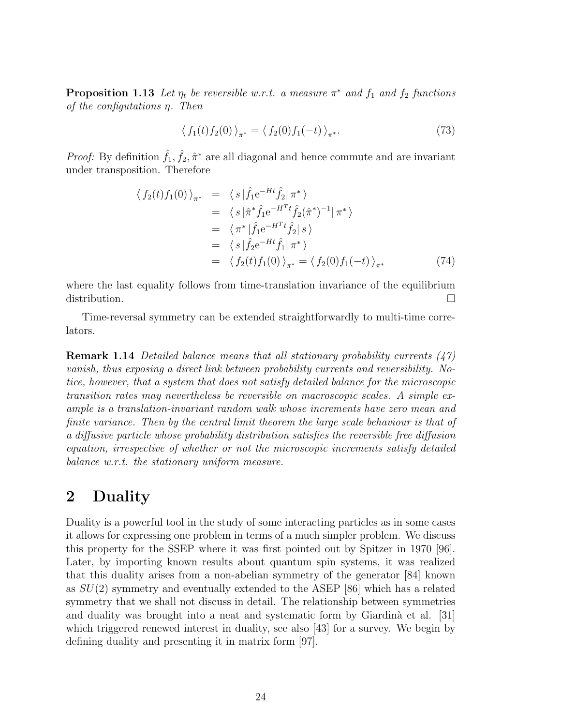**Proposition 1.13** Let  $\eta_t$  be reversible w.r.t. a measure  $\pi^*$  and  $f_1$  and  $f_2$  functions of the configutations η. Then

$$
\langle f_1(t)f_2(0) \rangle_{\pi^*} = \langle f_2(0)f_1(-t) \rangle_{\pi^*}.
$$
 (73)

*Proof:* By definition  $\hat{f}_1, \hat{f}_2, \hat{\pi}^*$  are all diagonal and hence commute and are invariant under transposition. Therefore

$$
\langle f_2(t)f_1(0)\rangle_{\pi^*} = \langle s|\hat{f}_1e^{-Ht}\hat{f}_2|\pi^*\rangle \n= \langle s|\hat{\pi}^*\hat{f}_1e^{-H^Tt}\hat{f}_2(\hat{\pi}^*)^{-1}|\pi^*\rangle \n= \langle \pi^*|\hat{f}_1e^{-H^Tt}\hat{f}_2|s\rangle \n= \langle s|\hat{f}_2e^{-Ht}\hat{f}_1|\pi^*\rangle \n= \langle f_2(t)f_1(0)\rangle_{\pi^*} = \langle f_2(0)f_1(-t)\rangle_{\pi^*}
$$
\n(74)

where the last equality follows from time-translation invariance of the equilibrium distribution.

Time-reversal symmetry can be extended straightforwardly to multi-time correlators.

**Remark 1.14** Detailed balance means that all stationary probability currents  $(47)$ vanish, thus exposing a direct link between probability currents and reversibility. Notice, however, that a system that does not satisfy detailed balance for the microscopic transition rates may nevertheless be reversible on macroscopic scales. A simple example is a translation-invariant random walk whose increments have zero mean and finite variance. Then by the central limit theorem the large scale behaviour is that of a diffusive particle whose probability distribution satisfies the reversible free diffusion equation, irrespective of whether or not the microscopic increments satisfy detailed balance w.r.t. the stationary uniform measure.

# 2 Duality

Duality is a powerful tool in the study of some interacting particles as in some cases it allows for expressing one problem in terms of a much simpler problem. We discuss this property for the SSEP where it was first pointed out by Spitzer in 1970 [96]. Later, by importing known results about quantum spin systems, it was realized that this duality arises from a non-abelian symmetry of the generator [84] known as  $SU(2)$  symmetry and eventually extended to the ASEP [86] which has a related symmetry that we shall not discuss in detail. The relationship between symmetries and duality was brought into a neat and systematic form by Giardinà et al.  $[31]$ which triggered renewed interest in duality, see also [43] for a survey. We begin by defining duality and presenting it in matrix form [97].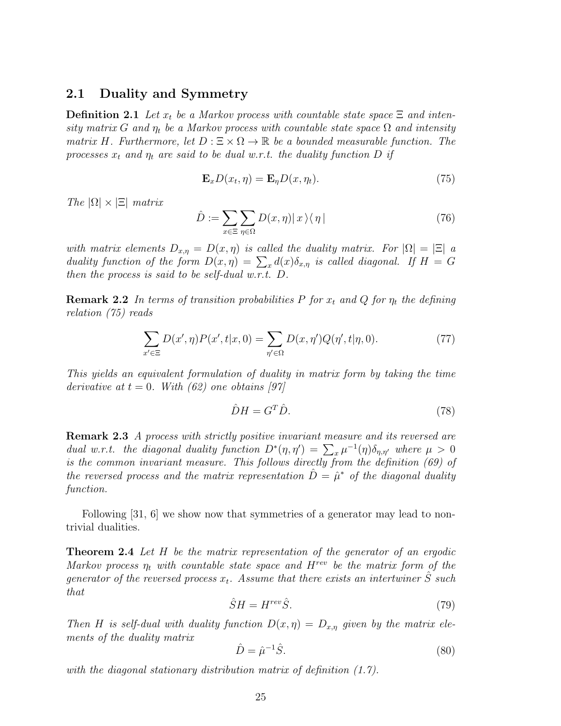### 2.1 Duality and Symmetry

**Definition 2.1** Let  $x_t$  be a Markov process with countable state space  $\Xi$  and intensity matrix G and  $\eta_t$  be a Markov process with countable state space  $\Omega$  and intensity matrix H. Furthermore, let  $D : \Xi \times \Omega \to \mathbb{R}$  be a bounded measurable function. The processes  $x_t$  and  $\eta_t$  are said to be dual w.r.t. the duality function D if

$$
\mathbf{E}_x D(x_t, \eta) = \mathbf{E}_\eta D(x, \eta_t). \tag{75}
$$

The  $|\Omega| \times |\Xi|$  matrix

$$
\hat{D} := \sum_{x \in \Xi} \sum_{\eta \in \Omega} D(x, \eta) |x\rangle\langle\eta| \tag{76}
$$

with matrix elements  $D_{x,\eta} = D(x,\eta)$  is called the duality matrix. For  $|\Omega| = |\Xi|$  a duality function of the form  $D(x, \eta) = \sum_x d(x) \delta_{x, \eta}$  is called diagonal. If  $H = G$ then the process is said to be self-dual w.r.t. D.

**Remark 2.2** In terms of transition probabilities P for  $x_t$  and Q for  $\eta_t$  the defining relation (75) reads

$$
\sum_{x' \in \Xi} D(x', \eta) P(x', t | x, 0) = \sum_{\eta' \in \Omega} D(x, \eta') Q(\eta', t | \eta, 0).
$$
 (77)

This yields an equivalent formulation of duality in matrix form by taking the time derivative at  $t = 0$ . With (62) one obtains [97]

$$
\hat{D}H = G^T \hat{D}.\tag{78}
$$

Remark 2.3 A process with strictly positive invariant measure and its reversed are dual w.r.t. the diagonal duality function  $D^*(\eta, \eta') = \sum_x \mu^{-1}(\eta) \delta_{\eta, \eta'}$  where  $\mu > 0$ is the common invariant measure. This follows directly from the definition (69) of the reversed process and the matrix representation  $\hat{D} = \hat{\mu}^*$  of the diagonal duality function.

Following [31, 6] we show now that symmetries of a generator may lead to nontrivial dualities.

**Theorem 2.4** Let H be the matrix representation of the generator of an ergodic Markov process  $\eta_t$  with countable state space and  $H^{rev}$  be the matrix form of the generator of the reversed process  $x_t$ . Assume that there exists an intertwiner  $\hat{S}$  such that

$$
\hat{S}H = H^{rev}\hat{S}.\tag{79}
$$

Then H is self-dual with duality function  $D(x, \eta) = D_{x,\eta}$  given by the matrix elements of the duality matrix

$$
\hat{D} = \hat{\mu}^{-1}\hat{S}.\tag{80}
$$

with the diagonal stationary distribution matrix of definition  $(1.7)$ .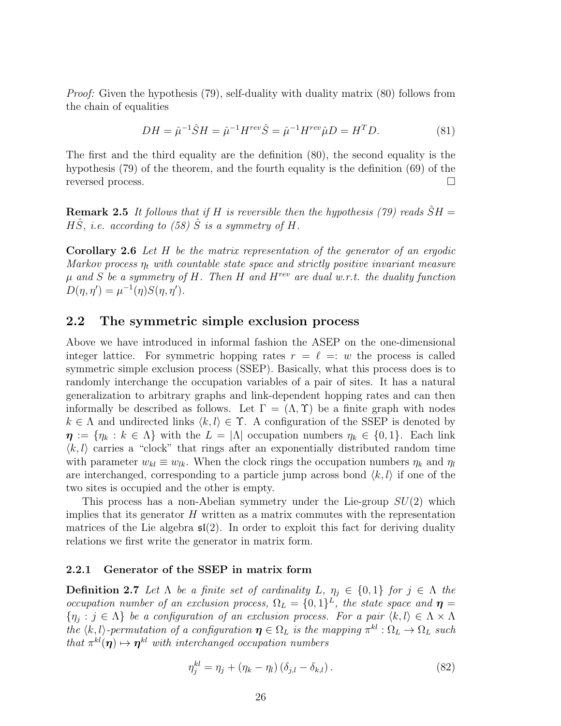Proof: Given the hypothesis (79), self-duality with duality matrix (80) follows from the chain of equalities

$$
DH = \hat{\mu}^{-1}\hat{S}H = \hat{\mu}^{-1}H^{rev}\hat{S} = \hat{\mu}^{-1}H^{rev}\hat{\mu}D = H^T D.
$$
 (81)

The first and the third equality are the definition (80), the second equality is the hypothesis (79) of the theorem, and the fourth equality is the definition (69) of the reversed process.

**Remark 2.5** It follows that if H is reversible then the hypothesis (79) reads  $\hat{S}H =$  $H\hat{S}$ , i.e. according to (58)  $\hat{S}$  is a symmetry of H.

Corollary 2.6 Let H be the matrix representation of the generator of an ergodic Markov process  $\eta_t$  with countable state space and strictly positive invariant measure  $\mu$  and S be a symmetry of H. Then H and H<sup>rev</sup> are dual w.r.t. the duality function  $D(\eta, \eta') = \mu^{-1}(\eta) S(\eta, \eta').$ 

### 2.2 The symmetric simple exclusion process

Above we have introduced in informal fashion the ASEP on the one-dimensional integer lattice. For symmetric hopping rates  $r = \ell =: w$  the process is called symmetric simple exclusion process (SSEP). Basically, what this process does is to randomly interchange the occupation variables of a pair of sites. It has a natural generalization to arbitrary graphs and link-dependent hopping rates and can then informally be described as follows. Let  $\Gamma = (\Lambda, \Upsilon)$  be a finite graph with nodes  $k \in \Lambda$  and undirected links  $\langle k, l \rangle \in \Upsilon$ . A configuration of the SSEP is denoted by  $\eta := \{\eta_k : k \in \Lambda\}$  with the  $L = |\Lambda|$  occupation numbers  $\eta_k \in \{0,1\}$ . Each link  $\langle k, l \rangle$  carries a "clock" that rings after an exponentially distributed random time with parameter  $w_{kl} \equiv w_{lk}$ . When the clock rings the occupation numbers  $\eta_k$  and  $\eta_l$ are interchanged, corresponding to a particle jump across bond  $\langle k, l \rangle$  if one of the two sites is occupied and the other is empty.

This process has a non-Abelian symmetry under the Lie-group  $SU(2)$  which implies that its generator  $H$  written as a matrix commutes with the representation matrices of the Lie algebra  $\mathfrak{sl}(2)$ . In order to exploit this fact for deriving duality relations we first write the generator in matrix form.

### 2.2.1 Generator of the SSEP in matrix form

**Definition 2.7** Let  $\Lambda$  be a finite set of cardinality L,  $\eta_i \in \{0,1\}$  for  $j \in \Lambda$  the occupation number of an exclusion process,  $\Omega_L = \{0,1\}^L$ , the state space and  $\eta =$  $\{\eta_j : j \in \Lambda\}$  be a configuration of an exclusion process. For a pair  $\langle k, l \rangle \in \Lambda \times \Lambda$ the  $\langle k, l \rangle$ -permutation of a configuration  $\eta \in \Omega_L$  is the mapping  $\pi^{kl} : \Omega_L \to \Omega_L$  such that  $\pi^{kl}(\eta) \mapsto \eta^{kl}$  with interchanged occupation numbers

$$
\eta_j^{kl} = \eta_j + (\eta_k - \eta_l) (\delta_{j,l} - \delta_{k,l}). \tag{82}
$$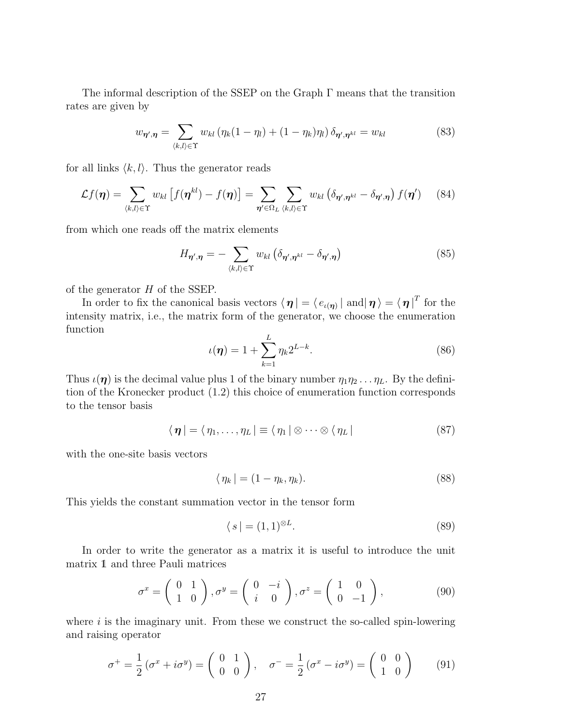The informal description of the SSEP on the Graph Γ means that the transition rates are given by

$$
w_{\eta',\eta} = \sum_{\langle k,l\rangle \in \Upsilon} w_{kl} \left(\eta_k (1 - \eta_l) + (1 - \eta_k)\eta_l\right) \delta_{\eta',\eta^{kl}} = w_{kl} \tag{83}
$$

for all links  $\langle k, l \rangle$ . Thus the generator reads

$$
\mathcal{L}f(\boldsymbol{\eta}) = \sum_{\langle k,l\rangle \in \Upsilon} w_{kl} \left[ f(\boldsymbol{\eta}^{kl}) - f(\boldsymbol{\eta}) \right] = \sum_{\boldsymbol{\eta}' \in \Omega_L} \sum_{\langle k,l\rangle \in \Upsilon} w_{kl} \left( \delta_{\boldsymbol{\eta}',\boldsymbol{\eta}^{kl}} - \delta_{\boldsymbol{\eta}',\boldsymbol{\eta}} \right) f(\boldsymbol{\eta}') \tag{84}
$$

from which one reads off the matrix elements

$$
H_{\eta',\eta} = -\sum_{\langle k,l\rangle \in \Upsilon} w_{kl} \left( \delta_{\eta',\eta^{kl}} - \delta_{\eta',\eta} \right) \tag{85}
$$

of the generator  $H$  of the SSEP.

In order to fix the canonical basis vectors  $\langle \eta | = \langle e_{\iota(\eta)} |$  and $|\eta \rangle = \langle \eta |^T$  for the intensity matrix, i.e., the matrix form of the generator, we choose the enumeration function

$$
\iota(\eta) = 1 + \sum_{k=1}^{L} \eta_k 2^{L-k}.
$$
 (86)

Thus  $\iota(\eta)$  is the decimal value plus 1 of the binary number  $\eta_1\eta_2 \ldots \eta_L$ . By the definition of the Kronecker product (1.2) this choice of enumeration function corresponds to the tensor basis

$$
\langle \boldsymbol{\eta} | = \langle \eta_1, \dots, \eta_L | \equiv \langle \eta_1 | \otimes \dots \otimes \langle \eta_L |
$$
 (87)

with the one-site basis vectors

$$
\langle \eta_k | = (1 - \eta_k, \eta_k). \tag{88}
$$

This yields the constant summation vector in the tensor form

$$
\langle s | = (1,1)^{\otimes L}.\tag{89}
$$

In order to write the generator as a matrix it is useful to introduce the unit matrix 1 and three Pauli matrices

$$
\sigma^x = \begin{pmatrix} 0 & 1 \\ 1 & 0 \end{pmatrix}, \sigma^y = \begin{pmatrix} 0 & -i \\ i & 0 \end{pmatrix}, \sigma^z = \begin{pmatrix} 1 & 0 \\ 0 & -1 \end{pmatrix}, \tag{90}
$$

where  $i$  is the imaginary unit. From these we construct the so-called spin-lowering and raising operator

$$
\sigma^+ = \frac{1}{2} \left( \sigma^x + i \sigma^y \right) = \begin{pmatrix} 0 & 1 \\ 0 & 0 \end{pmatrix}, \quad \sigma^- = \frac{1}{2} \left( \sigma^x - i \sigma^y \right) = \begin{pmatrix} 0 & 0 \\ 1 & 0 \end{pmatrix} \tag{91}
$$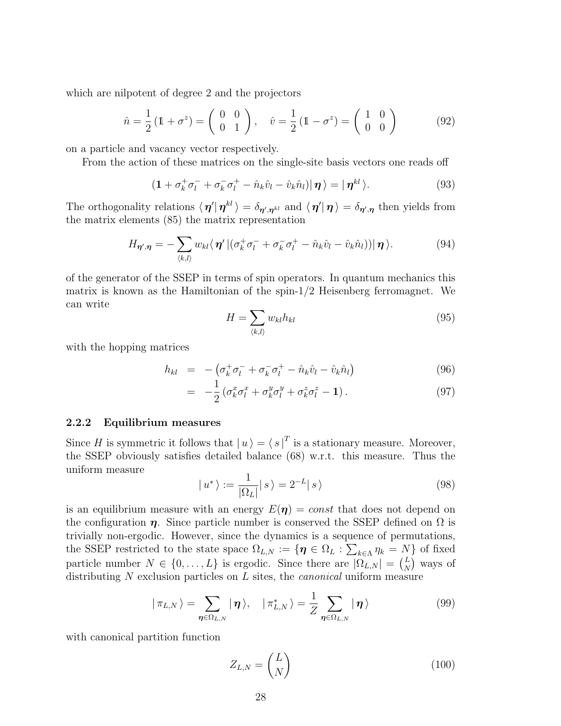which are nilpotent of degree 2 and the projectors

$$
\hat{n} = \frac{1}{2} (1 + \sigma^z) = \begin{pmatrix} 0 & 0 \\ 0 & 1 \end{pmatrix}, \quad \hat{v} = \frac{1}{2} (1 - \sigma^z) = \begin{pmatrix} 1 & 0 \\ 0 & 0 \end{pmatrix}
$$
(92)

on a particle and vacancy vector respectively.

From the action of these matrices on the single-site basis vectors one reads off

$$
\left(1 + \sigma_k^+ \sigma_l^- + \sigma_k^- \sigma_l^+ - \hat{n}_k \hat{v}_l - \hat{v}_k \hat{n}_l\right) \mid \boldsymbol{\eta} \rangle = \mid \boldsymbol{\eta}^{kl} \rangle. \tag{93}
$$

The orthogonality relations  $\langle \eta' | \eta^{kl} \rangle = \delta_{\eta',\eta^{kl}}$  and  $\langle \eta' | \eta \rangle = \delta_{\eta',\eta}$  then yields from the matrix elements (85) the matrix representation

$$
H_{\eta',\eta} = -\sum_{\langle k,l\rangle} w_{kl} \langle \eta' | (\sigma_k^+ \sigma_l^- + \sigma_k^- \sigma_l^+ - \hat{n}_k \hat{v}_l - \hat{v}_k \hat{n}_l) ) | \eta \rangle. \tag{94}
$$

of the generator of the SSEP in terms of spin operators. In quantum mechanics this matrix is known as the Hamiltonian of the spin-1/2 Heisenberg ferromagnet. We can write

$$
H = \sum_{\langle k,l \rangle} w_{kl} h_{kl} \tag{95}
$$

with the hopping matrices

$$
h_{kl} = -\left(\sigma_k^+ \sigma_l^- + \sigma_k^- \sigma_l^+ - \hat{n}_k \hat{v}_l - \hat{v}_k \hat{n}_l\right) \tag{96}
$$

$$
= -\frac{1}{2} \left( \sigma_k^x \sigma_l^x + \sigma_k^y \sigma_l^y + \sigma_k^z \sigma_l^z - \mathbf{1} \right). \tag{97}
$$

### 2.2.2 Equilibrium measures

Since H is symmetric it follows that  $|u\rangle = \langle s |^{T}$  is a stationary measure. Moreover, the SSEP obviously satisfies detailed balance (68) w.r.t. this measure. Thus the uniform measure

$$
|u^*\rangle := \frac{1}{|\Omega_L|} |s\rangle = 2^{-L} |s\rangle \tag{98}
$$

is an equilibrium measure with an energy  $E(\eta) = const$  that does not depend on the configuration  $\eta$ . Since particle number is conserved the SSEP defined on  $\Omega$  is trivially non-ergodic. However, since the dynamics is a sequence of permutations, the SSEP restricted to the state space  $\Omega_{L,N} := \{ \pmb{\eta} \in \Omega_L : \sum_{k \in \Lambda} \eta_k = N \}$  of fixed particle number  $N \in \{0, \ldots, L\}$  is ergodic. Since there are  $|\Omega_{L,N}| = \binom{L}{N}$  $\binom{L}{N}$  ways of distributing N exclusion particles on L sites, the *canonical* uniform measure

$$
|\pi_{L,N}\rangle = \sum_{\eta \in \Omega_{L,N}} |\eta\rangle, \quad |\pi_{L,N}^*\rangle = \frac{1}{Z} \sum_{\eta \in \Omega_{L,N}} |\eta\rangle \tag{99}
$$

with canonical partition function

$$
Z_{L,N} = \binom{L}{N} \tag{100}
$$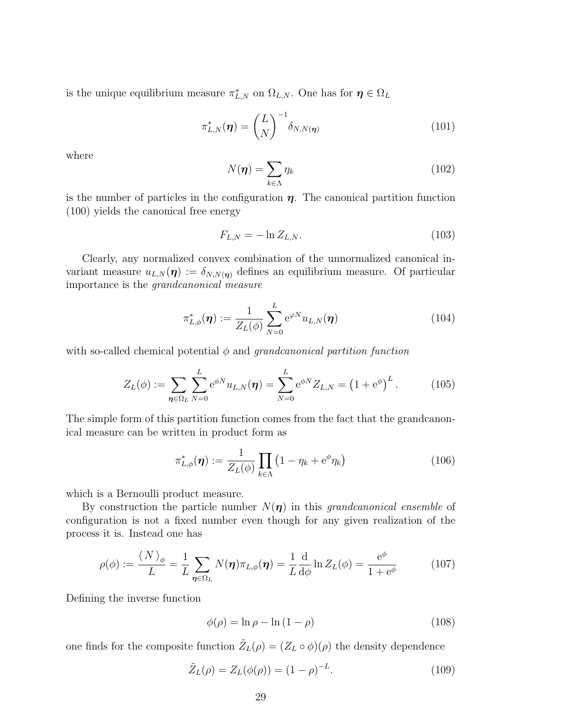is the unique equilibrium measure  $\pi_{L,N}^*$  on  $\Omega_{L,N}$ . One has for  $\eta \in \Omega_L$ 

$$
\pi_{L,N}^*(\boldsymbol{\eta}) = \binom{L}{N}^{-1} \delta_{N,N(\boldsymbol{\eta})}
$$
\n(101)

where

$$
N(\boldsymbol{\eta}) = \sum_{k \in \Lambda} \eta_k \tag{102}
$$

is the number of particles in the configuration  $\eta$ . The canonical partition function (100) yields the canonical free energy

$$
F_{L,N} = -\ln Z_{L,N}.\tag{103}
$$

Clearly, any normalized convex combination of the unnormalized canonical invariant measure  $u_{L,N}(\eta) := \delta_{N,N(\eta)}$  defines an equilibrium measure. Of particular importance is the grandcanonical measure

$$
\pi_{L,\phi}^*(\boldsymbol{\eta}) := \frac{1}{Z_L(\phi)} \sum_{N=0}^L e^{\varphi N} u_{L,N}(\boldsymbol{\eta})
$$
\n(104)

with so-called chemical potential  $\phi$  and grandcanonical partition function

$$
Z_L(\phi) := \sum_{\eta \in \Omega_L} \sum_{N=0}^L e^{\phi N} u_{L,N}(\eta) = \sum_{N=0}^L e^{\phi N} Z_{L,N} = (1 + e^{\phi})^L.
$$
 (105)

The simple form of this partition function comes from the fact that the grandcanonical measure can be written in product form as

$$
\pi_{L,\phi}^*(\boldsymbol{\eta}) := \frac{1}{Z_L(\phi)} \prod_{k \in \Lambda} \left( 1 - \eta_k + e^{\phi} \eta_k \right) \tag{106}
$$

which is a Bernoulli product measure.

By construction the particle number  $N(\eta)$  in this grandcanonical ensemble of configuration is not a fixed number even though for any given realization of the process it is. Instead one has

$$
\rho(\phi) := \frac{\langle N \rangle_{\phi}}{L} = \frac{1}{L} \sum_{\eta \in \Omega_L} N(\eta) \pi_{L,\phi}(\eta) = \frac{1}{L} \frac{d}{d\phi} \ln Z_L(\phi) = \frac{e^{\phi}}{1 + e^{\phi}}
$$
(107)

Defining the inverse function

$$
\phi(\rho) = \ln \rho - \ln (1 - \rho) \tag{108}
$$

one finds for the composite function  $\tilde{Z}_L(\rho) = (Z_L \circ \phi)(\rho)$  the density dependence

$$
\tilde{Z}_L(\rho) = Z_L(\phi(\rho)) = (1 - \rho)^{-L}.
$$
\n(109)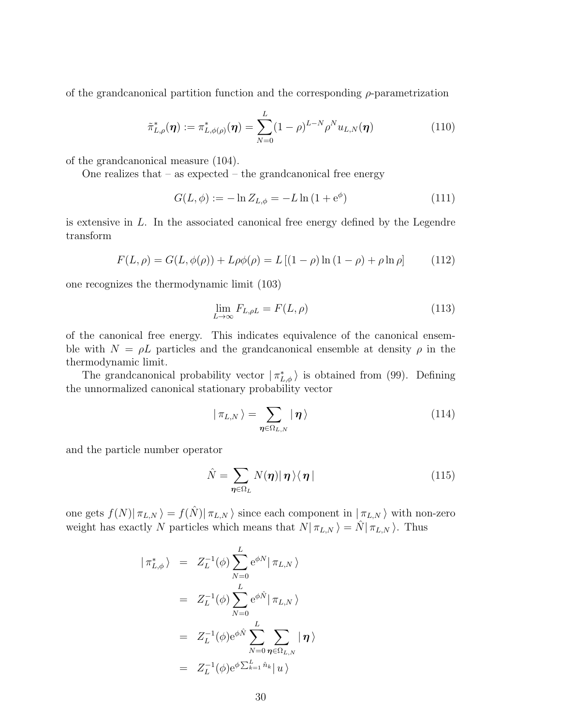of the grandcanonical partition function and the corresponding  $\rho$ -parametrization

$$
\tilde{\pi}_{L,\rho}^*(\boldsymbol{\eta}) := \pi_{L,\phi(\rho)}^*(\boldsymbol{\eta}) = \sum_{N=0}^L (1-\rho)^{L-N} \rho^N u_{L,N}(\boldsymbol{\eta})
$$
\n(110)

of the grandcanonical measure (104).

One realizes that – as expected – the grandcanonical free energy

$$
G(L, \phi) := -\ln Z_{L, \phi} = -L \ln (1 + e^{\phi})
$$
\n(111)

is extensive in L. In the associated canonical free energy defined by the Legendre transform

$$
F(L, \rho) = G(L, \phi(\rho)) + L\rho\phi(\rho) = L[(1 - \rho)\ln(1 - \rho) + \rho\ln\rho]
$$
(112)

one recognizes the thermodynamic limit (103)

$$
\lim_{L \to \infty} F_{L,\rho L} = F(L,\rho) \tag{113}
$$

of the canonical free energy. This indicates equivalence of the canonical ensemble with  $N = \rho L$  particles and the grandcanonical ensemble at density  $\rho$  in the thermodynamic limit.

The grandcanonical probability vector  $|\pi_{L,\phi}^*\rangle$  is obtained from (99). Defining the unnormalized canonical stationary probability vector

$$
|\pi_{L,N}\rangle = \sum_{\eta \in \Omega_{L,N}} |\eta\rangle \tag{114}
$$

and the particle number operator

$$
\hat{N} = \sum_{\eta \in \Omega_L} N(\eta) |\eta\rangle\langle\eta| \tag{115}
$$

one gets  $f(N)|\pi_{L,N}\rangle = f(\hat{N})|\pi_{L,N}\rangle$  since each component in  $|\pi_{L,N}\rangle$  with non-zero weight has exactly N particles which means that  $N|\pi_{L,N}\rangle = \hat{N}|\pi_{L,N}\rangle$ . Thus

$$
|\pi_{L,\phi}^{*}\rangle = Z_{L}^{-1}(\phi) \sum_{N=0}^{L} e^{\phi N} |\pi_{L,N}\rangle
$$
  

$$
= Z_{L}^{-1}(\phi) \sum_{N=0}^{L} e^{\phi \hat{N}} |\pi_{L,N}\rangle
$$
  

$$
= Z_{L}^{-1}(\phi) e^{\phi \hat{N}} \sum_{N=0}^{L} \sum_{\eta \in \Omega_{L,N}} |\eta\rangle
$$
  

$$
= Z_{L}^{-1}(\phi) e^{\phi \sum_{k=1}^{L} \hat{n}_{k}} |u\rangle
$$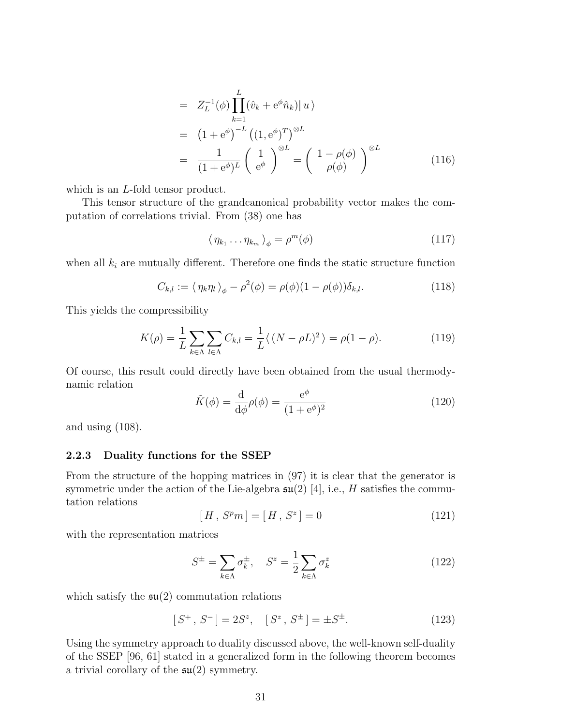$$
= Z_L^{-1}(\phi) \prod_{k=1}^L (\hat{v}_k + e^{\phi} \hat{n}_k) | u \rangle
$$
  
\n
$$
= (1 + e^{\phi})^{-L} ((1, e^{\phi})^T)^{\otimes L}
$$
  
\n
$$
= \frac{1}{(1 + e^{\phi})^L} \left(\begin{array}{c} 1 \\ e^{\phi} \end{array}\right)^{\otimes L} = \left(\begin{array}{c} 1 - \rho(\phi) \\ \rho(\phi) \end{array}\right)^{\otimes L}
$$
(116)

which is an *L*-fold tensor product.

This tensor structure of the grandcanonical probability vector makes the computation of correlations trivial. From (38) one has

$$
\langle \eta_{k_1} \dots \eta_{k_m} \rangle_{\phi} = \rho^m(\phi) \tag{117}
$$

when all  $k_i$  are mutually different. Therefore one finds the static structure function

$$
C_{k,l} := \langle \eta_k \eta_l \rangle_{\phi} - \rho^2(\phi) = \rho(\phi)(1 - \rho(\phi))\delta_{k,l}.
$$
 (118)

This yields the compressibility

$$
K(\rho) = \frac{1}{L} \sum_{k \in \Lambda} \sum_{l \in \Lambda} C_{k,l} = \frac{1}{L} \langle (N - \rho L)^2 \rangle = \rho (1 - \rho). \tag{119}
$$

Of course, this result could directly have been obtained from the usual thermodynamic relation

$$
\tilde{K}(\phi) = \frac{\mathrm{d}}{\mathrm{d}\phi}\rho(\phi) = \frac{\mathrm{e}^{\phi}}{(1 + \mathrm{e}^{\phi})^2} \tag{120}
$$

and using (108).

#### 2.2.3 Duality functions for the SSEP

From the structure of the hopping matrices in (97) it is clear that the generator is symmetric under the action of the Lie-algebra  $\mathfrak{su}(2)$  [4], i.e., H satisfies the commutation relations

$$
[H, Spm] = [H, Sz] = 0
$$
\n(121)

with the representation matrices

$$
S^{\pm} = \sum_{k \in \Lambda} \sigma_k^{\pm}, \quad S^z = \frac{1}{2} \sum_{k \in \Lambda} \sigma_k^z \tag{122}
$$

which satisfy the  $\mathfrak{su}(2)$  commutation relations

$$
[S^+, S^-] = 2S^z, \quad [S^z, S^{\pm}] = \pm S^{\pm}.
$$
 (123)

Using the symmetry approach to duality discussed above, the well-known self-duality of the SSEP [96, 61] stated in a generalized form in the following theorem becomes a trivial corollary of the  $\mathfrak{su}(2)$  symmetry.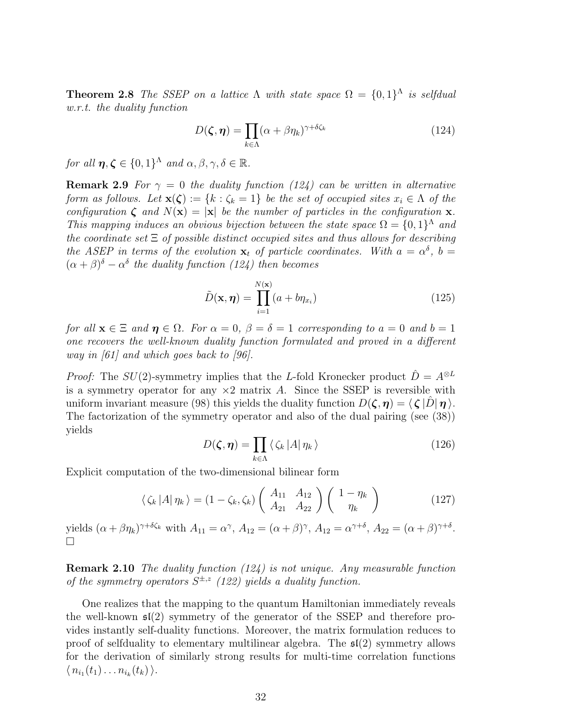**Theorem 2.8** The SSEP on a lattice  $\Lambda$  with state space  $\Omega = \{0,1\}^{\Lambda}$  is selfdual w.r.t. the duality function

$$
D(\zeta, \eta) = \prod_{k \in \Lambda} (\alpha + \beta \eta_k)^{\gamma + \delta \zeta_k} \tag{124}
$$

for all  $\eta, \zeta \in \{0,1\}^{\Lambda}$  and  $\alpha, \beta, \gamma, \delta \in \mathbb{R}$ .

**Remark 2.9** For  $\gamma = 0$  the duality function (124) can be written in alternative form as follows. Let  $\mathbf{x}(\zeta) := \{k : \zeta_k = 1\}$  be the set of occupied sites  $x_i \in \Lambda$  of the configuration  $\zeta$  and  $N(\mathbf{x}) = |\mathbf{x}|$  be the number of particles in the configuration  $\mathbf{x}$ . This mapping induces an obvious bijection between the state space  $\Omega = \{0,1\}^{\Lambda}$  and the coordinate set  $\Xi$  of possible distinct occupied sites and thus allows for describing the ASEP in terms of the evolution  $\mathbf{x}_t$  of particle coordinates. With  $a = \alpha^{\delta}$ ,  $b =$  $(\alpha + \beta)^{\delta} - \alpha^{\delta}$  the duality function (124) then becomes

$$
\tilde{D}(\mathbf{x}, \boldsymbol{\eta}) = \prod_{i=1}^{N(\mathbf{x})} (a + b\eta_{x_i})
$$
\n(125)

for all  $\mathbf{x} \in \Xi$  and  $\boldsymbol{\eta} \in \Omega$ . For  $\alpha = 0$ ,  $\beta = \delta = 1$  corresponding to  $a = 0$  and  $b = 1$ one recovers the well-known duality function formulated and proved in a different way in  $|61|$  and which goes back to  $|96|$ .

*Proof:* The  $SU(2)$ -symmetry implies that the L-fold Kronecker product  $\hat{D} = A^{\otimes L}$ is a symmetry operator for any  $\times 2$  matrix A. Since the SSEP is reversible with uniform invariant measure (98) this yields the duality function  $D(\zeta, \eta) = \langle \zeta | \hat{D} | \eta \rangle$ . The factorization of the symmetry operator and also of the dual pairing (see (38)) yields

$$
D(\zeta, \eta) = \prod_{k \in \Lambda} \langle \zeta_k | A | \eta_k \rangle \tag{126}
$$

Explicit computation of the two-dimensional bilinear form

$$
\langle \zeta_k | A | \eta_k \rangle = (1 - \zeta_k, \zeta_k) \begin{pmatrix} A_{11} & A_{12} \\ A_{21} & A_{22} \end{pmatrix} \begin{pmatrix} 1 - \eta_k \\ \eta_k \end{pmatrix}
$$
 (127)

yields  $(\alpha + \beta \eta_k)^{\gamma + \delta \zeta_k}$  with  $A_{11} = \alpha^\gamma$ ,  $A_{12} = (\alpha + \beta)^\gamma$ ,  $A_{12} = \alpha^{\gamma + \delta}$ ,  $A_{22} = (\alpha + \beta)^{\gamma + \delta}$ .  $\Box$ 

**Remark 2.10** The duality function (124) is not unique. Any measurable function of the symmetry operators  $S^{\pm,z}$  (122) yields a duality function.

One realizes that the mapping to the quantum Hamiltonian immediately reveals the well-known  $\mathfrak{sl}(2)$  symmetry of the generator of the SSEP and therefore provides instantly self-duality functions. Moreover, the matrix formulation reduces to proof of selfduality to elementary multilinear algebra. The  $\mathfrak{sl}(2)$  symmetry allows for the derivation of similarly strong results for multi-time correlation functions  $\langle n_{i_1}(t_1)\dots n_{i_k}(t_k)\rangle.$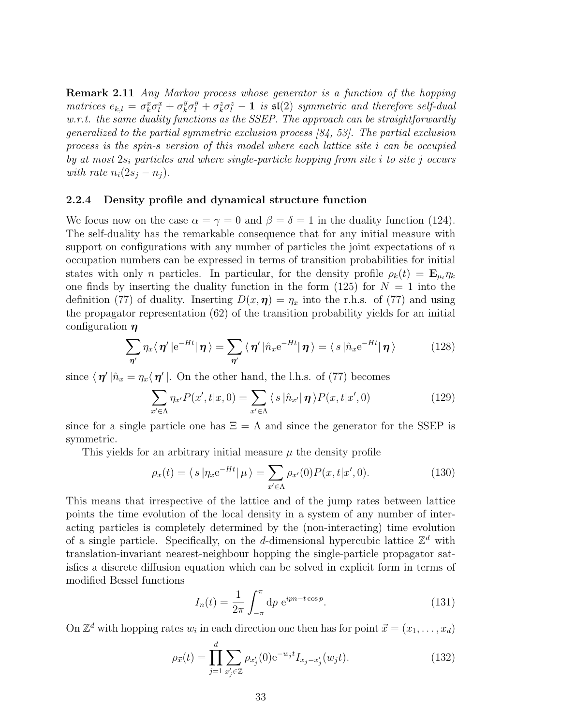Remark 2.11 Any Markov process whose generator is a function of the hopping matrices  $e_{k,l} = \sigma_k^x \sigma_l^x + \sigma_k^y$  $\frac{y}{k}\sigma_l^y+\sigma_k^z\sigma_l^z-1$  is  $\mathfrak{sl}(2)$  symmetric and therefore self-dual w.r.t. the same duality functions as the SSEP. The approach can be straightforwardly generalized to the partial symmetric exclusion process [84, 53]. The partial exclusion process is the spin-s version of this model where each lattice site i can be occupied by at most  $2s_i$  particles and where single-particle hopping from site i to site j occurs with rate  $n_i(2s_j - n_j)$ .

#### 2.2.4 Density profile and dynamical structure function

We focus now on the case  $\alpha = \gamma = 0$  and  $\beta = \delta = 1$  in the duality function (124). The self-duality has the remarkable consequence that for any initial measure with support on configurations with any number of particles the joint expectations of  $n$ occupation numbers can be expressed in terms of transition probabilities for initial states with only n particles. In particular, for the density profile  $\rho_k(t) = \mathbf{E}_{\mu_t} \eta_k$ one finds by inserting the duality function in the form (125) for  $N = 1$  into the definition (77) of duality. Inserting  $D(x, \eta) = \eta_x$  into the r.h.s. of (77) and using the propagator representation (62) of the transition probability yields for an initial configuration  $\eta$ 

$$
\sum_{\eta'} \eta_x \langle \eta' | e^{-Ht} | \eta \rangle = \sum_{\eta'} \langle \eta' | \hat{n}_x e^{-Ht} | \eta \rangle = \langle s | \hat{n}_x e^{-Ht} | \eta \rangle \qquad (128)
$$

since  $\langle \eta' | \hat{n}_x = \eta_x \langle \eta' |$ . On the other hand, the l.h.s. of (77) becomes

$$
\sum_{x' \in \Lambda} \eta_{x'} P(x', t | x, 0) = \sum_{x' \in \Lambda} \langle s | \hat{n}_{x'} | \boldsymbol{\eta} \rangle P(x, t | x', 0)
$$
(129)

since for a single particle one has  $\Xi = \Lambda$  and since the generator for the SSEP is symmetric.

This yields for an arbitrary initial measure  $\mu$  the density profile

$$
\rho_x(t) = \langle s | \eta_x e^{-Ht} | \mu \rangle = \sum_{x' \in \Lambda} \rho_{x'}(0) P(x, t | x', 0).
$$
 (130)

This means that irrespective of the lattice and of the jump rates between lattice points the time evolution of the local density in a system of any number of interacting particles is completely determined by the (non-interacting) time evolution of a single particle. Specifically, on the d-dimensional hypercubic lattice  $\mathbb{Z}^d$  with translation-invariant nearest-neighbour hopping the single-particle propagator satisfies a discrete diffusion equation which can be solved in explicit form in terms of modified Bessel functions

$$
I_n(t) = \frac{1}{2\pi} \int_{-\pi}^{\pi} \mathrm{d}p \, \mathrm{e}^{ipn-t\cos p}.\tag{131}
$$

On  $\mathbb{Z}^d$  with hopping rates  $w_i$  in each direction one then has for point  $\vec{x} = (x_1, \ldots, x_d)$ 

$$
\rho_{\vec{x}}(t) = \prod_{j=1}^{d} \sum_{x'_j \in \mathbb{Z}} \rho_{x'_j}(0) e^{-w_j t} I_{x_j - x'_j}(w_j t).
$$
\n(132)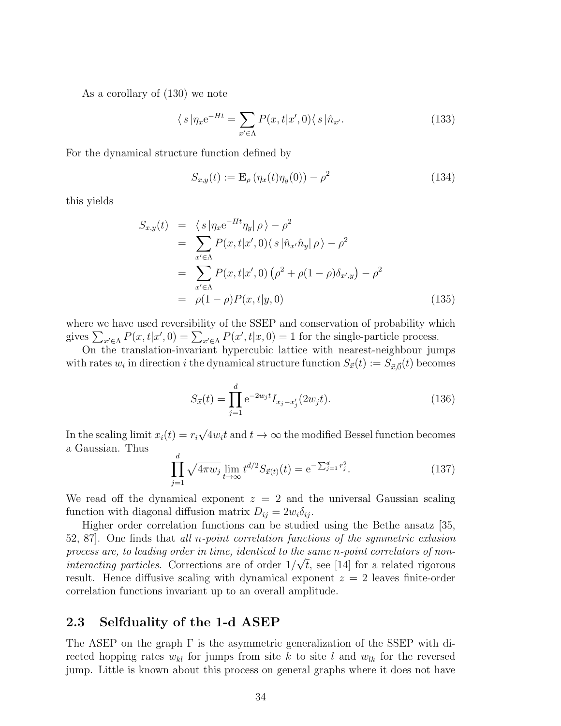As a corollary of (130) we note

$$
\langle s | \eta_x e^{-Ht} = \sum_{x' \in \Lambda} P(x, t | x', 0) \langle s | \hat{n}_{x'}.\tag{133}
$$

For the dynamical structure function defined by

$$
S_{x,y}(t) := \mathbf{E}_{\rho} \left( \eta_x(t) \eta_y(0) \right) - \rho^2 \tag{134}
$$

this yields

$$
S_{x,y}(t) = \langle s | \eta_x e^{-Ht} \eta_y | \rho \rangle - \rho^2
$$
  
\n
$$
= \sum_{x' \in \Lambda} P(x, t | x', 0) \langle s | \hat{n}_{x'} \hat{n}_y | \rho \rangle - \rho^2
$$
  
\n
$$
= \sum_{x' \in \Lambda} P(x, t | x', 0) (\rho^2 + \rho (1 - \rho) \delta_{x',y}) - \rho^2
$$
  
\n
$$
= \rho (1 - \rho) P(x, t | y, 0)
$$
\n(135)

where we have used reversibility of the SSEP and conservation of probability which gives  $\sum_{x' \in \Lambda} P(x, t | x', 0) = \sum_{x' \in \Lambda} P(x', t | x, 0) = 1$  for the single-particle process.

On the translation-invariant hypercubic lattice with nearest-neighbour jumps with rates  $w_i$  in direction i the dynamical structure function  $S_{\vec{x}}(t) := S_{\vec{x},\vec{0}}(t)$  becomes

$$
S_{\vec{x}}(t) = \prod_{j=1}^{d} e^{-2w_j t} I_{x_j - x'_j} (2w_j t).
$$
 (136)

In the scaling limit  $x_i(t) = r_i$ √  $\overline{4w_it}$  and  $t\to\infty$  the modified Bessel function becomes a Gaussian. Thus

$$
\prod_{j=1}^{d} \sqrt{4\pi w_j} \lim_{t \to \infty} t^{d/2} S_{\vec{x}(t)}(t) = e^{-\sum_{j=1}^{d} r_j^2}.
$$
 (137)

We read off the dynamical exponent  $z = 2$  and the universal Gaussian scaling function with diagonal diffusion matrix  $D_{ij} = 2w_i \delta_{ij}$ .

Higher order correlation functions can be studied using the Bethe ansatz [35, 52, 87]. One finds that all n-point correlation functions of the symmetric exlusion process are, to leading order in time, identical to the same n-point correlators of noninteracting particles. Corrections are of order  $1/\sqrt{t}$ , see [14] for a related rigorous result. Hence diffusive scaling with dynamical exponent  $z = 2$  leaves finite-order correlation functions invariant up to an overall amplitude.

# 2.3 Selfduality of the 1-d ASEP

The ASEP on the graph  $\Gamma$  is the asymmetric generalization of the SSEP with directed hopping rates  $w_{kl}$  for jumps from site k to site l and  $w_{lk}$  for the reversed jump. Little is known about this process on general graphs where it does not have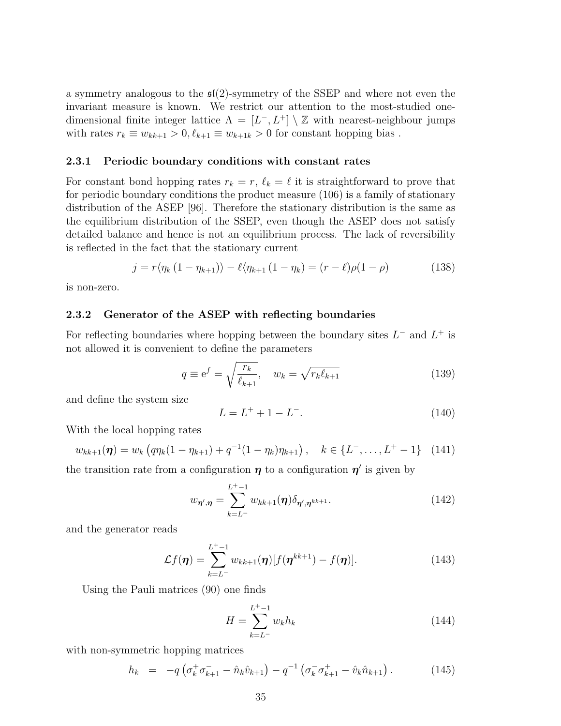a symmetry analogous to the  $\mathfrak{sl}(2)$ -symmetry of the SSEP and where not even the invariant measure is known. We restrict our attention to the most-studied onedimensional finite integer lattice  $\Lambda = [L^-, L^+] \setminus \mathbb{Z}$  with nearest-neighbour jumps with rates  $r_k \equiv w_{kk+1} > 0, \ell_{k+1} \equiv w_{k+1,k} > 0$  for constant hopping bias.

#### 2.3.1 Periodic boundary conditions with constant rates

For constant bond hopping rates  $r_k = r$ ,  $\ell_k = \ell$  it is straightforward to prove that for periodic boundary conditions the product measure (106) is a family of stationary distribution of the ASEP [96]. Therefore the stationary distribution is the same as the equilibrium distribution of the SSEP, even though the ASEP does not satisfy detailed balance and hence is not an equilibrium process. The lack of reversibility is reflected in the fact that the stationary current

$$
j = r \langle \eta_k (1 - \eta_{k+1}) \rangle - \ell \langle \eta_{k+1} (1 - \eta_k) = (r - \ell) \rho (1 - \rho) \tag{138}
$$

is non-zero.

#### 2.3.2 Generator of the ASEP with reflecting boundaries

For reflecting boundaries where hopping between the boundary sites  $L^-$  and  $L^+$  is not allowed it is convenient to define the parameters

$$
q \equiv e^f = \sqrt{\frac{r_k}{\ell_{k+1}}}, \quad w_k = \sqrt{r_k \ell_{k+1}}
$$
\n(139)

and define the system size

$$
L = L^+ + 1 - L^-. \tag{140}
$$

With the local hopping rates

$$
w_{kk+1}(\boldsymbol{\eta}) = w_k \left( q \eta_k (1 - \eta_{k+1}) + q^{-1} (1 - \eta_k) \eta_{k+1} \right), \quad k \in \{L^-, \dots, L^+ - 1\} \quad (141)
$$

the transition rate from a configuration  $\eta$  to a configuration  $\eta'$  is given by

$$
w_{\eta',\eta} = \sum_{k=L^{-}}^{L^{+}-1} w_{kk+1}(\eta) \delta_{\eta',\eta^{kk+1}}.
$$
\n(142)

and the generator reads

$$
\mathcal{L}f(\boldsymbol{\eta}) = \sum_{k=L^-}^{L^+-1} w_{kk+1}(\boldsymbol{\eta}) [f(\boldsymbol{\eta}^{kk+1}) - f(\boldsymbol{\eta})]. \tag{143}
$$

Using the Pauli matrices (90) one finds

$$
H = \sum_{k=L^{-}}^{L^{+}-1} w_{k} h_{k}
$$
 (144)

with non-symmetric hopping matrices

$$
h_k = -q \left( \sigma_k^+ \sigma_{k+1}^- - \hat{n}_k \hat{v}_{k+1} \right) - q^{-1} \left( \sigma_k^- \sigma_{k+1}^+ - \hat{v}_k \hat{n}_{k+1} \right). \tag{145}
$$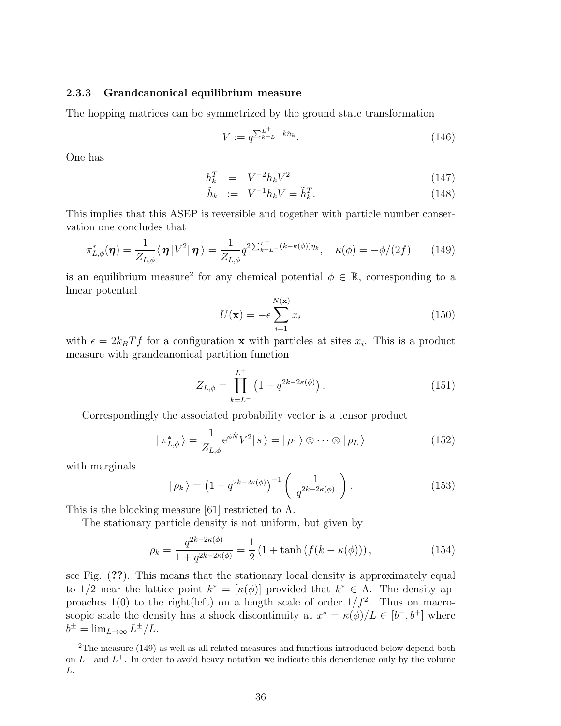#### 2.3.3 Grandcanonical equilibrium measure

The hopping matrices can be symmetrized by the ground state transformation

$$
V := q^{\sum_{k=L}^{L^{+}} k \hat{n}_{k}}.
$$
\n(146)

One has

$$
h_k^T = V^{-2} h_k V^2 \tag{147}
$$

$$
\tilde{h}_k := V^{-1} h_k V = \tilde{h}_k^T. \tag{148}
$$

This implies that this ASEP is reversible and together with particle number conservation one concludes that

$$
\pi_{L,\phi}^*(\boldsymbol{\eta}) = \frac{1}{Z_{L,\phi}} \langle \boldsymbol{\eta} | V^2 | \boldsymbol{\eta} \rangle = \frac{1}{Z_{L,\phi}} q^{2 \sum_{k=L}^{L^+} (k - \kappa(\phi)) \eta_k}, \quad \kappa(\phi) = -\phi/(2f) \qquad (149)
$$

is an equilibrium measure<sup>2</sup> for any chemical potential  $\phi \in \mathbb{R}$ , corresponding to a linear potential

$$
U(\mathbf{x}) = -\epsilon \sum_{i=1}^{N(\mathbf{x})} x_i
$$
\n(150)

with  $\epsilon = 2k_BT f$  for a configuration **x** with particles at sites  $x_i$ . This is a product measure with grandcanonical partition function

$$
Z_{L,\phi} = \prod_{k=L^-}^{L^+} \left( 1 + q^{2k-2\kappa(\phi)} \right). \tag{151}
$$

Correspondingly the associated probability vector is a tensor product

$$
|\pi_{L,\phi}^*\rangle = \frac{1}{Z_{L,\phi}} e^{\phi \hat{N}} V^2 |s\rangle = |\rho_1\rangle \otimes \cdots \otimes |\rho_L\rangle \tag{152}
$$

with marginals

$$
|\rho_k\rangle = \left(1 + q^{2k - 2\kappa(\phi)}\right)^{-1} \begin{pmatrix} 1 \\ q^{2k - 2\kappa(\phi)} \end{pmatrix}.
$$
 (153)

This is the blocking measure [61] restricted to  $\Lambda$ .

The stationary particle density is not uniform, but given by

$$
\rho_k = \frac{q^{2k - 2\kappa(\phi)}}{1 + q^{2k - 2\kappa(\phi)}} = \frac{1}{2} \left( 1 + \tanh\left(f(k - \kappa(\phi))\right),\right) \tag{154}
$$

see Fig. (??). This means that the stationary local density is approximately equal to 1/2 near the lattice point  $k^* = [\kappa(\phi)]$  provided that  $k^* \in \Lambda$ . The density approaches 1(0) to the right(left) on a length scale of order  $1/f^2$ . Thus on macroscopic scale the density has a shock discontinuity at  $x^* = \kappa(\phi)/L \in [b^-, b^+]$  where  $b^{\pm} = \lim_{L \to \infty} L^{\pm}/L.$ 

<sup>2</sup>The measure (149) as well as all related measures and functions introduced below depend both on  $L^-$  and  $L^+$ . In order to avoid heavy notation we indicate this dependence only by the volume L.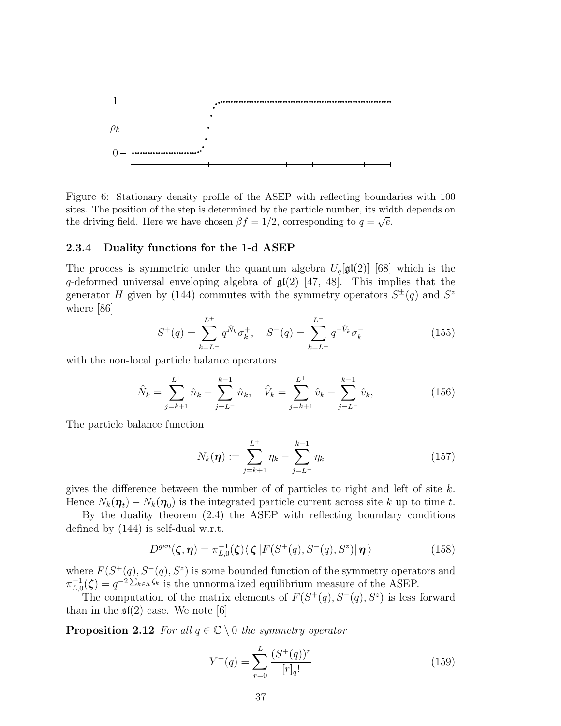

Figure 6: Stationary density profile of the ASEP with reflecting boundaries with 100 sites. The position of the step is determined by the particle number, its width depends on the driving field. Here we have chosen  $\beta f = 1/2$ , corresponding to  $q = \sqrt{e}$ .

#### 2.3.4 Duality functions for the 1-d ASEP

The process is symmetric under the quantum algebra  $U_q[\mathfrak{gl}(2)]$  [68] which is the q-deformed universal enveloping algebra of  $\mathfrak{gl}(2)$  [47, 48]. This implies that the generator H given by (144) commutes with the symmetry operators  $S^{\pm}(q)$  and  $S^z$ where [86]

$$
S^{+}(q) = \sum_{k=L^{-}}^{L^{+}} q^{\hat{N}_k} \sigma_k^{+}, \quad S^{-}(q) = \sum_{k=L^{-}}^{L^{+}} q^{-\hat{V}_k} \sigma_k^{-}
$$
(155)

with the non-local particle balance operators

$$
\hat{N}_k = \sum_{j=k+1}^{L^+} \hat{n}_k - \sum_{j=L^-}^{k-1} \hat{n}_k, \quad \hat{V}_k = \sum_{j=k+1}^{L^+} \hat{v}_k - \sum_{j=L^-}^{k-1} \hat{v}_k,
$$
\n(156)

The particle balance function

$$
N_k(\boldsymbol{\eta}) := \sum_{j=k+1}^{L^+} \eta_k - \sum_{j=L^-}^{k-1} \eta_k
$$
\n(157)

gives the difference between the number of of particles to right and left of site  $k$ . Hence  $N_k(\eta_t) - N_k(\eta_0)$  is the integrated particle current across site k up to time t.

By the duality theorem (2.4) the ASEP with reflecting boundary conditions defined by (144) is self-dual w.r.t.

$$
D^{gen}(\boldsymbol{\zeta}, \boldsymbol{\eta}) = \pi_{L,0}^{-1}(\boldsymbol{\zeta}) \langle \boldsymbol{\zeta} | F(S^+(q), S^-(q), S^z) | \boldsymbol{\eta} \rangle \tag{158}
$$

where  $F(S^+(q), S^-(q), S^z)$  is some bounded function of the symmetry operators and  $\pi_{L,0}^{-1}$  $L_{L,0}^{-1}(\zeta) = q^{-2\sum_{k \in \Lambda} \zeta_k}$  is the unnormalized equilibrium measure of the ASEP.

The computation of the matrix elements of  $F(S^+(q), S^-(q), S^z)$  is less forward than in the  $\mathfrak{sl}(2)$  case. We note [6]

**Proposition 2.12** For all  $q \in \mathbb{C} \setminus 0$  the symmetry operator

$$
Y^{+}(q) = \sum_{r=0}^{L} \frac{(S^{+}(q))^{r}}{[r]_{q}!}
$$
\n(159)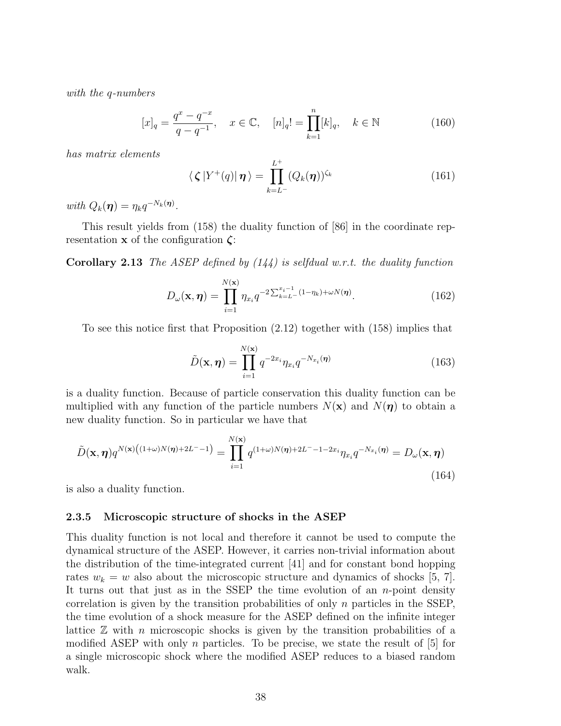with the q-numbers

$$
[x]_q = \frac{q^x - q^{-x}}{q - q^{-1}}, \quad x \in \mathbb{C}, \quad [n]_q! = \prod_{k=1}^n [k]_q, \quad k \in \mathbb{N}
$$
 (160)

has matrix elements

$$
\langle \zeta | Y^{+}(q) | \boldsymbol{\eta} \rangle = \prod_{k=L^{-}}^{L^{+}} (Q_{k}(\boldsymbol{\eta}))^{\zeta_{k}}
$$
(161)

with  $Q_k(\boldsymbol{\eta}) = \eta_k q^{-N_k(\boldsymbol{\eta})}.$ 

This result yields from (158) the duality function of [86] in the coordinate representation **x** of the configuration  $\zeta$ :

**Corollary 2.13** The ASEP defined by  $(144)$  is selfdual w.r.t. the duality function

$$
D_{\omega}(\mathbf{x}, \boldsymbol{\eta}) = \prod_{i=1}^{N(\mathbf{x})} \eta_{x_i} q^{-2 \sum_{k=L}^{x_i-1} (1-\eta_k) + \omega N(\boldsymbol{\eta})}.
$$
 (162)

To see this notice first that Proposition (2.12) together with (158) implies that

$$
\tilde{D}(\mathbf{x}, \boldsymbol{\eta}) = \prod_{i=1}^{N(\mathbf{x})} q^{-2x_i} \eta_{x_i} q^{-N_{x_i}(\boldsymbol{\eta})}
$$
\n(163)

is a duality function. Because of particle conservation this duality function can be multiplied with any function of the particle numbers  $N(\mathbf{x})$  and  $N(\boldsymbol{\eta})$  to obtain a new duality function. So in particular we have that

$$
\tilde{D}(\mathbf{x}, \boldsymbol{\eta}) q^{N(\mathbf{x})\left((1+\omega)N(\boldsymbol{\eta})+2L^{-}-1\right)} = \prod_{i=1}^{N(\mathbf{x})} q^{(1+\omega)N(\boldsymbol{\eta})+2L^{-}-1-2x_i} \eta_{x_i} q^{-N_{x_i}(\boldsymbol{\eta})} = D_{\omega}(\mathbf{x}, \boldsymbol{\eta})
$$
\n(164)

is also a duality function.

#### 2.3.5 Microscopic structure of shocks in the ASEP

This duality function is not local and therefore it cannot be used to compute the dynamical structure of the ASEP. However, it carries non-trivial information about the distribution of the time-integrated current [41] and for constant bond hopping rates  $w_k = w$  also about the microscopic structure and dynamics of shocks [5, 7]. It turns out that just as in the SSEP the time evolution of an  $n$ -point density correlation is given by the transition probabilities of only  $n$  particles in the SSEP, the time evolution of a shock measure for the ASEP defined on the infinite integer lattice  $\mathbb Z$  with n microscopic shocks is given by the transition probabilities of a modified ASEP with only n particles. To be precise, we state the result of  $|5|$  for a single microscopic shock where the modified ASEP reduces to a biased random walk.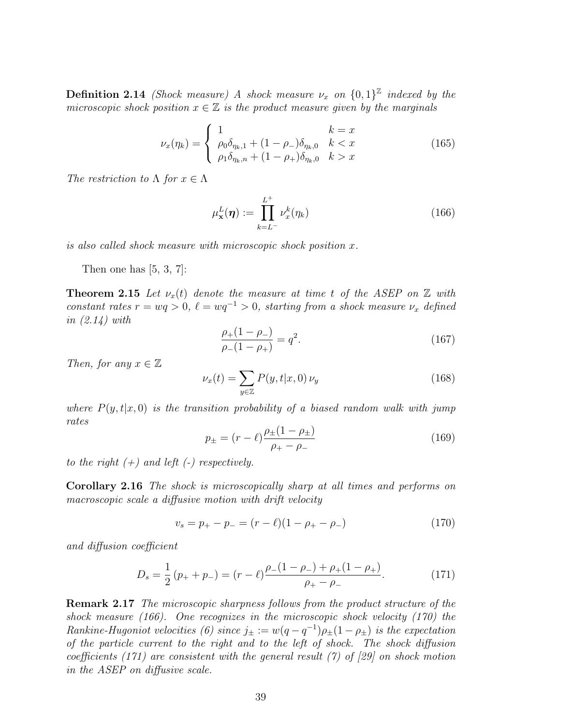**Definition 2.14** (Shock measure) A shock measure  $\nu_x$  on  $\{0,1\}^{\mathbb{Z}}$  indexed by the microscopic shock position  $x \in \mathbb{Z}$  is the product measure given by the marginals

$$
\nu_x(\eta_k) = \begin{cases} 1 & k = x \\ \rho_0 \delta_{\eta_k,1} + (1 - \rho_-) \delta_{\eta_k,0} & k < x \\ \rho_1 \delta_{\eta_k,n} + (1 - \rho_+) \delta_{\eta_k,0} & k > x \end{cases}
$$
(165)

The restriction to  $\Lambda$  for  $x \in \Lambda$ 

$$
\mu_{\mathbf{x}}^{L}(\boldsymbol{\eta}) := \prod_{k=L^{-}}^{L^{+}} \nu_{x}^{k}(\eta_{k})
$$
\n(166)

is also called shock measure with microscopic shock position x.

Then one has  $[5, 3, 7]$ :

**Theorem 2.15** Let  $\nu_x(t)$  denote the measure at time t of the ASEP on  $\mathbb Z$  with constant rates  $r = wq > 0$ ,  $\ell = wq^{-1} > 0$ , starting from a shock measure  $\nu_x$  defined in (2.14) with

$$
\frac{\rho_+(1-\rho_-)}{\rho_-(1-\rho_+)} = q^2.
$$
\n(167)

Then, for any  $x \in \mathbb{Z}$ 

$$
\nu_x(t) = \sum_{y \in \mathbb{Z}} P(y, t | x, 0) \nu_y \tag{168}
$$

where  $P(y, t|x, 0)$  is the transition probability of a biased random walk with jump rates

$$
p_{\pm} = (r - \ell) \frac{\rho_{\pm} (1 - \rho_{\pm})}{\rho_{+} - \rho_{-}} \tag{169}
$$

to the right  $(+)$  and left  $(-)$  respectively.

Corollary 2.16 The shock is microscopically sharp at all times and performs on macroscopic scale a diffusive motion with drift velocity

$$
v_s = p_+ - p_- = (r - \ell)(1 - \rho_+ - \rho_-) \tag{170}
$$

and diffusion coefficient

$$
D_s = \frac{1}{2} (p_+ + p_-) = (r - \ell) \frac{\rho_-(1 - \rho_-) + \rho_+(1 - \rho_+)}{\rho_+ - \rho_-}.
$$
 (171)

Remark 2.17 The microscopic sharpness follows from the product structure of the shock measure (166). One recognizes in the microscopic shock velocity (170) the Rankine-Hugoniot velocities (6) since  $j_{\pm} := w(q - q^{-1})\rho_{\pm}(1 - \rho_{\pm})$  is the expectation of the particle current to the right and to the left of shock. The shock diffusion coefficients (171) are consistent with the general result (7) of [29] on shock motion in the ASEP on diffusive scale.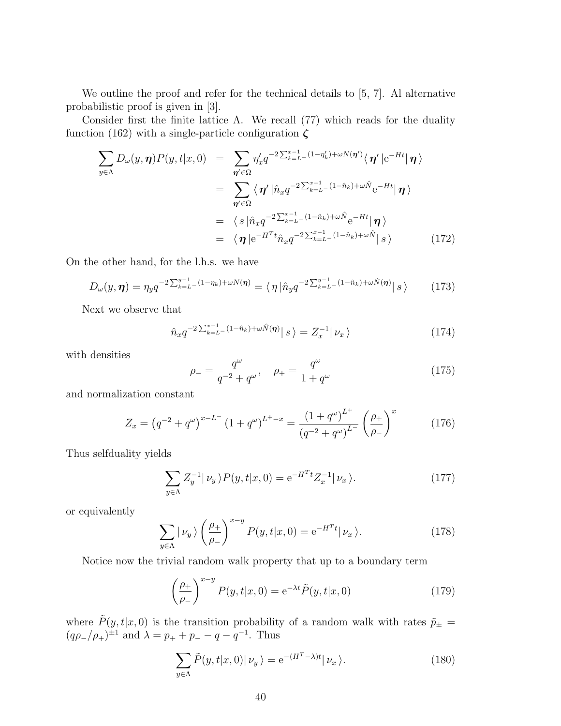We outline the proof and refer for the technical details to [5, 7]. Al alternative probabilistic proof is given in [3].

Consider first the finite lattice  $\Lambda$ . We recall (77) which reads for the duality function (162) with a single-particle configuration  $\zeta$ 

$$
\sum_{y \in \Lambda} D_{\omega}(y, \eta) P(y, t | x, 0) = \sum_{\eta' \in \Omega} \eta'_x q^{-2 \sum_{k=L}^{x-1} (1 - \eta'_k) + \omega N(\eta')} \langle \eta' | e^{-Ht} | \eta \rangle
$$
  
\n
$$
= \sum_{\eta' \in \Omega} \langle \eta' | \hat{n}_x q^{-2 \sum_{k=L}^{x-1} (1 - \hat{n}_k) + \omega \hat{N}} e^{-Ht} | \eta \rangle
$$
  
\n
$$
= \langle s | \hat{n}_x q^{-2 \sum_{k=L}^{x-1} (1 - \hat{n}_k) + \omega \hat{N}} e^{-Ht} | \eta \rangle
$$
  
\n
$$
= \langle \eta | e^{-H^T t} \hat{n}_x q^{-2 \sum_{k=L}^{x-1} (1 - \hat{n}_k) + \omega \hat{N}} | s \rangle
$$
(172)

On the other hand, for the l.h.s. we have

$$
D_{\omega}(y,\eta) = \eta_y q^{-2\sum_{k=L}^{y-1} (1-\eta_k) + \omega N(\eta)} = \langle \eta | \hat{n}_y q^{-2\sum_{k=L}^{y-1} (1-\hat{n}_k) + \omega \hat{N}(\eta)} | s \rangle \tag{173}
$$

Next we observe that

$$
\hat{n}_x q^{-2 \sum_{k=L}^{x-1} (1-\hat{n}_k) + \omega \hat{N}(\eta)} \, | \, s \, \rangle = Z_x^{-1} | \, \nu_x \, \rangle \tag{174}
$$

with densities

$$
\rho_{-} = \frac{q^{\omega}}{q^{-2} + q^{\omega}}, \quad \rho_{+} = \frac{q^{\omega}}{1 + q^{\omega}} \tag{175}
$$

and normalization constant

$$
Z_x = \left(q^{-2} + q^{\omega}\right)^{x - L^{-}} \left(1 + q^{\omega}\right)^{L^{+} - x} = \frac{\left(1 + q^{\omega}\right)^{L^{+}}}{\left(q^{-2} + q^{\omega}\right)^{L^{-}}} \left(\frac{\rho_{+}}{\rho_{-}}\right)^{x} \tag{176}
$$

Thus selfduality yields

$$
\sum_{y \in \Lambda} Z_y^{-1} |\nu_y \rangle P(y, t | x, 0) = e^{-H^T t} Z_x^{-1} |\nu_x \rangle.
$$
 (177)

or equivalently

$$
\sum_{y \in \Lambda} |\nu_y\rangle \left(\frac{\rho_+}{\rho_-}\right)^{x-y} P(y, t|x, 0) = e^{-H^T t} |\nu_x\rangle.
$$
 (178)

Notice now the trivial random walk property that up to a boundary term

$$
\left(\frac{\rho_{+}}{\rho_{-}}\right)^{x-y} P(y,t|x,0) = e^{-\lambda t} \tilde{P}(y,t|x,0)
$$
\n(179)

where  $\tilde{P}(y, t|x, 0)$  is the transition probability of a random walk with rates  $\tilde{p}_{\pm} =$  $(q\rho_-/\rho_+)^{\pm 1}$  and  $\lambda = p_+ + p_- - q - q^{-1}$ . Thus

$$
\sum_{y \in \Lambda} \tilde{P}(y, t | x, 0) | \nu_y \rangle = e^{-(H^T - \lambda)t} | \nu_x \rangle.
$$
 (180)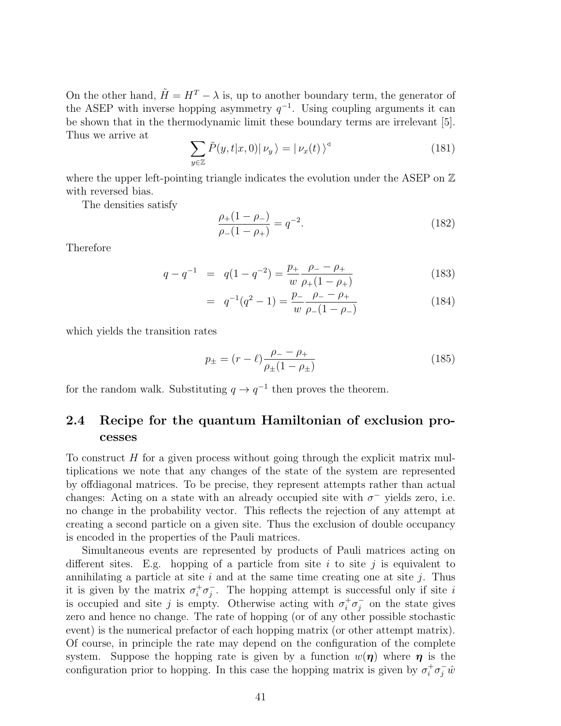On the other hand,  $\tilde{H} = H^T - \lambda$  is, up to another boundary term, the generator of the ASEP with inverse hopping asymmetry  $q^{-1}$ . Using coupling arguments it can be shown that in the thermodynamic limit these boundary terms are irrelevant [5]. Thus we arrive at

$$
\sum_{y \in \mathbb{Z}} \tilde{P}(y, t | x, 0) | \nu_y \rangle = | \nu_x(t) \rangle^{\triangleleft}
$$
 (181)

where the upper left-pointing triangle indicates the evolution under the ASEP on  $\mathbb Z$ with reversed bias.

The densities satisfy

$$
\frac{\rho_+(1-\rho_-)}{\rho_-(1-\rho_+)} = q^{-2}.\tag{182}
$$

Therefore

$$
q - q^{-1} = q(1 - q^{-2}) = \frac{p_+}{w} \frac{\rho_- - \rho_+}{\rho_+(1 - \rho_+)}
$$
(183)

$$
= q^{-1}(q^2 - 1) = \frac{p_-}{w} \frac{\rho_- - \rho_+}{\rho_-(1 - \rho_-)}
$$
(184)

which yields the transition rates

$$
p_{\pm} = (r - \ell) \frac{\rho_{-} - \rho_{+}}{\rho_{\pm} (1 - \rho_{\pm})}
$$
(185)

for the random walk. Substituting  $q \to q^{-1}$  then proves the theorem.

# 2.4 Recipe for the quantum Hamiltonian of exclusion processes

To construct  $H$  for a given process without going through the explicit matrix multiplications we note that any changes of the state of the system are represented by offdiagonal matrices. To be precise, they represent attempts rather than actual changes: Acting on a state with an already occupied site with  $\sigma^-$  yields zero, i.e. no change in the probability vector. This reflects the rejection of any attempt at creating a second particle on a given site. Thus the exclusion of double occupancy is encoded in the properties of the Pauli matrices.

Simultaneous events are represented by products of Pauli matrices acting on different sites. E.g. hopping of a particle from site i to site j is equivalent to annihilating a particle at site i and at the same time creating one at site j. Thus it is given by the matrix  $\sigma_i^+ \sigma_j^$  $j$ . The hopping attempt is successful only if site i is occupied and site j is empty. Otherwise acting with  $\sigma_i^+ \sigma_j^ \bar{j}$  on the state gives zero and hence no change. The rate of hopping (or of any other possible stochastic event) is the numerical prefactor of each hopping matrix (or other attempt matrix). Of course, in principle the rate may depend on the configuration of the complete system. Suppose the hopping rate is given by a function  $w(\eta)$  where  $\eta$  is the configuration prior to hopping. In this case the hopping matrix is given by  $\sigma_i^+ \sigma_j^- \hat{w}$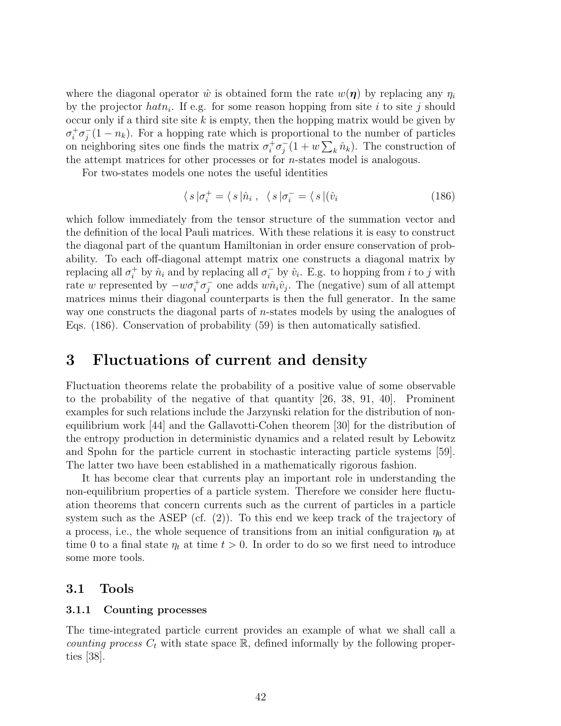where the diagonal operator  $\hat{w}$  is obtained form the rate  $w(\eta)$  by replacing any  $\eta_i$ by the projector  $hat_i$ . If e.g. for some reason hopping from site i to site j should occur only if a third site site  $k$  is empty, then the hopping matrix would be given by  $\sigma_i^+ \sigma_j^$  $j(1-n_k)$ . For a hopping rate which is proportional to the number of particles on neighboring sites one finds the matrix  $\sigma_i^+ \sigma_j^$  $j(1 + w \sum_k \hat{n}_k)$ . The construction of the attempt matrices for other processes or for n-states model is analogous.

For two-states models one notes the useful identities

$$
\langle s | \sigma_i^+ = \langle s | \hat{n}_i \,, \ \langle s | \sigma_i^- = \langle s | (\hat{v}_i \tag{186})
$$

which follow immediately from the tensor structure of the summation vector and the definition of the local Pauli matrices. With these relations it is easy to construct the diagonal part of the quantum Hamiltonian in order ensure conservation of probability. To each off-diagonal attempt matrix one constructs a diagonal matrix by replacing all  $\sigma_i^+$  by  $\hat{n}_i$  and by replacing all  $\sigma_i^-$  by  $\hat{v}_i$ . E.g. to hopping from *i* to *j* with rate w represented by  $-w\sigma_i^+\sigma_j^$  $j$  one adds  $w\hat{n}_i\hat{v}_j$ . The (negative) sum of all attempt matrices minus their diagonal counterparts is then the full generator. In the same way one constructs the diagonal parts of n-states models by using the analogues of Eqs. (186). Conservation of probability (59) is then automatically satisfied.

# 3 Fluctuations of current and density

Fluctuation theorems relate the probability of a positive value of some observable to the probability of the negative of that quantity [26, 38, 91, 40]. Prominent examples for such relations include the Jarzynski relation for the distribution of nonequilibrium work [44] and the Gallavotti-Cohen theorem [30] for the distribution of the entropy production in deterministic dynamics and a related result by Lebowitz and Spohn for the particle current in stochastic interacting particle systems [59]. The latter two have been established in a mathematically rigorous fashion.

It has become clear that currents play an important role in understanding the non-equilibrium properties of a particle system. Therefore we consider here fluctuation theorems that concern currents such as the current of particles in a particle system such as the ASEP (cf. (2)). To this end we keep track of the trajectory of a process, i.e., the whole sequence of transitions from an initial configuration  $\eta_0$  at time 0 to a final state  $\eta_t$  at time  $t > 0$ . In order to do so we first need to introduce some more tools.

# 3.1 Tools

#### 3.1.1 Counting processes

The time-integrated particle current provides an example of what we shall call a *counting process*  $C_t$  with state space  $\mathbb{R}$ , defined informally by the following properties [38].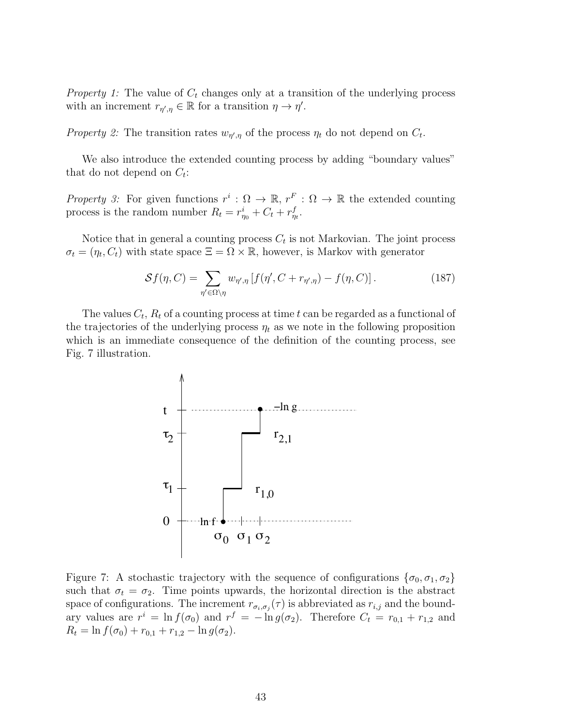*Property 1:* The value of  $C_t$  changes only at a transition of the underlying process with an increment  $r_{\eta',\eta} \in \mathbb{R}$  for a transition  $\eta \to \eta'$ .

Property 2: The transition rates  $w_{\eta',\eta}$  of the process  $\eta_t$  do not depend on  $C_t$ .

We also introduce the extended counting process by adding "boundary values" that do not depend on  $C_t$ :

Property 3: For given functions  $r^i : \Omega \to \mathbb{R}$ ,  $r^F : \Omega \to \mathbb{R}$  the extended counting process is the random number  $R_t = r_{\eta_0}^i + C_t + r_{\eta_t}^f$ .

Notice that in general a counting process  $C_t$  is not Markovian. The joint process  $\sigma_t = (\eta_t, C_t)$  with state space  $\Xi = \Omega \times \mathbb{R}$ , however, is Markov with generator

$$
Sf(\eta, C) = \sum_{\eta' \in \Omega \setminus \eta} w_{\eta', \eta} \left[ f(\eta', C + r_{\eta', \eta}) - f(\eta, C) \right]. \tag{187}
$$

The values  $C_t$ ,  $R_t$  of a counting process at time t can be regarded as a functional of the trajectories of the underlying process  $\eta_t$  as we note in the following proposition which is an immediate consequence of the definition of the counting process, see Fig. 7 illustration.



Figure 7: A stochastic trajectory with the sequence of configurations  $\{\sigma_0, \sigma_1, \sigma_2\}$ such that  $\sigma_t = \sigma_2$ . Time points upwards, the horizontal direction is the abstract space of configurations. The increment  $r_{\sigma_i,\sigma_j}(\tau)$  is abbreviated as  $r_{i,j}$  and the boundary values are  $r^i = \ln f(\sigma_0)$  and  $r^f = -\ln g(\sigma_2)$ . Therefore  $C_t = r_{0,1} + r_{1,2}$  and  $R_t = \ln f(\sigma_0) + r_{0,1} + r_{1,2} - \ln g(\sigma_2).$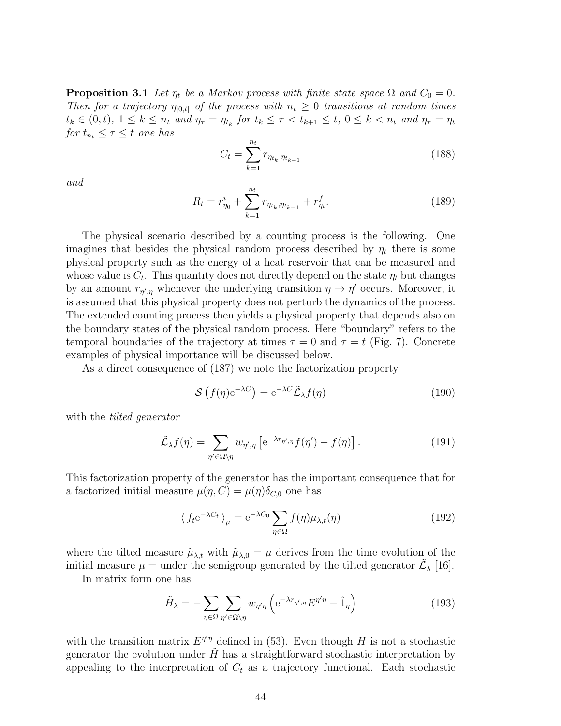**Proposition 3.1** Let  $\eta_t$  be a Markov process with finite state space  $\Omega$  and  $C_0 = 0$ . Then for a trajectory  $\eta_{[0,t]}$  of the process with  $n_t \geq 0$  transitions at random times  $t_k \in (0,t)$ ,  $1 \leq k \leq n_t$  and  $\eta_{\tau} = \eta_{t_k}$  for  $t_k \leq \tau < t_{k+1} \leq t$ ,  $0 \leq k < n_t$  and  $\eta_{\tau} = \eta_t$ for  $t_{n_t} \leq \tau \leq t$  one has

$$
C_t = \sum_{k=1}^{n_t} r_{\eta_{t_k}, \eta_{t_{k-1}}} \tag{188}
$$

and

$$
R_t = r_{\eta_0}^i + \sum_{k=1}^{n_t} r_{\eta_{t_k}, \eta_{t_{k-1}}} + r_{\eta_t}^f.
$$
 (189)

The physical scenario described by a counting process is the following. One imagines that besides the physical random process described by  $\eta_t$  there is some physical property such as the energy of a heat reservoir that can be measured and whose value is  $C_t$ . This quantity does not directly depend on the state  $\eta_t$  but changes by an amount  $r_{\eta',\eta}$  whenever the underlying transition  $\eta \to \eta'$  occurs. Moreover, it is assumed that this physical property does not perturb the dynamics of the process. The extended counting process then yields a physical property that depends also on the boundary states of the physical random process. Here "boundary" refers to the temporal boundaries of the trajectory at times  $\tau = 0$  and  $\tau = t$  (Fig. 7). Concrete examples of physical importance will be discussed below.

As a direct consequence of (187) we note the factorization property

$$
\mathcal{S}\left(f(\eta)\mathrm{e}^{-\lambda C}\right) = \mathrm{e}^{-\lambda C} \tilde{\mathcal{L}}_{\lambda} f(\eta) \tag{190}
$$

with the *tilted* generator

$$
\tilde{\mathcal{L}}_{\lambda} f(\eta) = \sum_{\eta' \in \Omega \setminus \eta} w_{\eta',\eta} \left[ e^{-\lambda r_{\eta',\eta}} f(\eta') - f(\eta) \right]. \tag{191}
$$

This factorization property of the generator has the important consequence that for a factorized initial measure  $\mu(\eta, C) = \mu(\eta)\delta_{C,0}$  one has

$$
\langle f_t e^{-\lambda C_t} \rangle_{\mu} = e^{-\lambda C_0} \sum_{\eta \in \Omega} f(\eta) \tilde{\mu}_{\lambda, t}(\eta)
$$
 (192)

where the tilted measure  $\tilde{\mu}_{\lambda,t}$  with  $\tilde{\mu}_{\lambda,0} = \mu$  derives from the time evolution of the initial measure  $\mu =$  under the semigroup generated by the tilted generator  $\tilde{\mathcal{L}}_{\lambda}$  [16].

In matrix form one has

$$
\tilde{H}_{\lambda} = -\sum_{\eta \in \Omega} \sum_{\eta' \in \Omega \setminus \eta} w_{\eta'\eta} \left( e^{-\lambda r_{\eta',\eta}} E^{\eta'\eta} - \hat{1}_{\eta} \right)
$$
(193)

with the transition matrix  $E^{\eta'\eta}$  defined in (53). Even though  $\tilde{H}$  is not a stochastic generator the evolution under  $H$  has a straightforward stochastic interpretation by appealing to the interpretation of  $C_t$  as a trajectory functional. Each stochastic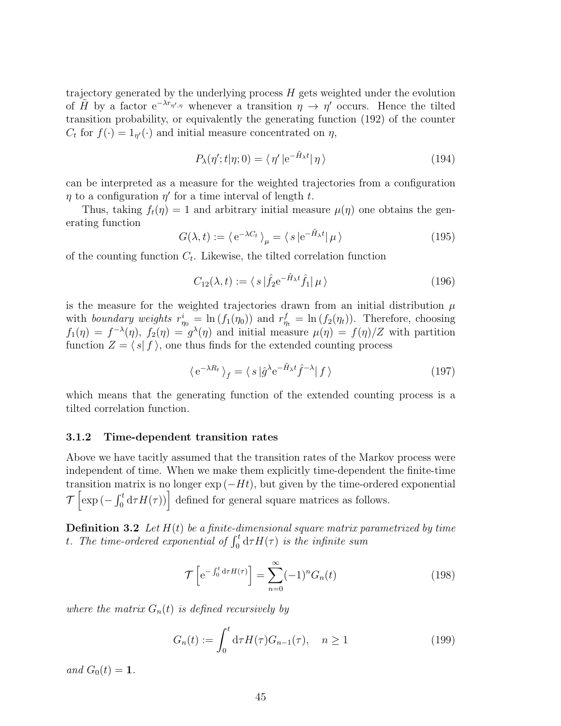trajectory generated by the underlying process  $H$  gets weighted under the evolution of  $\tilde{H}$  by a factor  $e^{-\lambda r_{\eta',\eta}}$  whenever a transition  $\eta \to \eta'$  occurs. Hence the tilted transition probability, or equivalently the generating function (192) of the counter  $C_t$  for  $f(\cdot) = 1_{\eta'}(\cdot)$  and initial measure concentrated on  $\eta$ ,

$$
P_{\lambda}(\eta';t|\eta;0) = \langle \eta' | e^{-\tilde{H}_{\lambda}t} | \eta \rangle \tag{194}
$$

can be interpreted as a measure for the weighted trajectories from a configuration  $\eta$  to a configuration  $\eta'$  for a time interval of length t.

Thus, taking  $f_t(\eta) = 1$  and arbitrary initial measure  $\mu(\eta)$  one obtains the generating function

$$
G(\lambda, t) := \langle e^{-\lambda C_t} \rangle_{\mu} = \langle s | e^{-\tilde{H}_{\lambda}t} | \mu \rangle \tag{195}
$$

of the counting function  $C_t$ . Likewise, the tilted correlation function

$$
C_{12}(\lambda, t) := \langle s | \hat{f}_2 e^{-\tilde{H}_{\lambda} t} \hat{f}_1 | \mu \rangle \tag{196}
$$

is the measure for the weighted trajectories drawn from an initial distribution  $\mu$ with boundary weights  $r_{\eta_0}^i = \ln(f_1(\eta_0))$  and  $r_{\eta_t}^f = \ln(f_2(\eta_t))$ . Therefore, choosing  $f_1(\eta) = f^{-\lambda}(\eta)$ ,  $f_2(\eta) = g^{\lambda}(\eta)$  and initial measure  $\mu(\eta) = f(\eta)/Z$  with partition function  $Z = \langle s | f \rangle$ , one thus finds for the extended counting process

$$
\langle e^{-\lambda R_t} \rangle_f = \langle s | \hat{g}^{\lambda} e^{-\tilde{H}_{\lambda} t} \hat{f}^{-\lambda} | f \rangle \tag{197}
$$

which means that the generating function of the extended counting process is a tilted correlation function.

#### 3.1.2 Time-dependent transition rates

Above we have tacitly assumed that the transition rates of the Markov process were independent of time. When we make them explicitly time-dependent the finite-time transition matrix is no longer  $\exp(-Ht)$ , but given by the time-ordered exponential  $\mathcal{T}\left[\exp\left(-\int_0^t \mathrm{d}\tau H(\tau)\right)\right]$  defined for general square matrices as follows.

**Definition 3.2** Let  $H(t)$  be a finite-dimensional square matrix parametrized by time t. The time-ordered exponential of  $\int_0^t d\tau H(\tau)$  is the infinite sum

$$
\mathcal{T}\left[e^{-\int_0^t d\tau H(\tau)}\right] = \sum_{n=0}^\infty (-1)^n G_n(t) \tag{198}
$$

where the matrix  $G_n(t)$  is defined recursively by

$$
G_n(t) := \int_0^t d\tau H(\tau) G_{n-1}(\tau), \quad n \ge 1
$$
\n(199)

and  $G_0(t) = 1$ .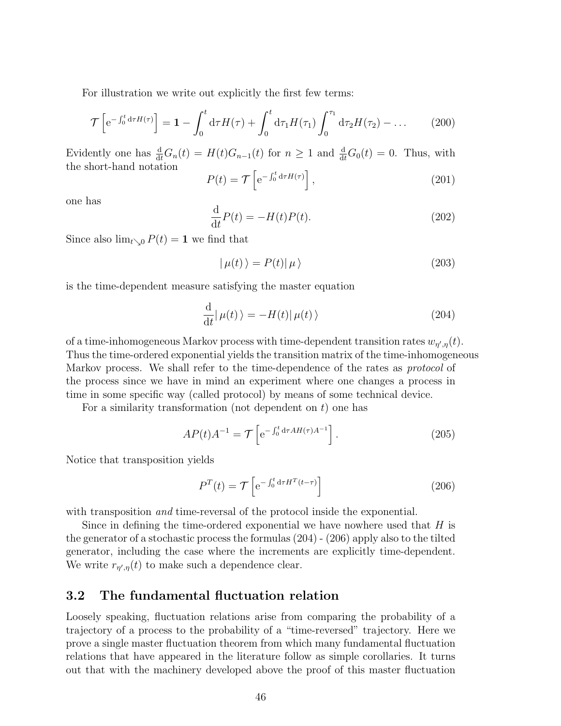For illustration we write out explicitly the first few terms:

$$
\mathcal{T}\left[e^{-\int_0^t d\tau H(\tau)}\right] = \mathbf{1} - \int_0^t d\tau H(\tau) + \int_0^t d\tau_1 H(\tau_1) \int_0^{\tau_1} d\tau_2 H(\tau_2) - \dots \tag{200}
$$

Evidently one has  $\frac{d}{dt}G_n(t) = H(t)G_{n-1}(t)$  for  $n \geq 1$  and  $\frac{d}{dt}G_0(t) = 0$ . Thus, with the short-hand notation

$$
P(t) = \mathcal{T}\left[e^{-\int_0^t d\tau H(\tau)}\right],\tag{201}
$$

one has

$$
\frac{\mathrm{d}}{\mathrm{d}t}P(t) = -H(t)P(t). \tag{202}
$$

Since also  $\lim_{t\searrow0} P(t) = 1$  we find that

$$
|\mu(t)\rangle = P(t)|\mu\rangle \tag{203}
$$

is the time-dependent measure satisfying the master equation

$$
\frac{\mathrm{d}}{\mathrm{d}t}|\,\mu(t)\,\rangle = -H(t)|\,\mu(t)\,\rangle\tag{204}
$$

of a time-inhomogeneous Markov process with time-dependent transition rates  $w_{\eta',\eta}(t)$ . Thus the time-ordered exponential yields the transition matrix of the time-inhomogeneous Markov process. We shall refer to the time-dependence of the rates as protocol of the process since we have in mind an experiment where one changes a process in time in some specific way (called protocol) by means of some technical device.

For a similarity transformation (not dependent on  $t$ ) one has

$$
AP(t)A^{-1} = \mathcal{T}\left[e^{-\int_0^t d\tau A H(\tau)A^{-1}}\right].
$$
\n(205)

Notice that transposition yields

$$
P^{T}(t) = \mathcal{T}\left[e^{-\int_0^t d\tau H^{T}(t-\tau)}\right]
$$
\n(206)

with transposition *and* time-reversal of the protocol inside the exponential.

Since in defining the time-ordered exponential we have nowhere used that  $H$  is the generator of a stochastic process the formulas (204) - (206) apply also to the tilted generator, including the case where the increments are explicitly time-dependent. We write  $r_{\eta',\eta}(t)$  to make such a dependence clear.

# 3.2 The fundamental fluctuation relation

Loosely speaking, fluctuation relations arise from comparing the probability of a trajectory of a process to the probability of a "time-reversed" trajectory. Here we prove a single master fluctuation theorem from which many fundamental fluctuation relations that have appeared in the literature follow as simple corollaries. It turns out that with the machinery developed above the proof of this master fluctuation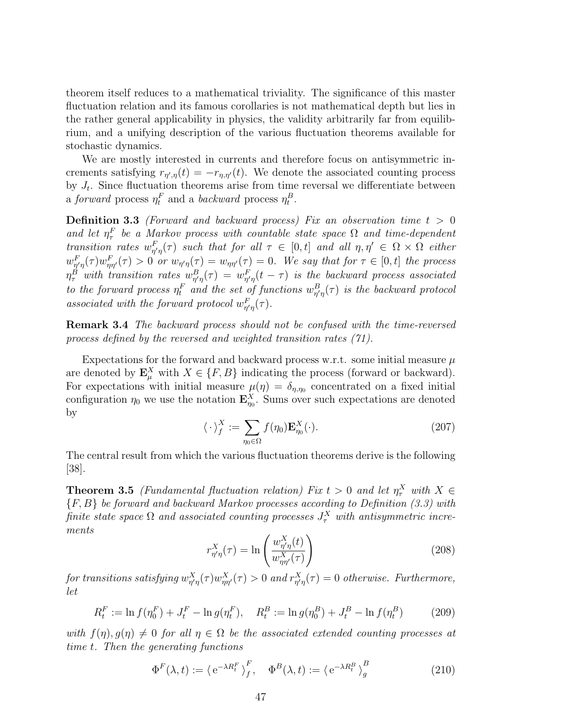theorem itself reduces to a mathematical triviality. The significance of this master fluctuation relation and its famous corollaries is not mathematical depth but lies in the rather general applicability in physics, the validity arbitrarily far from equilibrium, and a unifying description of the various fluctuation theorems available for stochastic dynamics.

We are mostly interested in currents and therefore focus on antisymmetric increments satisfying  $r_{\eta',\eta}(t) = -r_{\eta,\eta'}(t)$ . We denote the associated counting process by  $J_t$ . Since fluctuation theorems arise from time reversal we differentiate between a forward process  $\eta_t^F$  and a backward process  $\eta_t^B$ .

**Definition 3.3** (Forward and backward process) Fix an observation time  $t > 0$ and let  $\eta_{\tau}^{F}$  be a Markov process with countable state space  $\Omega$  and time-dependent transition rates  $w_{\eta'\eta}^F(\tau)$  such that for all  $\tau \in [0,t]$  and all  $\eta, \eta' \in \Omega \times \Omega$  either  $w_{\eta'\eta}^F(\tau)w_{\eta\eta'}^F(\tau) > 0$  or  $w_{\eta'\eta}(\tau) = w_{\eta\eta'}(\tau) = 0$ . We say that for  $\tau \in [0, t]$  the process  $\eta_{\tau}^{B}$  with transition rates  $w_{\eta'\eta}^{B}(\tau) = w_{\eta'\eta}^{F}(t-\tau)$  is the backward process associated to the forward process  $\eta_t^F$  and the set of functions  $w_{\eta'\eta}^B(\tau)$  is the backward protocol associated with the forward protocol  $w_{\eta'\eta}^F(\tau)$ .

Remark 3.4 The backward process should not be confused with the time-reversed process defined by the reversed and weighted transition rates (71).

Expectations for the forward and backward process w.r.t. some initial measure  $\mu$ are denoted by  $\mathbf{E}_{\mu}^{X}$  with  $X \in \{F, B\}$  indicating the process (forward or backward). For expectations with initial measure  $\mu(\eta) = \delta_{\eta,\eta_0}$  concentrated on a fixed initial configuration  $\eta_0$  we use the notation  $\mathbf{E}_{\eta_0}^X$ . Sums over such expectations are denoted by

$$
\langle \cdot \rangle_f^X := \sum_{\eta_0 \in \Omega} f(\eta_0) \mathbf{E}_{\eta_0}^X(\cdot). \tag{207}
$$

The central result from which the various fluctuation theorems derive is the following [38].

**Theorem 3.5** (Fundamental fluctuation relation) Fix  $t > 0$  and let  $\eta_\tau^X$  with  $X \in$  ${F, B}$  be forward and backward Markov processes according to Definition (3.3) with finite state space  $\Omega$  and associated counting processes  $J_\tau^X$  with antisymmetric increments

$$
r_{\eta'\eta}^X(\tau) = \ln\left(\frac{w_{\eta'\eta}^X(t)}{w_{\eta\eta'}^X(\tau)}\right) \tag{208}
$$

for transitions satisfying  $w_{\eta'\eta}^X(\tau)w_{\eta\eta'}^X(\tau)>0$  and  $r_{\eta'\eta}^X(\tau)=0$  otherwise. Furthermore, let

$$
R_t^F := \ln f(\eta_0^F) + J_t^F - \ln g(\eta_t^F), \quad R_t^B := \ln g(\eta_0^B) + J_t^B - \ln f(\eta_t^B) \tag{209}
$$

with  $f(\eta)$ ,  $g(\eta) \neq 0$  for all  $\eta \in \Omega$  be the associated extended counting processes at time t. Then the generating functions

$$
\Phi^F(\lambda, t) := \left\langle e^{-\lambda R_t^F} \right\rangle_f^F, \quad \Phi^B(\lambda, t) := \left\langle e^{-\lambda R_t^B} \right\rangle_g^B \tag{210}
$$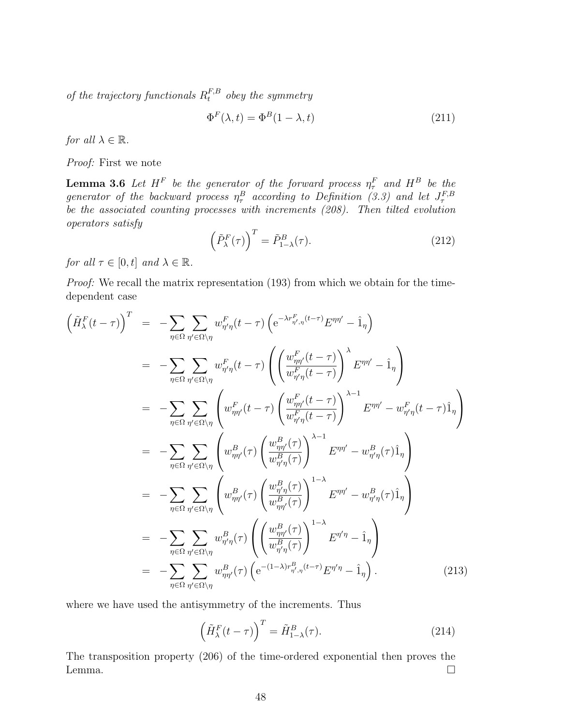of the trajectory functionals  $R_t^{F,B}$  obey the symmetry

$$
\Phi^F(\lambda, t) = \Phi^B(1 - \lambda, t) \tag{211}
$$

for all  $\lambda \in \mathbb{R}$ .

Proof: First we note

**Lemma 3.6** Let  $H^F$  be the generator of the forward process  $\eta_{\tau}^F$  and  $H^B$  be the generator of the backward process  $\eta_{\tau}^{B}$  according to Definition (3.3) and let  $J_{\tau}^{F,B}$ be the associated counting processes with increments (208). Then tilted evolution operators satisfy

$$
\left(\tilde{P}_{\lambda}^{F}(\tau)\right)^{T} = \tilde{P}_{1-\lambda}^{B}(\tau). \tag{212}
$$

for all  $\tau \in [0, t]$  and  $\lambda \in \mathbb{R}$ .

Proof: We recall the matrix representation (193) from which we obtain for the timedependent case

$$
\left(\tilde{H}_{\lambda}^{F}(t-\tau)\right)^{T} = -\sum_{\eta \in \Omega} \sum_{\eta' \in \Omega \setminus \eta} w_{\eta' \eta}^{F}(t-\tau) \left(e^{-\lambda r_{\eta', \eta}^{F}(t-\tau)} E^{\eta \eta'} - \hat{1}_{\eta}\right)
$$
\n
$$
= -\sum_{\eta \in \Omega} \sum_{\eta' \in \Omega \setminus \eta} w_{\eta' \eta}^{F}(t-\tau) \left(\left(\frac{w_{\eta\eta'}^{F}(t-\tau)}{w_{\eta'\eta}^{F}(t-\tau)}\right)^{\lambda} E^{\eta \eta'} - \hat{1}_{\eta}\right)
$$
\n
$$
= -\sum_{\eta \in \Omega} \sum_{\eta' \in \Omega \setminus \eta} \left(w_{\eta\eta'}^{F}(t-\tau) \left(\frac{w_{\eta\eta'}^{F}(t-\tau)}{w_{\eta'\eta}^{F}(t-\tau)}\right)^{\lambda-1} E^{\eta \eta'} - w_{\eta'\eta}^{F}(t-\tau) \hat{1}_{\eta}\right)
$$
\n
$$
= -\sum_{\eta \in \Omega} \sum_{\eta' \in \Omega \setminus \eta} \left(w_{\eta\eta'}^{B}(\tau) \left(\frac{w_{\eta\eta'}^{B}(\tau)}{w_{\eta'\eta}^{B}(\tau)}\right)^{\lambda-1} E^{\eta \eta'} - w_{\eta'\eta}^{B}(\tau) \hat{1}_{\eta}\right)
$$
\n
$$
= -\sum_{\eta \in \Omega} \sum_{\eta' \in \Omega \setminus \eta} \left(w_{\eta\eta'}^{B}(\tau) \left(\frac{w_{\eta\eta'}^{B}(\tau)}{w_{\eta\eta'}^{B}(\tau)}\right)^{1-\lambda} E^{\eta \eta'} - w_{\eta'\eta}^{B}(\tau) \hat{1}_{\eta}\right)
$$
\n
$$
= -\sum_{\eta \in \Omega} \sum_{\eta' \in \Omega \setminus \eta} w_{\eta'\eta}^{B}(\tau) \left(\left(\frac{w_{\eta\eta'}^{B}(\tau)}{w_{\eta'\eta}^{B}(\tau)}\right)^{1-\lambda} E^{\eta'\eta} - \hat{1}_{\eta}\right)
$$
\n
$$
= -\sum_{\eta \in \Omega} \sum_{\eta' \in \Omega \setminus \eta} w_{\eta\eta'}^{B}(\tau) \left(e^{-(1-\lambda)r_{
$$

where we have used the antisymmetry of the increments. Thus

$$
\left(\tilde{H}_{\lambda}^{F}(t-\tau)\right)^{T} = \tilde{H}_{1-\lambda}^{B}(\tau). \tag{214}
$$

The transposition property (206) of the time-ordered exponential then proves the Lemma.  $\square$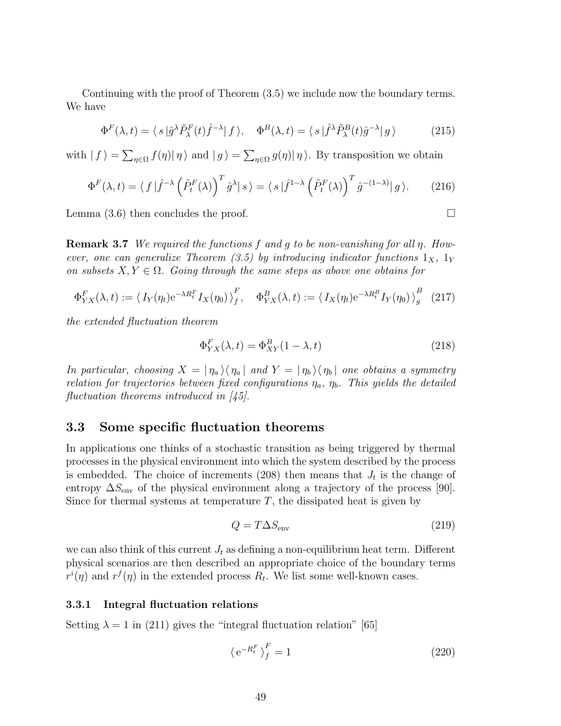Continuing with the proof of Theorem (3.5) we include now the boundary terms. We have

$$
\Phi^F(\lambda, t) = \langle s | \hat{g}^\lambda \tilde{P}^F_\lambda(t) \hat{f}^{-\lambda} | f \rangle, \quad \Phi^B(\lambda, t) = \langle s | \hat{f}^\lambda \tilde{P}^B_\lambda(t) \hat{g}^{-\lambda} | g \rangle \tag{215}
$$

with  $| f \rangle = \sum_{\eta \in \Omega} f(\eta) | \eta \rangle$  and  $| g \rangle = \sum_{\eta \in \Omega} g(\eta) | \eta \rangle$ . By transposition we obtain

$$
\Phi^F(\lambda, t) = \langle f | \hat{f}^{-\lambda} \left( \tilde{P}_t^F(\lambda) \right)^T \hat{g}^{\lambda} | s \rangle = \langle s | \hat{f}^{1-\lambda} \left( \tilde{P}_t^F(\lambda) \right)^T \hat{g}^{-(1-\lambda)} | g \rangle. \tag{216}
$$

Lemma (3.6) then concludes the proof.

**Remark 3.7** We required the functions f and q to be non-vanishing for all  $\eta$ . However, one can generalize Theorem (3.5) by introducing indicator functions  $1_X$ ,  $1_Y$ on subsets  $X, Y \in \Omega$ . Going through the same steps as above one obtains for

$$
\Phi_{YX}^F(\lambda, t) := \left\langle I_Y(\eta_t) e^{-\lambda R_t^F} I_X(\eta_0) \right\rangle_f^F, \quad \Phi_{YX}^B(\lambda, t) := \left\langle I_X(\eta_t) e^{-\lambda R_t^B} I_Y(\eta_0) \right\rangle_g^B \tag{217}
$$

the extended fluctuation theorem

$$
\Phi_{YX}^F(\lambda, t) = \Phi_{XY}^B(1 - \lambda, t)
$$
\n(218)

In particular, choosing  $X = |\eta_a\rangle\langle\eta_a|$  and  $Y = |\eta_b\rangle\langle\eta_b|$  one obtains a symmetry relation for trajectories between fixed configurations  $\eta_a$ ,  $\eta_b$ . This yields the detailed fluctuation theorems introduced in [45].

### 3.3 Some specific fluctuation theorems

In applications one thinks of a stochastic transition as being triggered by thermal processes in the physical environment into which the system described by the process is embedded. The choice of increments (208) then means that  $J_t$  is the change of entropy  $\Delta S_{\text{env}}$  of the physical environment along a trajectory of the process [90]. Since for thermal systems at temperature  $T$ , the dissipated heat is given by

$$
Q = T\Delta S_{\text{env}}\tag{219}
$$

we can also think of this current  $J_t$  as defining a non-equilibrium heat term. Different physical scenarios are then described an appropriate choice of the boundary terms  $r^{i}(\eta)$  and  $r^{f}(\eta)$  in the extended process  $R_{t}$ . We list some well-known cases.

#### 3.3.1 Integral fluctuation relations

Setting  $\lambda = 1$  in (211) gives the "integral fluctuation relation" [65]

$$
\left\langle e^{-R_t^F} \right\rangle_f^F = 1 \tag{220}
$$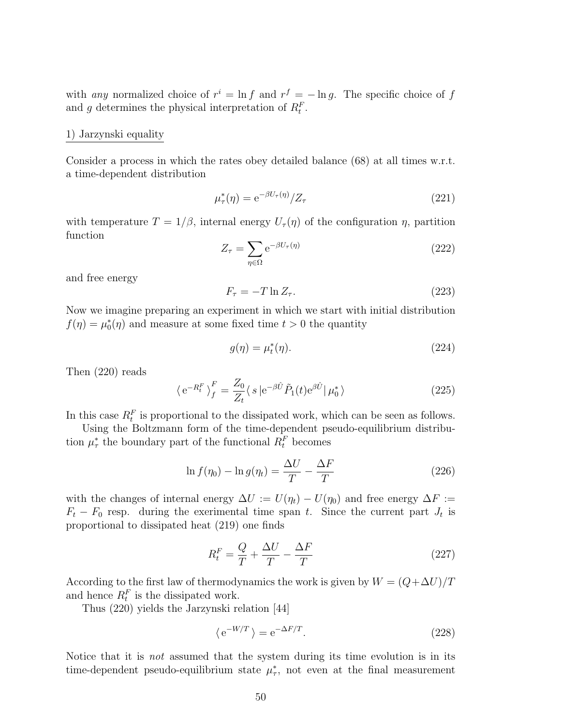with any normalized choice of  $r^i = \ln f$  and  $r^f = -\ln g$ . The specific choice of f and g determines the physical interpretation of  $R_t^F$ .

#### 1) Jarzynski equality

Consider a process in which the rates obey detailed balance (68) at all times w.r.t. a time-dependent distribution

$$
\mu_\tau^*(\eta) = e^{-\beta U_\tau(\eta)}/Z_\tau \tag{221}
$$

with temperature  $T = 1/\beta$ , internal energy  $U_{\tau}(\eta)$  of the configuration  $\eta$ , partition function

$$
Z_{\tau} = \sum_{\eta \in \Omega} e^{-\beta U_{\tau}(\eta)} \tag{222}
$$

and free energy

$$
F_{\tau} = -T \ln Z_{\tau}.\tag{223}
$$

Now we imagine preparing an experiment in which we start with initial distribution  $f(\eta) = \mu_0^*(\eta)$  and measure at some fixed time  $t > 0$  the quantity

$$
g(\eta) = \mu_t^*(\eta). \tag{224}
$$

Then (220) reads

$$
\langle e^{-R_t^F} \rangle_f^F = \frac{Z_0}{Z_t} \langle s | e^{-\beta \hat{U}} \tilde{P}_1(t) e^{\beta \hat{U}} | \mu_0^* \rangle \tag{225}
$$

In this case  $R_t^F$  is proportional to the dissipated work, which can be seen as follows.

Using the Boltzmann form of the time-dependent pseudo-equilibrium distribution  $\mu^*$  the boundary part of the functional  $R_t^F$  becomes

$$
\ln f(\eta_0) - \ln g(\eta_t) = \frac{\Delta U}{T} - \frac{\Delta F}{T}
$$
\n(226)

with the changes of internal energy  $\Delta U := U(\eta_t) - U(\eta_0)$  and free energy  $\Delta F :=$  $F_t - F_0$  resp. during the exerimental time span t. Since the current part  $J_t$  is proportional to dissipated heat (219) one finds

$$
R_t^F = \frac{Q}{T} + \frac{\Delta U}{T} - \frac{\Delta F}{T}
$$
\n(227)

According to the first law of thermodynamics the work is given by  $W = (Q + \Delta U)/T$ and hence  $R_t^F$  is the dissipated work.

Thus (220) yields the Jarzynski relation [44]

$$
\langle e^{-W/T} \rangle = e^{-\Delta F/T}.
$$
 (228)

Notice that it is not assumed that the system during its time evolution is in its time-dependent pseudo-equilibrium state  $\mu^*$ , not even at the final measurement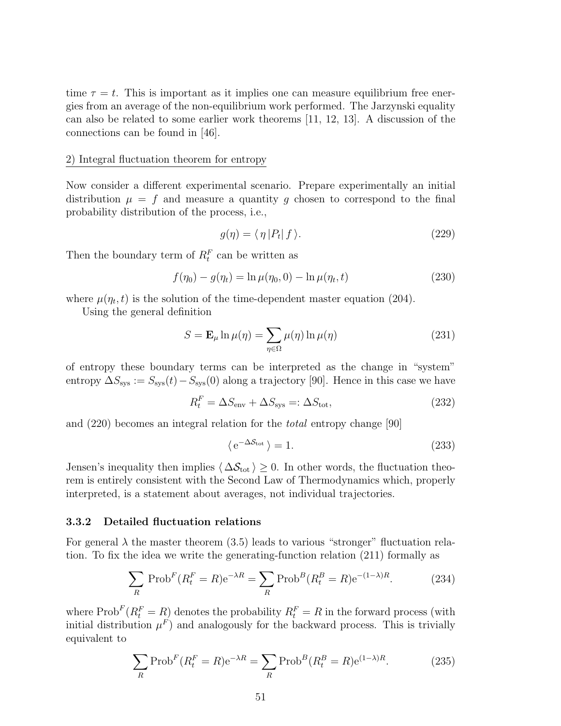time  $\tau = t$ . This is important as it implies one can measure equilibrium free energies from an average of the non-equilibrium work performed. The Jarzynski equality can also be related to some earlier work theorems [11, 12, 13]. A discussion of the connections can be found in [46].

#### 2) Integral fluctuation theorem for entropy

Now consider a different experimental scenario. Prepare experimentally an initial distribution  $\mu = f$  and measure a quantity g chosen to correspond to the final probability distribution of the process, i.e.,

$$
g(\eta) = \langle \eta | P_t | f \rangle. \tag{229}
$$

Then the boundary term of  $R_t^F$  can be written as

$$
f(\eta_0) - g(\eta_t) = \ln \mu(\eta_0, 0) - \ln \mu(\eta_t, t)
$$
\n(230)

where  $\mu(\eta_t, t)$  is the solution of the time-dependent master equation (204).

Using the general definition

$$
S = \mathbf{E}_{\mu} \ln \mu(\eta) = \sum_{\eta \in \Omega} \mu(\eta) \ln \mu(\eta)
$$
 (231)

of entropy these boundary terms can be interpreted as the change in "system" entropy  $\Delta S_{\rm sys} := S_{\rm sys}(t) - S_{\rm sys}(0)$  along a trajectory [90]. Hence in this case we have

$$
R_t^F = \Delta S_{\text{env}} + \Delta S_{\text{sys}} =: \Delta S_{\text{tot}},\tag{232}
$$

and (220) becomes an integral relation for the total entropy change [90]

$$
\langle e^{-\Delta S_{\text{tot}}} \rangle = 1. \tag{233}
$$

Jensen's inequality then implies  $\langle \Delta S_{\text{tot}} \rangle \geq 0$ . In other words, the fluctuation theorem is entirely consistent with the Second Law of Thermodynamics which, properly interpreted, is a statement about averages, not individual trajectories.

#### 3.3.2 Detailed fluctuation relations

For general  $\lambda$  the master theorem (3.5) leads to various "stronger" fluctuation relation. To fix the idea we write the generating-function relation (211) formally as

$$
\sum_{R} \operatorname{Prob}^{F}(R_{t}^{F} = R) e^{-\lambda R} = \sum_{R} \operatorname{Prob}^{B}(R_{t}^{B} = R) e^{-(1-\lambda)R}.
$$
 (234)

where  $\text{Prob}^F(R_t^F = R)$  denotes the probability  $R_t^F = R$  in the forward process (with initial distribution  $\mu^F$ ) and analogously for the backward process. This is trivially equivalent to

$$
\sum_{R} \text{Prob}^{F}(R_t^F = R) e^{-\lambda R} = \sum_{R} \text{Prob}^{B}(R_t^B = R) e^{(1-\lambda)R}.
$$
 (235)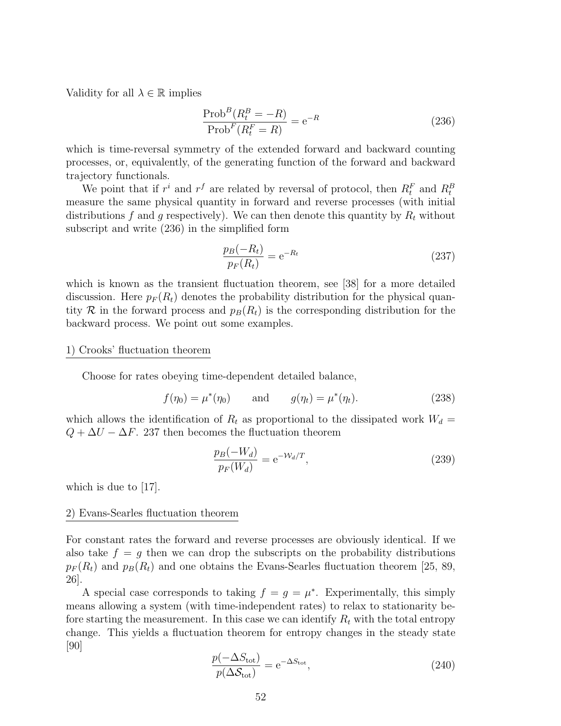Validity for all  $\lambda \in \mathbb{R}$  implies

$$
\frac{\text{Prob}^B(R_t^B = -R)}{\text{Prob}^F(R_t^F = R)} = e^{-R}
$$
\n(236)

which is time-reversal symmetry of the extended forward and backward counting processes, or, equivalently, of the generating function of the forward and backward trajectory functionals.

We point that if  $r^i$  and  $r^f$  are related by reversal of protocol, then  $R_t^F$  and  $R_t^B$ measure the same physical quantity in forward and reverse processes (with initial distributions f and g respectively). We can then denote this quantity by  $R_t$  without subscript and write (236) in the simplified form

$$
\frac{p_B(-R_t)}{p_F(R_t)} = e^{-R_t} \tag{237}
$$

which is known as the transient fluctuation theorem, see [38] for a more detailed discussion. Here  $p_F(R_t)$  denotes the probability distribution for the physical quantity R in the forward process and  $p_B(R_t)$  is the corresponding distribution for the backward process. We point out some examples.

#### 1) Crooks' fluctuation theorem

Choose for rates obeying time-dependent detailed balance,

$$
f(\eta_0) = \mu^*(\eta_0)
$$
 and  $g(\eta_t) = \mu^*(\eta_t)$ . (238)

which allows the identification of  $R_t$  as proportional to the dissipated work  $W_d =$  $Q + \Delta U - \Delta F$ . 237 then becomes the fluctuation theorem

$$
\frac{p_B(-W_d)}{p_F(W_d)} = e^{-\mathcal{W}_d/T},\tag{239}
$$

which is due to  $|17|$ .

#### 2) Evans-Searles fluctuation theorem

For constant rates the forward and reverse processes are obviously identical. If we also take  $f = g$  then we can drop the subscripts on the probability distributions  $p_F(R_t)$  and  $p_B(R_t)$  and one obtains the Evans-Searles fluctuation theorem [25, 89, 26].

A special case corresponds to taking  $f = g = \mu^*$ . Experimentally, this simply means allowing a system (with time-independent rates) to relax to stationarity before starting the measurement. In this case we can identify  $R_t$  with the total entropy change. This yields a fluctuation theorem for entropy changes in the steady state [90]

$$
\frac{p(-\Delta S_{\text{tot}})}{p(\Delta S_{\text{tot}})} = e^{-\Delta S_{\text{tot}}},\tag{240}
$$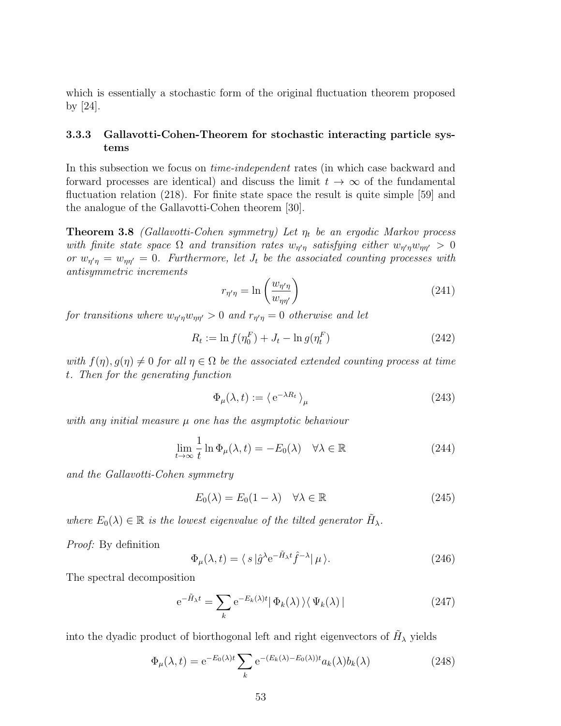which is essentially a stochastic form of the original fluctuation theorem proposed by [24].

# 3.3.3 Gallavotti-Cohen-Theorem for stochastic interacting particle systems

In this subsection we focus on time-independent rates (in which case backward and forward processes are identical) and discuss the limit  $t \to \infty$  of the fundamental fluctuation relation (218). For finite state space the result is quite simple [59] and the analogue of the Gallavotti-Cohen theorem [30].

**Theorem 3.8** (Gallavotti-Cohen symmetry) Let  $\eta_t$  be an ergodic Markov process with finite state space  $\Omega$  and transition rates  $w_{\eta'\eta}$  satisfying either  $w_{\eta'\eta}w_{\eta\eta'} > 0$ or  $w_{\eta'\eta} = w_{\eta\eta'} = 0$ . Furthermore, let  $J_t$  be the associated counting processes with antisymmetric increments

$$
r_{\eta'\eta} = \ln\left(\frac{w_{\eta'\eta}}{w_{\eta\eta'}}\right) \tag{241}
$$

for transitions where  $w_{\eta'\eta}w_{\eta\eta'} > 0$  and  $r_{\eta'\eta} = 0$  otherwise and let

$$
R_t := \ln f(\eta_0^F) + J_t - \ln g(\eta_t^F)
$$
\n(242)

with  $f(\eta), g(\eta) \neq 0$  for all  $\eta \in \Omega$  be the associated extended counting process at time t. Then for the generating function

$$
\Phi_{\mu}(\lambda, t) := \left\langle e^{-\lambda R_t} \right\rangle_{\mu} \tag{243}
$$

with any initial measure  $\mu$  one has the asymptotic behaviour

$$
\lim_{t \to \infty} \frac{1}{t} \ln \Phi_{\mu}(\lambda, t) = -E_0(\lambda) \quad \forall \lambda \in \mathbb{R}
$$
\n(244)

and the Gallavotti-Cohen symmetry

$$
E_0(\lambda) = E_0(1 - \lambda) \quad \forall \lambda \in \mathbb{R} \tag{245}
$$

where  $E_0(\lambda) \in \mathbb{R}$  is the lowest eigenvalue of the tilted generator  $\tilde{H}_{\lambda}$ .

Proof: By definition

$$
\Phi_{\mu}(\lambda, t) = \langle s | \hat{g}^{\lambda} e^{-\tilde{H}_{\lambda} t} \hat{f}^{-\lambda} | \mu \rangle. \tag{246}
$$

The spectral decomposition

$$
e^{-\tilde{H}_{\lambda}t} = \sum_{k} e^{-E_{k}(\lambda)t} |\Phi_{k}(\lambda)\rangle\langle\Psi_{k}(\lambda)|
$$
\n(247)

into the dyadic product of biorthogonal left and right eigenvectors of  $\tilde{H}_{\lambda}$  yields

$$
\Phi_{\mu}(\lambda, t) = e^{-E_0(\lambda)t} \sum_{k} e^{-(E_k(\lambda) - E_0(\lambda))t} a_k(\lambda) b_k(\lambda)
$$
\n(248)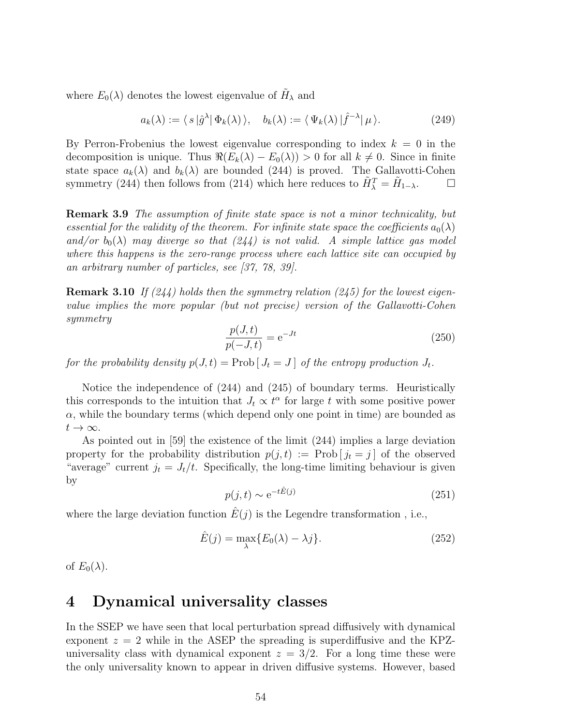where  $E_0(\lambda)$  denotes the lowest eigenvalue of  $\tilde{H}_\lambda$  and

$$
a_k(\lambda) := \langle s | \hat{g}^{\lambda} | \Phi_k(\lambda) \rangle, \quad b_k(\lambda) := \langle \Psi_k(\lambda) | \hat{f}^{-\lambda} | \mu \rangle. \tag{249}
$$

By Perron-Frobenius the lowest eigenvalue corresponding to index  $k = 0$  in the decomposition is unique. Thus  $\Re(E_k(\lambda) - E_0(\lambda)) > 0$  for all  $k \neq 0$ . Since in finite state space  $a_k(\lambda)$  and  $b_k(\lambda)$  are bounded (244) is proved. The Gallavotti-Cohen symmetry (244) then follows from (214) which here reduces to  $\tilde{H}_{\lambda}^T = \tilde{H}_{1-\lambda}$ .  $\Box$ 

Remark 3.9 The assumption of finite state space is not a minor technicality, but essential for the validity of the theorem. For infinite state space the coefficients  $a_0(\lambda)$ and/or  $b_0(\lambda)$  may diverge so that  $(244)$  is not valid. A simple lattice gas model where this happens is the zero-range process where each lattice site can occupied by an arbitrary number of particles, see [37, 78, 39].

**Remark 3.10** If  $(244)$  holds then the symmetry relation  $(245)$  for the lowest eigenvalue implies the more popular (but not precise) version of the Gallavotti-Cohen symmetry

$$
\frac{p(J,t)}{p(-J,t)} = e^{-Jt}
$$
\n(250)

for the probability density  $p(J, t) = Prob[J_t = J]$  of the entropy production  $J_t$ .

Notice the independence of (244) and (245) of boundary terms. Heuristically this corresponds to the intuition that  $J_t \propto t^{\alpha}$  for large t with some positive power  $\alpha$ , while the boundary terms (which depend only one point in time) are bounded as  $t\to\infty$ .

As pointed out in [59] the existence of the limit (244) implies a large deviation property for the probability distribution  $p(j, t) := \text{Prob}[j_t = j]$  of the observed "average" current  $j_t = J_t/t$ . Specifically, the long-time limiting behaviour is given by

$$
p(j,t) \sim e^{-t\hat{E}(j)}\tag{251}
$$

where the large deviation function  $\hat{E}(j)$  is the Legendre transformation, i.e.,

$$
\hat{E}(j) = \max_{\lambda} \{ E_0(\lambda) - \lambda j \}.
$$
\n(252)

of  $E_0(\lambda)$ .

# 4 Dynamical universality classes

In the SSEP we have seen that local perturbation spread diffusively with dynamical exponent  $z = 2$  while in the ASEP the spreading is superdiffusive and the KPZuniversality class with dynamical exponent  $z = 3/2$ . For a long time these were the only universality known to appear in driven diffusive systems. However, based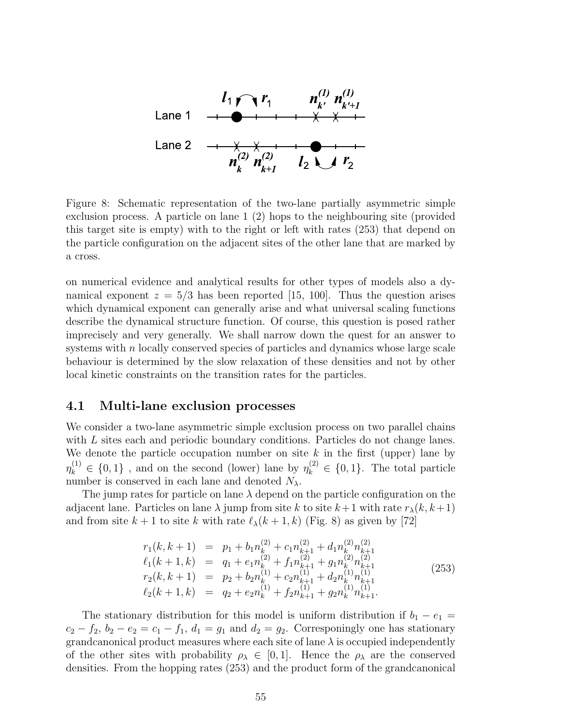

Figure 8: Schematic representation of the two-lane partially asymmetric simple exclusion process. A particle on lane 1 (2) hops to the neighbouring site (provided this target site is empty) with to the right or left with rates (253) that depend on the particle configuration on the adjacent sites of the other lane that are marked by a cross.

on numerical evidence and analytical results for other types of models also a dynamical exponent  $z = 5/3$  has been reported [15, 100]. Thus the question arises which dynamical exponent can generally arise and what universal scaling functions describe the dynamical structure function. Of course, this question is posed rather imprecisely and very generally. We shall narrow down the quest for an answer to systems with n locally conserved species of particles and dynamics whose large scale behaviour is determined by the slow relaxation of these densities and not by other local kinetic constraints on the transition rates for the particles.

### 4.1 Multi-lane exclusion processes

We consider a two-lane asymmetric simple exclusion process on two parallel chains with L sites each and periodic boundary conditions. Particles do not change lanes. We denote the particle occupation number on site  $k$  in the first (upper) lane by  $\eta_k^{(1)} \in \{0,1\}$ , and on the second (lower) lane by  $\eta_k^{(2)} \in \{0,1\}$ . The total particle number is conserved in each lane and denoted  $N_{\lambda}$ .

The jump rates for particle on lane  $\lambda$  depend on the particle configuration on the adjacent lane. Particles on lane  $\lambda$  jump from site k to site  $k+1$  with rate  $r_{\lambda}(k, k+1)$ and from site  $k + 1$  to site k with rate  $\ell_{\lambda}(k + 1, k)$  (Fig. 8) as given by [72]

$$
r_1(k, k+1) = p_1 + b_1 n_k^{(2)} + c_1 n_{k+1}^{(2)} + d_1 n_k^{(2)} n_{k+1}^{(2)}
$$
  
\n
$$
\ell_1(k+1, k) = q_1 + e_1 n_k^{(2)} + f_1 n_{k+1}^{(2)} + g_1 n_k^{(2)} n_{k+1}^{(2)}
$$
  
\n
$$
r_2(k, k+1) = p_2 + b_2 n_k^{(1)} + c_2 n_{k+1}^{(1)} + d_2 n_k^{(1)} n_{k+1}^{(1)}
$$
  
\n
$$
\ell_2(k+1, k) = q_2 + e_2 n_k^{(1)} + f_2 n_{k+1}^{(1)} + g_2 n_k^{(1)} n_{k+1}^{(1)}.
$$
\n(253)

The stationary distribution for this model is uniform distribution if  $b_1 - e_1 =$  $c_2 - f_2$ ,  $b_2 - e_2 = c_1 - f_1$ ,  $d_1 = g_1$  and  $d_2 = g_2$ . Corresponingly one has stationary grandcanonical product measures where each site of lane  $\lambda$  is occupied independently of the other sites with probability  $\rho_{\lambda} \in [0,1]$ . Hence the  $\rho_{\lambda}$  are the conserved densities. From the hopping rates (253) and the product form of the grandcanonical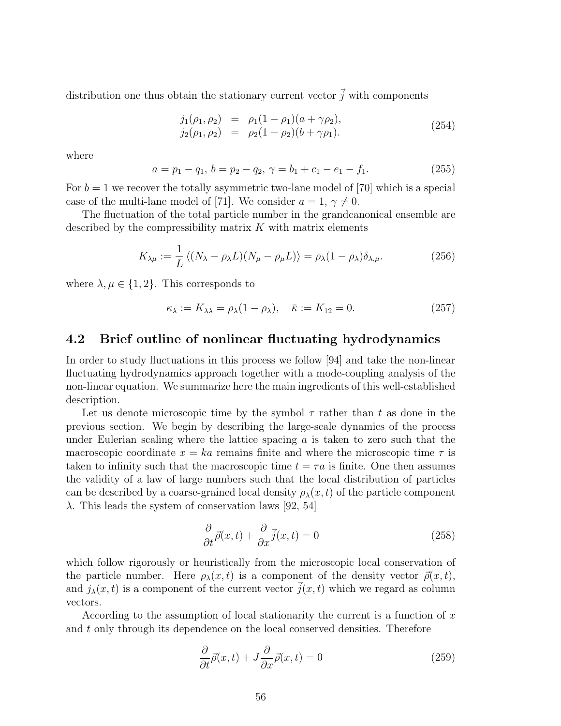distribution one thus obtain the stationary current vector  $\vec{j}$  with components

$$
j_1(\rho_1, \rho_2) = \rho_1(1 - \rho_1)(a + \gamma \rho_2), \n j_2(\rho_1, \rho_2) = \rho_2(1 - \rho_2)(b + \gamma \rho_1).
$$
\n(254)

where

$$
a = p_1 - q_1, \, b = p_2 - q_2, \, \gamma = b_1 + c_1 - e_1 - f_1. \tag{255}
$$

For  $b = 1$  we recover the totally asymmetric two-lane model of [70] which is a special case of the multi-lane model of [71]. We consider  $a = 1, \gamma \neq 0$ .

The fluctuation of the total particle number in the grandcanonical ensemble are described by the compressibility matrix  $K$  with matrix elements

$$
K_{\lambda\mu} := \frac{1}{L} \left\langle (N_{\lambda} - \rho_{\lambda} L)(N_{\mu} - \rho_{\mu} L) \right\rangle = \rho_{\lambda} (1 - \rho_{\lambda}) \delta_{\lambda, \mu}.
$$
 (256)

where  $\lambda, \mu \in \{1, 2\}$ . This corresponds to

$$
\kappa_{\lambda} := K_{\lambda\lambda} = \rho_{\lambda}(1 - \rho_{\lambda}), \quad \bar{\kappa} := K_{12} = 0. \tag{257}
$$

# 4.2 Brief outline of nonlinear fluctuating hydrodynamics

In order to study fluctuations in this process we follow [94] and take the non-linear fluctuating hydrodynamics approach together with a mode-coupling analysis of the non-linear equation. We summarize here the main ingredients of this well-established description.

Let us denote microscopic time by the symbol  $\tau$  rather than t as done in the previous section. We begin by describing the large-scale dynamics of the process under Eulerian scaling where the lattice spacing  $\alpha$  is taken to zero such that the macroscopic coordinate  $x = ka$  remains finite and where the microscopic time  $\tau$  is taken to infinity such that the macroscopic time  $t = \tau a$  is finite. One then assumes the validity of a law of large numbers such that the local distribution of particles can be described by a coarse-grained local density  $\rho_{\lambda}(x,t)$  of the particle component  $\lambda$ . This leads the system of conservation laws [92, 54]

$$
\frac{\partial}{\partial t}\vec{\rho}(x,t) + \frac{\partial}{\partial x}\vec{j}(x,t) = 0
$$
\n(258)

which follow rigorously or heuristically from the microscopic local conservation of the particle number. Here  $\rho_{\lambda}(x,t)$  is a component of the density vector  $\vec{\rho}(x,t)$ , and  $j_{\lambda}(x, t)$  is a component of the current vector  $\vec{j}(x, t)$  which we regard as column vectors.

According to the assumption of local stationarity the current is a function of  $x$ and t only through its dependence on the local conserved densities. Therefore

$$
\frac{\partial}{\partial t}\vec{\rho}(x,t) + J\frac{\partial}{\partial x}\vec{\rho}(x,t) = 0
$$
\n(259)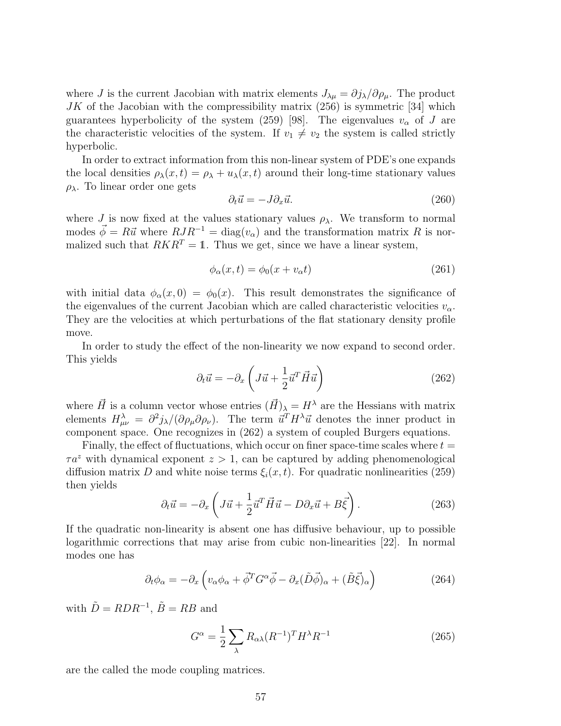where J is the current Jacobian with matrix elements  $J_{\lambda\mu} = \partial j_{\lambda}/\partial \rho_{\mu}$ . The product  $JK$  of the Jacobian with the compressibility matrix  $(256)$  is symmetric [34] which guarantees hyperbolicity of the system (259) [98]. The eigenvalues  $v_{\alpha}$  of J are the characteristic velocities of the system. If  $v_1 \neq v_2$  the system is called strictly hyperbolic.

In order to extract information from this non-linear system of PDE's one expands the local densities  $\rho_{\lambda}(x,t) = \rho_{\lambda} + u_{\lambda}(x,t)$  around their long-time stationary values ρλ. To linear order one gets

$$
\partial_t \vec{u} = -J \partial_x \vec{u}.\tag{260}
$$

where  $J$  is now fixed at the values stationary values  $\rho_{\lambda}$ . We transform to normal modes  $\vec{\phi} = R\vec{u}$  where  $RJR^{-1} = \text{diag}(v_{\alpha})$  and the transformation matrix R is normalized such that  $RKR^{T} = 1$ . Thus we get, since we have a linear system,

$$
\phi_{\alpha}(x,t) = \phi_0(x + v_{\alpha}t) \tag{261}
$$

with initial data  $\phi_{\alpha}(x,0) = \phi_0(x)$ . This result demonstrates the significance of the eigenvalues of the current Jacobian which are called characteristic velocities  $v_{\alpha}$ . They are the velocities at which perturbations of the flat stationary density profile move.

In order to study the effect of the non-linearity we now expand to second order. This yields

$$
\partial_t \vec{u} = -\partial_x \left( J\vec{u} + \frac{1}{2} \vec{u}^T \vec{H} \vec{u} \right) \tag{262}
$$

where  $\vec{H}$  is a column vector whose entries  $(\vec{H})_{\lambda} = H^{\lambda}$  are the Hessians with matrix elements  $H^{\lambda}_{\mu\nu} = \frac{\partial^2 j_{\lambda}}{\partial \rho_{\mu} \partial \rho_{\nu}}$ . The term  $\vec{u}^T H^{\lambda} \vec{u}$  denotes the inner product in component space. One recognizes in (262) a system of coupled Burgers equations.

Finally, the effect of fluctuations, which occur on finer space-time scales where  $t =$  $\tau a^z$  with dynamical exponent  $z > 1$ , can be captured by adding phenomenological diffusion matrix D and white noise terms  $\xi_i(x, t)$ . For quadratic nonlinearities (259) then yields

$$
\partial_t \vec{u} = -\partial_x \left( J\vec{u} + \frac{1}{2} \vec{u}^T \vec{H} \vec{u} - D\partial_x \vec{u} + B\vec{\xi} \right). \tag{263}
$$

If the quadratic non-linearity is absent one has diffusive behaviour, up to possible logarithmic corrections that may arise from cubic non-linearities [22]. In normal modes one has

$$
\partial_t \phi_\alpha = -\partial_x \left( v_\alpha \phi_\alpha + \vec{\phi}^T G^\alpha \vec{\phi} - \partial_x (\tilde{D}\vec{\phi})_\alpha + (\tilde{B}\vec{\xi})_\alpha \right) \tag{264}
$$

with  $\tilde{D} = RDR^{-1}$ ,  $\tilde{B} = RB$  and

$$
G^{\alpha} = \frac{1}{2} \sum_{\lambda} R_{\alpha\lambda} (R^{-1})^T H^{\lambda} R^{-1}
$$
 (265)

are the called the mode coupling matrices.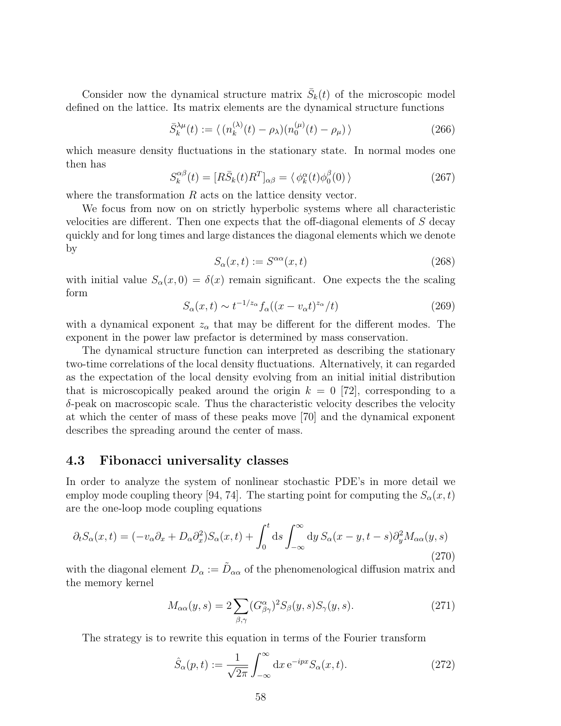Consider now the dynamical structure matrix  $\bar{S}_k(t)$  of the microscopic model defined on the lattice. Its matrix elements are the dynamical structure functions

$$
\bar{S}_{k}^{\lambda\mu}(t) := \langle (n_k^{(\lambda)}(t) - \rho_\lambda)(n_0^{(\mu)}(t) - \rho_\mu) \rangle \tag{266}
$$

which measure density fluctuations in the stationary state. In normal modes one then has

$$
S_k^{\alpha\beta}(t) = [R\bar{S}_k(t)R^T]_{\alpha\beta} = \langle \phi_k^{\alpha}(t)\phi_0^{\beta}(0) \rangle \tag{267}
$$

where the transformation  $R$  acts on the lattice density vector.

We focus from now on on strictly hyperbolic systems where all characteristic velocities are different. Then one expects that the off-diagonal elements of S decay quickly and for long times and large distances the diagonal elements which we denote by

$$
S_{\alpha}(x,t) := S^{\alpha\alpha}(x,t)
$$
\n(268)

with initial value  $S_{\alpha}(x,0) = \delta(x)$  remain significant. One expects the the scaling form

$$
S_{\alpha}(x,t) \sim t^{-1/z_{\alpha}} f_{\alpha}((x - v_{\alpha}t)^{z_{\alpha}}/t)
$$
\n(269)

with a dynamical exponent  $z_{\alpha}$  that may be different for the different modes. The exponent in the power law prefactor is determined by mass conservation.

The dynamical structure function can interpreted as describing the stationary two-time correlations of the local density fluctuations. Alternatively, it can regarded as the expectation of the local density evolving from an initial initial distribution that is microscopically peaked around the origin  $k = 0$  [72], corresponding to a  $\delta$ -peak on macroscopic scale. Thus the characteristic velocity describes the velocity at which the center of mass of these peaks move [70] and the dynamical exponent describes the spreading around the center of mass.

# 4.3 Fibonacci universality classes

In order to analyze the system of nonlinear stochastic PDE's in more detail we employ mode coupling theory [94, 74]. The starting point for computing the  $S_{\alpha}(x,t)$ are the one-loop mode coupling equations

$$
\partial_t S_{\alpha}(x,t) = (-v_{\alpha}\partial_x + D_{\alpha}\partial_x^2)S_{\alpha}(x,t) + \int_0^t ds \int_{-\infty}^{\infty} dy \, S_{\alpha}(x-y,t-s)\partial_y^2 M_{\alpha\alpha}(y,s)
$$
\n(270)

with the diagonal element  $D_{\alpha} := \tilde{D}_{\alpha\alpha}$  of the phenomenological diffusion matrix and the memory kernel

$$
M_{\alpha\alpha}(y,s) = 2 \sum_{\beta,\gamma} (G^{\alpha}_{\beta\gamma})^2 S_{\beta}(y,s) S_{\gamma}(y,s).
$$
 (271)

The strategy is to rewrite this equation in terms of the Fourier transform

$$
\hat{S}_{\alpha}(p,t) := \frac{1}{\sqrt{2\pi}} \int_{-\infty}^{\infty} dx \, e^{-ipx} S_{\alpha}(x,t). \tag{272}
$$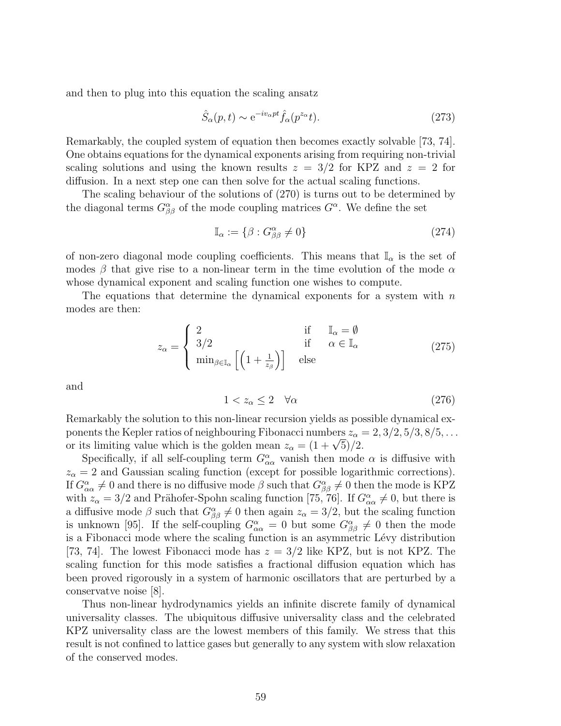and then to plug into this equation the scaling ansatz

$$
\hat{S}_{\alpha}(p,t) \sim e^{-iv_{\alpha}pt} \hat{f}_{\alpha}(p^{z_{\alpha}}t). \tag{273}
$$

Remarkably, the coupled system of equation then becomes exactly solvable [73, 74]. One obtains equations for the dynamical exponents arising from requiring non-trivial scaling solutions and using the known results  $z = 3/2$  for KPZ and  $z = 2$  for diffusion. In a next step one can then solve for the actual scaling functions.

The scaling behaviour of the solutions of (270) is turns out to be determined by the diagonal terms  $G^{\alpha}_{\beta\beta}$  of the mode coupling matrices  $G^{\alpha}$ . We define the set

$$
\mathbb{I}_{\alpha} := \{ \beta : G^{\alpha}_{\beta\beta} \neq 0 \}
$$
\n
$$
(274)
$$

of non-zero diagonal mode coupling coefficients. This means that  $\mathbb{I}_{\alpha}$  is the set of modes  $\beta$  that give rise to a non-linear term in the time evolution of the mode  $\alpha$ whose dynamical exponent and scaling function one wishes to compute.

The equations that determine the dynamical exponents for a system with  $n$ modes are then:

$$
z_{\alpha} = \begin{cases} 2 & \text{if } \mathbb{I}_{\alpha} = \emptyset \\ 3/2 & \text{if } \alpha \in \mathbb{I}_{\alpha} \\ \min_{\beta \in \mathbb{I}_{\alpha}} \left[ \left( 1 + \frac{1}{z_{\beta}} \right) \right] & \text{else} \end{cases}
$$
 (275)

and

$$
1 < z_{\alpha} \le 2 \quad \forall \alpha \tag{276}
$$

Remarkably the solution to this non-linear recursion yields as possible dynamical exponents the Kepler ratios of neighbouring Fibonacci numbers  $z_{\alpha} = 2, 3/2, 5/3, 8/5, \ldots$ ponents the Repler ratios of heighbouring F homacci numbers  $z_{\alpha}$  =  $(z + \sqrt{5})/2$ .

Specifically, if all self-coupling term  $G^{\alpha}_{\alpha\alpha}$  vanish then mode  $\alpha$  is diffusive with  $z_{\alpha} = 2$  and Gaussian scaling function (except for possible logarithmic corrections). If  $G^{\alpha}_{\alpha\alpha} \neq 0$  and there is no diffusive mode  $\beta$  such that  $G^{\alpha}_{\beta\beta} \neq 0$  then the mode is KPZ with  $z_{\alpha} = 3/2$  and Prähofer-Spohn scaling function [75, 76]. If  $G_{\alpha\alpha}^{\alpha} \neq 0$ , but there is a diffusive mode  $\beta$  such that  $G^{\alpha}_{\beta\beta} \neq 0$  then again  $z_{\alpha} = 3/2$ , but the scaling function is unknown [95]. If the self-coupling  $G^{\alpha}_{\alpha\alpha} = 0$  but some  $G^{\alpha}_{\beta\beta} \neq 0$  then the mode is a Fibonacci mode where the scaling function is an asymmetric Lévy distribution [73, 74]. The lowest Fibonacci mode has  $z = 3/2$  like KPZ, but is not KPZ. The scaling function for this mode satisfies a fractional diffusion equation which has been proved rigorously in a system of harmonic oscillators that are perturbed by a conservatve noise [8].

Thus non-linear hydrodynamics yields an infinite discrete family of dynamical universality classes. The ubiquitous diffusive universality class and the celebrated KPZ universality class are the lowest members of this family. We stress that this result is not confined to lattice gases but generally to any system with slow relaxation of the conserved modes.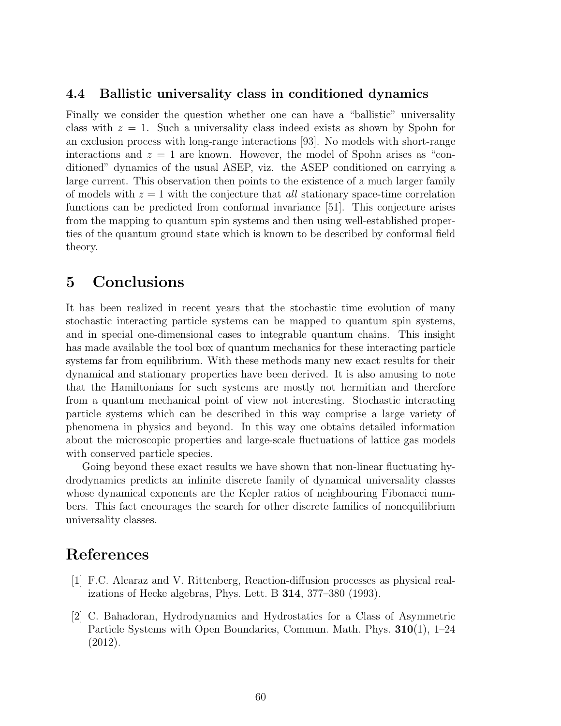# 4.4 Ballistic universality class in conditioned dynamics

Finally we consider the question whether one can have a "ballistic" universality class with  $z = 1$ . Such a universality class indeed exists as shown by Spohn for an exclusion process with long-range interactions [93]. No models with short-range interactions and  $z = 1$  are known. However, the model of Spohn arises as "conditioned" dynamics of the usual ASEP, viz. the ASEP conditioned on carrying a large current. This observation then points to the existence of a much larger family of models with  $z = 1$  with the conjecture that all stationary space-time correlation functions can be predicted from conformal invariance [51]. This conjecture arises from the mapping to quantum spin systems and then using well-established properties of the quantum ground state which is known to be described by conformal field theory.

# 5 Conclusions

It has been realized in recent years that the stochastic time evolution of many stochastic interacting particle systems can be mapped to quantum spin systems, and in special one-dimensional cases to integrable quantum chains. This insight has made available the tool box of quantum mechanics for these interacting particle systems far from equilibrium. With these methods many new exact results for their dynamical and stationary properties have been derived. It is also amusing to note that the Hamiltonians for such systems are mostly not hermitian and therefore from a quantum mechanical point of view not interesting. Stochastic interacting particle systems which can be described in this way comprise a large variety of phenomena in physics and beyond. In this way one obtains detailed information about the microscopic properties and large-scale fluctuations of lattice gas models with conserved particle species.

Going beyond these exact results we have shown that non-linear fluctuating hydrodynamics predicts an infinite discrete family of dynamical universality classes whose dynamical exponents are the Kepler ratios of neighbouring Fibonacci numbers. This fact encourages the search for other discrete families of nonequilibrium universality classes.

# References

- [1] F.C. Alcaraz and V. Rittenberg, Reaction-diffusion processes as physical realizations of Hecke algebras, Phys. Lett. B 314, 377–380 (1993).
- [2] C. Bahadoran, Hydrodynamics and Hydrostatics for a Class of Asymmetric Particle Systems with Open Boundaries, Commun. Math. Phys. 310(1), 1–24 (2012).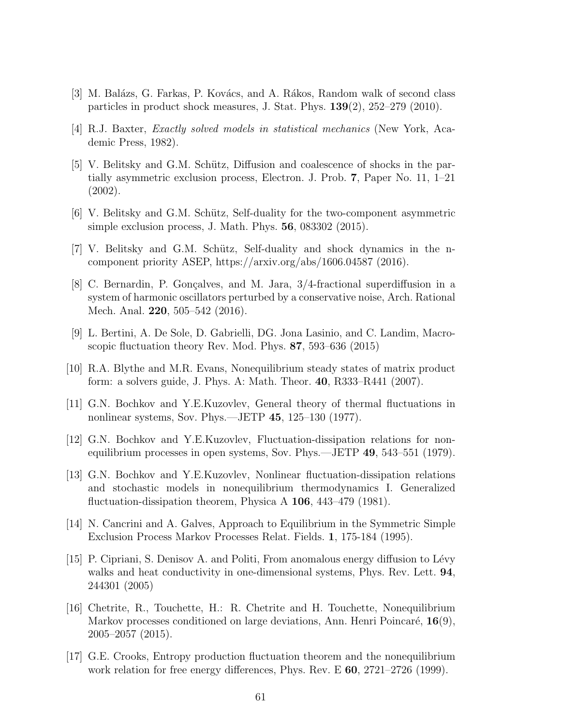- [3] M. Balázs, G. Farkas, P. Kovács, and A. Rákos, Random walk of second class particles in product shock measures, J. Stat. Phys.  $139(2)$ ,  $252-279$  (2010).
- [4] R.J. Baxter, Exactly solved models in statistical mechanics (New York, Academic Press, 1982).
- [5] V. Belitsky and G.M. Schütz, Diffusion and coalescence of shocks in the partially asymmetric exclusion process, Electron. J. Prob. 7, Paper No. 11, 1–21 (2002).
- [6] V. Belitsky and G.M. Schütz, Self-duality for the two-component asymmetric simple exclusion process, J. Math. Phys. 56, 083302 (2015).
- [7] V. Belitsky and G.M. Schütz, Self-duality and shock dynamics in the ncomponent priority ASEP, https://arxiv.org/abs/1606.04587 (2016).
- [8] C. Bernardin, P. Gonçalves, and M. Jara,  $3/4$ -fractional superdiffusion in a system of harmonic oscillators perturbed by a conservative noise, Arch. Rational Mech. Anal. 220, 505–542 (2016).
- [9] L. Bertini, A. De Sole, D. Gabrielli, DG. Jona Lasinio, and C. Landim, Macroscopic fluctuation theory Rev. Mod. Phys. 87, 593–636 (2015)
- [10] R.A. Blythe and M.R. Evans, Nonequilibrium steady states of matrix product form: a solvers guide, J. Phys. A: Math. Theor. 40, R333–R441 (2007).
- [11] G.N. Bochkov and Y.E.Kuzovlev, General theory of thermal fluctuations in nonlinear systems, Sov. Phys.—JETP 45, 125–130 (1977).
- [12] G.N. Bochkov and Y.E.Kuzovlev, Fluctuation-dissipation relations for nonequilibrium processes in open systems, Sov. Phys.—JETP 49, 543–551 (1979).
- [13] G.N. Bochkov and Y.E.Kuzovlev, Nonlinear fluctuation-dissipation relations and stochastic models in nonequilibrium thermodynamics I. Generalized fluctuation-dissipation theorem, Physica A 106, 443–479 (1981).
- [14] N. Cancrini and A. Galves, Approach to Equilibrium in the Symmetric Simple Exclusion Process Markov Processes Relat. Fields. 1, 175-184 (1995).
- [15] P. Cipriani, S. Denisov A. and Politi, From anomalous energy diffusion to Lévy walks and heat conductivity in one-dimensional systems, Phys. Rev. Lett. **94**, 244301 (2005)
- [16] Chetrite, R., Touchette, H.: R. Chetrite and H. Touchette, Nonequilibrium Markov processes conditioned on large deviations, Ann. Henri Poincaré,  $16(9)$ , 2005–2057 (2015).
- [17] G.E. Crooks, Entropy production fluctuation theorem and the nonequilibrium work relation for free energy differences, Phys. Rev. E 60, 2721–2726 (1999).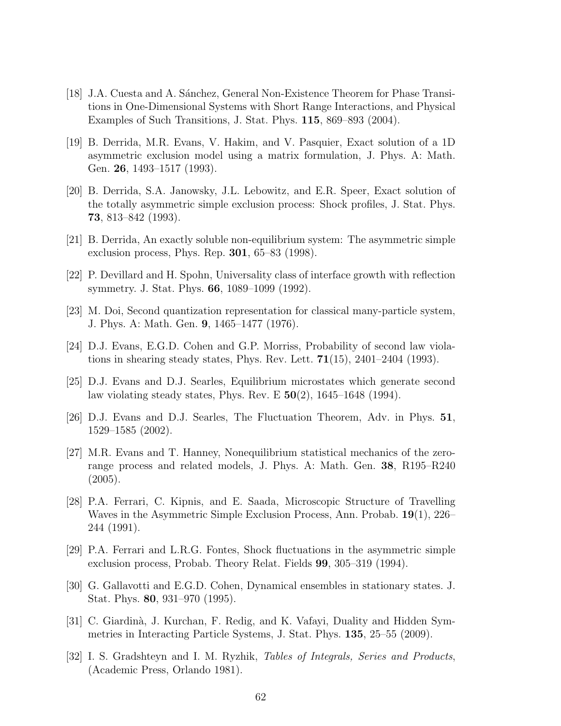- [18] J.A. Cuesta and A. Sánchez, General Non-Existence Theorem for Phase Transitions in One-Dimensional Systems with Short Range Interactions, and Physical Examples of Such Transitions, J. Stat. Phys. 115, 869–893 (2004).
- [19] B. Derrida, M.R. Evans, V. Hakim, and V. Pasquier, Exact solution of a 1D asymmetric exclusion model using a matrix formulation, J. Phys. A: Math. Gen. 26, 1493–1517 (1993).
- [20] B. Derrida, S.A. Janowsky, J.L. Lebowitz, and E.R. Speer, Exact solution of the totally asymmetric simple exclusion process: Shock profiles, J. Stat. Phys. 73, 813–842 (1993).
- [21] B. Derrida, An exactly soluble non-equilibrium system: The asymmetric simple exclusion process, Phys. Rep. 301, 65–83 (1998).
- [22] P. Devillard and H. Spohn, Universality class of interface growth with reflection symmetry. J. Stat. Phys. 66, 1089–1099 (1992).
- [23] M. Doi, Second quantization representation for classical many-particle system, J. Phys. A: Math. Gen. 9, 1465–1477 (1976).
- [24] D.J. Evans, E.G.D. Cohen and G.P. Morriss, Probability of second law violations in shearing steady states, Phys. Rev. Lett.  $71(15)$ ,  $2401-2404$  (1993).
- [25] D.J. Evans and D.J. Searles, Equilibrium microstates which generate second law violating steady states, Phys. Rev. E  $50(2)$ ,  $1645-1648$  (1994).
- [26] D.J. Evans and D.J. Searles, The Fluctuation Theorem, Adv. in Phys. 51, 1529–1585 (2002).
- [27] M.R. Evans and T. Hanney, Nonequilibrium statistical mechanics of the zerorange process and related models, J. Phys. A: Math. Gen. 38, R195–R240  $(2005).$
- [28] P.A. Ferrari, C. Kipnis, and E. Saada, Microscopic Structure of Travelling Waves in the Asymmetric Simple Exclusion Process, Ann. Probab. 19(1), 226– 244 (1991).
- [29] P.A. Ferrari and L.R.G. Fontes, Shock fluctuations in the asymmetric simple exclusion process, Probab. Theory Relat. Fields 99, 305–319 (1994).
- [30] G. Gallavotti and E.G.D. Cohen, Dynamical ensembles in stationary states. J. Stat. Phys. 80, 931–970 (1995).
- [31] C. Giardin`a, J. Kurchan, F. Redig, and K. Vafayi, Duality and Hidden Symmetries in Interacting Particle Systems, J. Stat. Phys. 135, 25–55 (2009).
- [32] I. S. Gradshteyn and I. M. Ryzhik, Tables of Integrals, Series and Products, (Academic Press, Orlando 1981).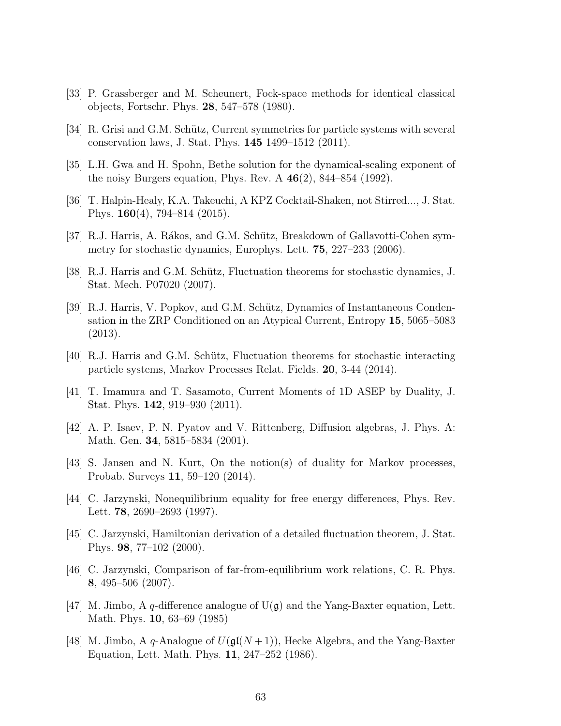- [33] P. Grassberger and M. Scheunert, Fock-space methods for identical classical objects, Fortschr. Phys. 28, 547–578 (1980).
- [34] R. Grisi and G.M. Schütz, Current symmetries for particle systems with several conservation laws, J. Stat. Phys. 145 1499–1512 (2011).
- [35] L.H. Gwa and H. Spohn, Bethe solution for the dynamical-scaling exponent of the noisy Burgers equation, Phys. Rev. A  $46(2)$ , 844–854 (1992).
- [36] T. Halpin-Healy, K.A. Takeuchi, A KPZ Cocktail-Shaken, not Stirred..., J. Stat. Phys. 160(4), 794–814 (2015).
- [37] R.J. Harris, A. Rákos, and G.M. Schütz, Breakdown of Gallavotti-Cohen symmetry for stochastic dynamics, Europhys. Lett. 75, 227–233 (2006).
- [38] R.J. Harris and G.M. Schütz, Fluctuation theorems for stochastic dynamics, J. Stat. Mech. P07020 (2007).
- [39] R.J. Harris, V. Popkov, and G.M. Schütz, Dynamics of Instantaneous Condensation in the ZRP Conditioned on an Atypical Current, Entropy 15, 5065–5083 (2013).
- [40] R.J. Harris and G.M. Schütz, Fluctuation theorems for stochastic interacting particle systems, Markov Processes Relat. Fields. 20, 3-44 (2014).
- [41] T. Imamura and T. Sasamoto, Current Moments of 1D ASEP by Duality, J. Stat. Phys. 142, 919–930 (2011).
- [42] A. P. Isaev, P. N. Pyatov and V. Rittenberg, Diffusion algebras, J. Phys. A: Math. Gen. 34, 5815–5834 (2001).
- [43] S. Jansen and N. Kurt, On the notion(s) of duality for Markov processes, Probab. Surveys 11, 59–120 (2014).
- [44] C. Jarzynski, Nonequilibrium equality for free energy differences, Phys. Rev. Lett. 78, 2690–2693 (1997).
- [45] C. Jarzynski, Hamiltonian derivation of a detailed fluctuation theorem, J. Stat. Phys. 98, 77–102 (2000).
- [46] C. Jarzynski, Comparison of far-from-equilibrium work relations, C. R. Phys. 8, 495–506 (2007).
- [47] M. Jimbo, A q-difference analogue of  $U(\mathfrak{g})$  and the Yang-Baxter equation, Lett. Math. Phys. 10, 63–69 (1985)
- [48] M. Jimbo, A q-Analogue of  $U(\mathfrak{gl}(N+1))$ , Hecke Algebra, and the Yang-Baxter Equation, Lett. Math. Phys. 11, 247–252 (1986).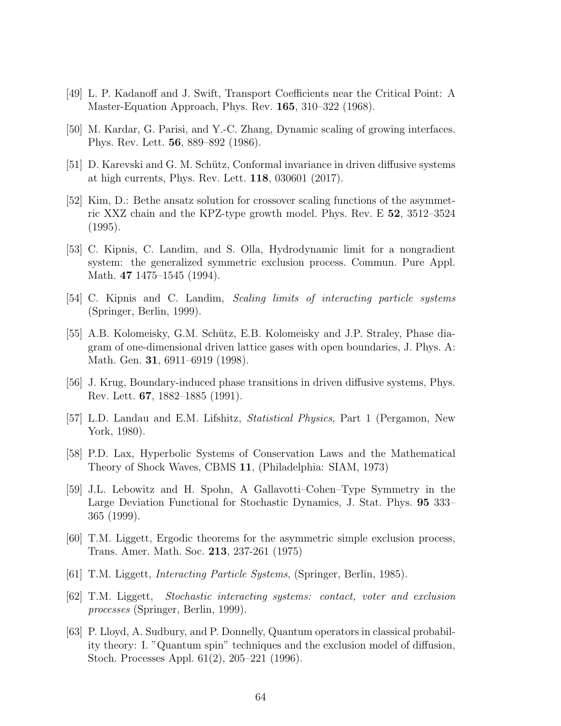- [49] L. P. Kadanoff and J. Swift, Transport Coefficients near the Critical Point: A Master-Equation Approach, Phys. Rev. 165, 310–322 (1968).
- [50] M. Kardar, G. Parisi, and Y.-C. Zhang, Dynamic scaling of growing interfaces. Phys. Rev. Lett. 56, 889–892 (1986).
- [51] D. Karevski and G. M. Schütz, Conformal invariance in driven diffusive systems at high currents, Phys. Rev. Lett. 118, 030601 (2017).
- [52] Kim, D.: Bethe ansatz solution for crossover scaling functions of the asymmetric XXZ chain and the KPZ-type growth model. Phys. Rev. E 52, 3512–3524 (1995).
- [53] C. Kipnis, C. Landim, and S. Olla, Hydrodynamic limit for a nongradient system: the generalized symmetric exclusion process. Commun. Pure Appl. Math. 47 1475–1545 (1994).
- [54] C. Kipnis and C. Landim, Scaling limits of interacting particle systems (Springer, Berlin, 1999).
- [55] A.B. Kolomeisky, G.M. Schütz, E.B. Kolomeisky and J.P. Straley, Phase diagram of one-dimensional driven lattice gases with open boundaries, J. Phys. A: Math. Gen. 31, 6911–6919 (1998).
- [56] J. Krug, Boundary-induced phase transitions in driven diffusive systems, Phys. Rev. Lett. 67, 1882–1885 (1991).
- [57] L.D. Landau and E.M. Lifshitz, Statistical Physics, Part 1 (Pergamon, New York, 1980).
- [58] P.D. Lax, Hyperbolic Systems of Conservation Laws and the Mathematical Theory of Shock Waves, CBMS 11, (Philadelphia: SIAM, 1973)
- [59] J.L. Lebowitz and H. Spohn, A Gallavotti–Cohen–Type Symmetry in the Large Deviation Functional for Stochastic Dynamics, J. Stat. Phys. 95 333– 365 (1999).
- [60] T.M. Liggett, Ergodic theorems for the asymmetric simple exclusion process, Trans. Amer. Math. Soc. 213, 237-261 (1975)
- [61] T.M. Liggett, Interacting Particle Systems, (Springer, Berlin, 1985).
- [62] T.M. Liggett, Stochastic interacting systems: contact, voter and exclusion processes (Springer, Berlin, 1999).
- [63] P. Lloyd, A. Sudbury, and P. Donnelly, Quantum operators in classical probability theory: I. "Quantum spin" techniques and the exclusion model of diffusion, Stoch. Processes Appl. 61(2), 205–221 (1996).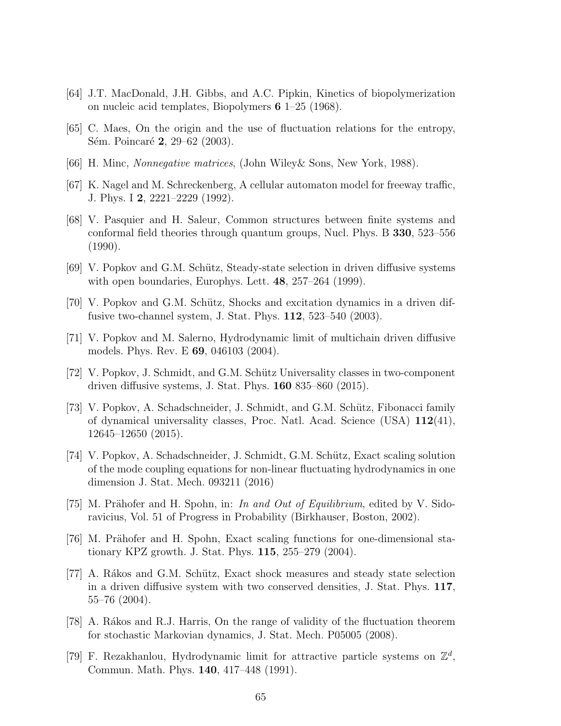- [64] J.T. MacDonald, J.H. Gibbs, and A.C. Pipkin, Kinetics of biopolymerization on nucleic acid templates, Biopolymers 6 1–25 (1968).
- [65] C. Maes, On the origin and the use of fluctuation relations for the entropy, Sém. Poincaré 2, 29–62 (2003).
- [66] H. Minc, Nonnegative matrices, (John Wiley& Sons, New York, 1988).
- [67] K. Nagel and M. Schreckenberg, A cellular automaton model for freeway traffic, J. Phys. I 2, 2221–2229 (1992).
- [68] V. Pasquier and H. Saleur, Common structures between finite systems and conformal field theories through quantum groups, Nucl. Phys. B 330, 523–556 (1990).
- [69] V. Popkov and G.M. Schütz, Steady-state selection in driven diffusive systems with open boundaries, Europhys. Lett. **48**, 257–264 (1999).
- [70] V. Popkov and G.M. Schütz, Shocks and excitation dynamics in a driven diffusive two-channel system, J. Stat. Phys. 112, 523–540 (2003).
- [71] V. Popkov and M. Salerno, Hydrodynamic limit of multichain driven diffusive models. Phys. Rev. E 69, 046103 (2004).
- [72] V. Popkov, J. Schmidt, and G.M. Sch¨utz Universality classes in two-component driven diffusive systems, J. Stat. Phys. 160 835–860 (2015).
- [73] V. Popkov, A. Schadschneider, J. Schmidt, and G.M. Schütz, Fibonacci family of dynamical universality classes, Proc. Natl. Acad. Science (USA)  $112(41)$ , 12645–12650 (2015).
- [74] V. Popkov, A. Schadschneider, J. Schmidt, G.M. Schütz, Exact scaling solution of the mode coupling equations for non-linear fluctuating hydrodynamics in one dimension J. Stat. Mech. 093211 (2016)
- [75] M. Prähofer and H. Spohn, in: In and Out of Equilibrium, edited by V. Sidoravicius, Vol. 51 of Progress in Probability (Birkhauser, Boston, 2002).
- [76] M. Prähofer and H. Spohn, Exact scaling functions for one-dimensional stationary KPZ growth. J. Stat. Phys. 115, 255–279 (2004).
- [77] A. Rákos and G.M. Schütz, Exact shock measures and steady state selection in a driven diffusive system with two conserved densities, J. Stat. Phys. 117, 55–76 (2004).
- [78] A. Rákos and R.J. Harris, On the range of validity of the fluctuation theorem for stochastic Markovian dynamics, J. Stat. Mech. P05005 (2008).
- [79] F. Rezakhanlou, Hydrodynamic limit for attractive particle systems on  $\mathbb{Z}^d$ , Commun. Math. Phys. 140, 417–448 (1991).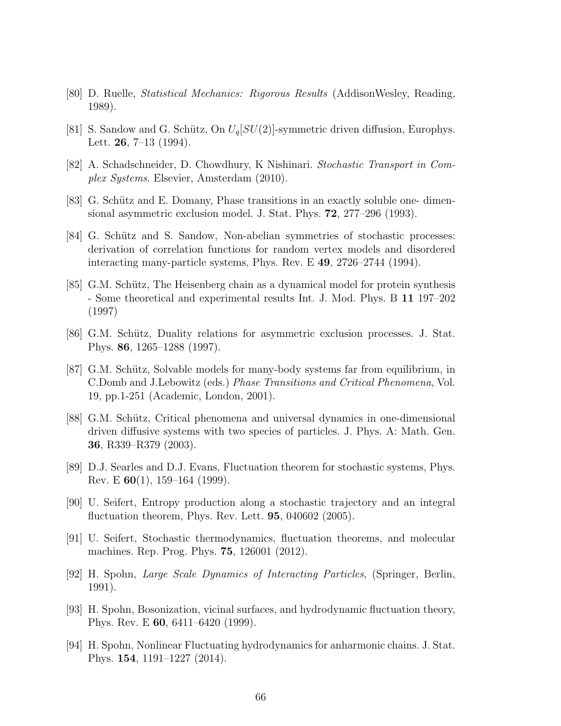- [80] D. Ruelle, Statistical Mechanics: Rigorous Results (AddisonWesley, Reading, 1989).
- [81] S. Sandow and G. Schütz, On  $U_q[SU(2)]$ -symmetric driven diffusion, Europhys. Lett. 26, 7–13 (1994).
- [82] A. Schadschneider, D. Chowdhury, K Nishinari. Stochastic Transport in Complex Systems. Elsevier, Amsterdam (2010).
- [83] G. Schütz and E. Domany, Phase transitions in an exactly soluble one- dimensional asymmetric exclusion model. J. Stat. Phys. 72, 277–296 (1993).
- [84] G. Schütz and S. Sandow, Non-abelian symmetries of stochastic processes: derivation of correlation functions for random vertex models and disordered interacting many-particle systems, Phys. Rev. E 49, 2726–2744 (1994).
- [85] G.M. Schütz, The Heisenberg chain as a dynamical model for protein synthesis - Some theoretical and experimental results Int. J. Mod. Phys. B 11 197–202 (1997)
- [86] G.M. Schütz, Duality relations for asymmetric exclusion processes. J. Stat. Phys. 86, 1265–1288 (1997).
- [87] G.M. Schütz, Solvable models for many-body systems far from equilibrium, in C.Domb and J.Lebowitz (eds.) Phase Transitions and Critical Phenomena, Vol. 19, pp.1-251 (Academic, London, 2001).
- [88] G.M. Schütz, Critical phenomena and universal dynamics in one-dimensional driven diffusive systems with two species of particles. J. Phys. A: Math. Gen. 36, R339–R379 (2003).
- [89] D.J. Searles and D.J. Evans, Fluctuation theorem for stochastic systems, Phys. Rev. E  $60(1)$ , 159–164 (1999).
- [90] U. Seifert, Entropy production along a stochastic trajectory and an integral fluctuation theorem, Phys. Rev. Lett. 95, 040602 (2005).
- [91] U. Seifert, Stochastic thermodynamics, fluctuation theorems, and molecular machines. Rep. Prog. Phys. 75, 126001 (2012).
- [92] H. Spohn, Large Scale Dynamics of Interacting Particles, (Springer, Berlin, 1991).
- [93] H. Spohn, Bosonization, vicinal surfaces, and hydrodynamic fluctuation theory, Phys. Rev. E 60, 6411–6420 (1999).
- [94] H. Spohn, Nonlinear Fluctuating hydrodynamics for anharmonic chains. J. Stat. Phys. 154, 1191–1227 (2014).